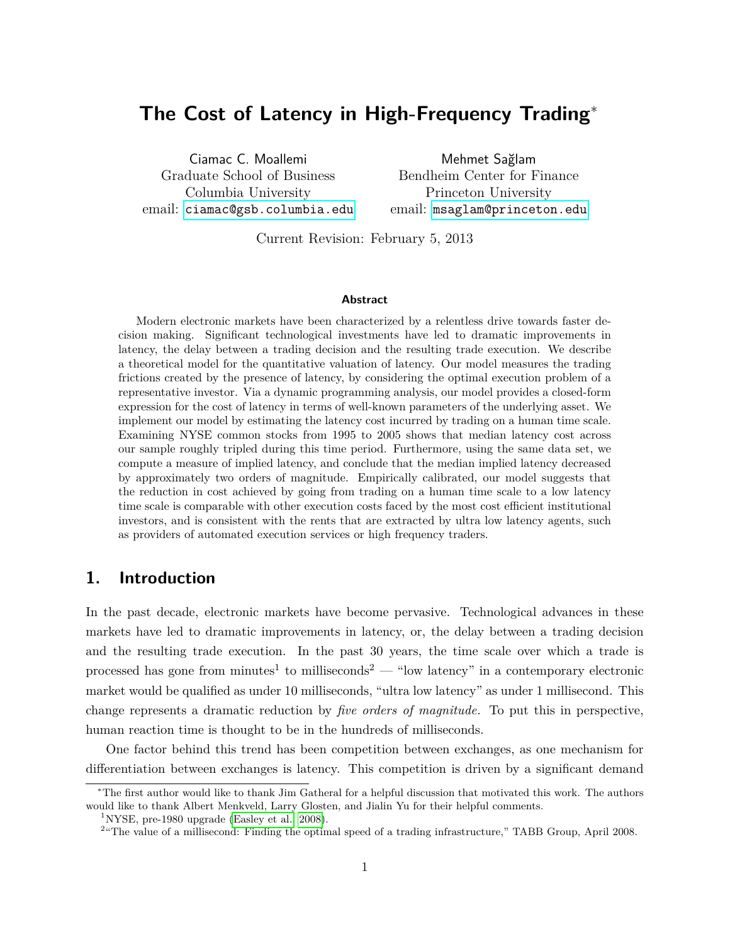# **The Cost of Latency in High-Frequency Trading**<sup>∗</sup>

Ciamac C. Moallemi Graduate School of Business Columbia University email: [ciamac@gsb.columbia.edu](mailto:ciamac@gsb.columbia.edu)

Mehmet Sağlam Bendheim Center for Finance Princeton University email: [msaglam@princeton.edu](mailto:msaglam@princeton.edu)

Current Revision: February 5, 2013

#### **Abstract**

Modern electronic markets have been characterized by a relentless drive towards faster decision making. Significant technological investments have led to dramatic improvements in latency, the delay between a trading decision and the resulting trade execution. We describe a theoretical model for the quantitative valuation of latency. Our model measures the trading frictions created by the presence of latency, by considering the optimal execution problem of a representative investor. Via a dynamic programming analysis, our model provides a closed-form expression for the cost of latency in terms of well-known parameters of the underlying asset. We implement our model by estimating the latency cost incurred by trading on a human time scale. Examining NYSE common stocks from 1995 to 2005 shows that median latency cost across our sample roughly tripled during this time period. Furthermore, using the same data set, we compute a measure of implied latency, and conclude that the median implied latency decreased by approximately two orders of magnitude. Empirically calibrated, our model suggests that the reduction in cost achieved by going from trading on a human time scale to a low latency time scale is comparable with other execution costs faced by the most cost efficient institutional investors, and is consistent with the rents that are extracted by ultra low latency agents, such as providers of automated execution services or high frequency traders.

# **1. Introduction**

In the past decade, electronic markets have become pervasive. Technological advances in these markets have led to dramatic improvements in latency, or, the delay between a trading decision and the resulting trade execution. In the past 30 years, the time scale over which a trade is processed has gone from minutes<sup>1</sup> to milliseconds<sup>2</sup> — "low latency" in a contemporary electronic market would be qualified as under 10 milliseconds, "ultra low latency" as under 1 millisecond. This change represents a dramatic reduction by *five orders of magnitude.* To put this in perspective, human reaction time is thought to be in the hundreds of milliseconds.

One factor behind this trend has been competition between exchanges, as one mechanism for differentiation between exchanges is latency. This competition is driven by a significant demand

<sup>∗</sup>The first author would like to thank Jim Gatheral for a helpful discussion that motivated this work. The authors would like to thank Albert Menkveld, Larry Glosten, and Jialin Yu for their helpful comments.

<sup>&</sup>lt;sup>1</sup>NYSE, pre-1980 upgrade [\(Easley et al., 2008\)](#page-31-0).

<sup>&</sup>lt;sup>2</sup>"The value of a millisecond: Finding the optimal speed of a trading infrastructure," TABB Group, April 2008.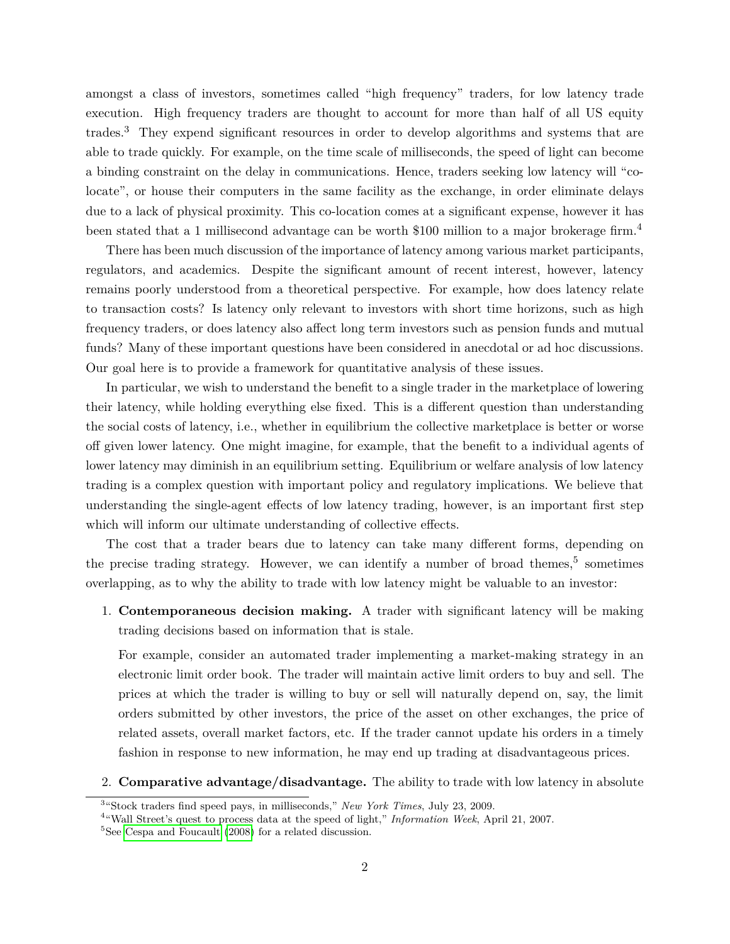amongst a class of investors, sometimes called "high frequency" traders, for low latency trade execution. High frequency traders are thought to account for more than half of all US equity trades.<sup>3</sup> They expend significant resources in order to develop algorithms and systems that are able to trade quickly. For example, on the time scale of milliseconds, the speed of light can become a binding constraint on the delay in communications. Hence, traders seeking low latency will "colocate", or house their computers in the same facility as the exchange, in order eliminate delays due to a lack of physical proximity. This co-location comes at a significant expense, however it has been stated that a 1 millisecond advantage can be worth \$100 million to a major brokerage firm.<sup>4</sup>

There has been much discussion of the importance of latency among various market participants, regulators, and academics. Despite the significant amount of recent interest, however, latency remains poorly understood from a theoretical perspective. For example, how does latency relate to transaction costs? Is latency only relevant to investors with short time horizons, such as high frequency traders, or does latency also affect long term investors such as pension funds and mutual funds? Many of these important questions have been considered in anecdotal or ad hoc discussions. Our goal here is to provide a framework for quantitative analysis of these issues.

In particular, we wish to understand the benefit to a single trader in the marketplace of lowering their latency, while holding everything else fixed. This is a different question than understanding the social costs of latency, i.e., whether in equilibrium the collective marketplace is better or worse off given lower latency. One might imagine, for example, that the benefit to a individual agents of lower latency may diminish in an equilibrium setting. Equilibrium or welfare analysis of low latency trading is a complex question with important policy and regulatory implications. We believe that understanding the single-agent effects of low latency trading, however, is an important first step which will inform our ultimate understanding of collective effects.

The cost that a trader bears due to latency can take many different forms, depending on the precise trading strategy. However, we can identify a number of broad themes,<sup>5</sup> sometimes overlapping, as to why the ability to trade with low latency might be valuable to an investor:

1. **Contemporaneous decision making.** A trader with significant latency will be making trading decisions based on information that is stale.

For example, consider an automated trader implementing a market-making strategy in an electronic limit order book. The trader will maintain active limit orders to buy and sell. The prices at which the trader is willing to buy or sell will naturally depend on, say, the limit orders submitted by other investors, the price of the asset on other exchanges, the price of related assets, overall market factors, etc. If the trader cannot update his orders in a timely fashion in response to new information, he may end up trading at disadvantageous prices.

2. **Comparative advantage/disadvantage.** The ability to trade with low latency in absolute

<sup>3</sup> "Stock traders find speed pays, in milliseconds," *New York Times*, July 23, 2009.

<sup>4</sup> "Wall Street's quest to process data at the speed of light," *Information Week*, April 21, 2007.

<sup>5</sup>See [Cespa and Foucault](#page-31-1) [\(2008\)](#page-31-1) for a related discussion.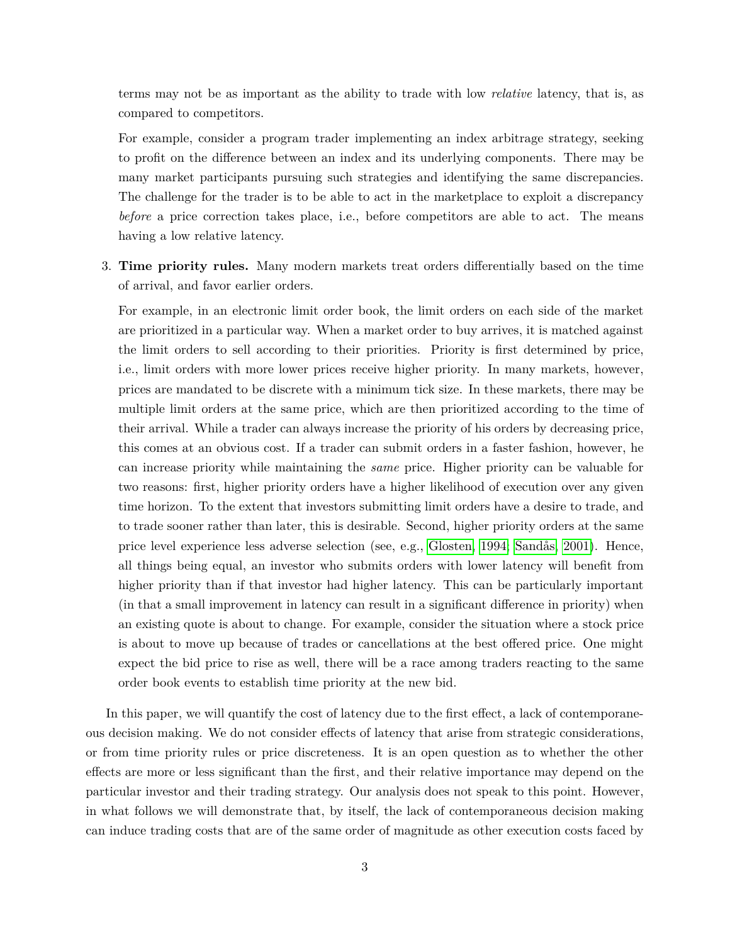terms may not be as important as the ability to trade with low *relative* latency, that is, as compared to competitors.

For example, consider a program trader implementing an index arbitrage strategy, seeking to profit on the difference between an index and its underlying components. There may be many market participants pursuing such strategies and identifying the same discrepancies. The challenge for the trader is to be able to act in the marketplace to exploit a discrepancy *before* a price correction takes place, i.e., before competitors are able to act. The means having a low relative latency.

3. **Time priority rules.** Many modern markets treat orders differentially based on the time of arrival, and favor earlier orders.

For example, in an electronic limit order book, the limit orders on each side of the market are prioritized in a particular way. When a market order to buy arrives, it is matched against the limit orders to sell according to their priorities. Priority is first determined by price, i.e., limit orders with more lower prices receive higher priority. In many markets, however, prices are mandated to be discrete with a minimum tick size. In these markets, there may be multiple limit orders at the same price, which are then prioritized according to the time of their arrival. While a trader can always increase the priority of his orders by decreasing price, this comes at an obvious cost. If a trader can submit orders in a faster fashion, however, he can increase priority while maintaining the *same* price. Higher priority can be valuable for two reasons: first, higher priority orders have a higher likelihood of execution over any given time horizon. To the extent that investors submitting limit orders have a desire to trade, and to trade sooner rather than later, this is desirable. Second, higher priority orders at the same price level experience less adverse selection (see, e.g., [Glosten, 1994;](#page-31-2) [Sandås, 2001\)](#page-32-0). Hence, all things being equal, an investor who submits orders with lower latency will benefit from higher priority than if that investor had higher latency. This can be particularly important (in that a small improvement in latency can result in a significant difference in priority) when an existing quote is about to change. For example, consider the situation where a stock price is about to move up because of trades or cancellations at the best offered price. One might expect the bid price to rise as well, there will be a race among traders reacting to the same order book events to establish time priority at the new bid.

In this paper, we will quantify the cost of latency due to the first effect, a lack of contemporaneous decision making. We do not consider effects of latency that arise from strategic considerations, or from time priority rules or price discreteness. It is an open question as to whether the other effects are more or less significant than the first, and their relative importance may depend on the particular investor and their trading strategy. Our analysis does not speak to this point. However, in what follows we will demonstrate that, by itself, the lack of contemporaneous decision making can induce trading costs that are of the same order of magnitude as other execution costs faced by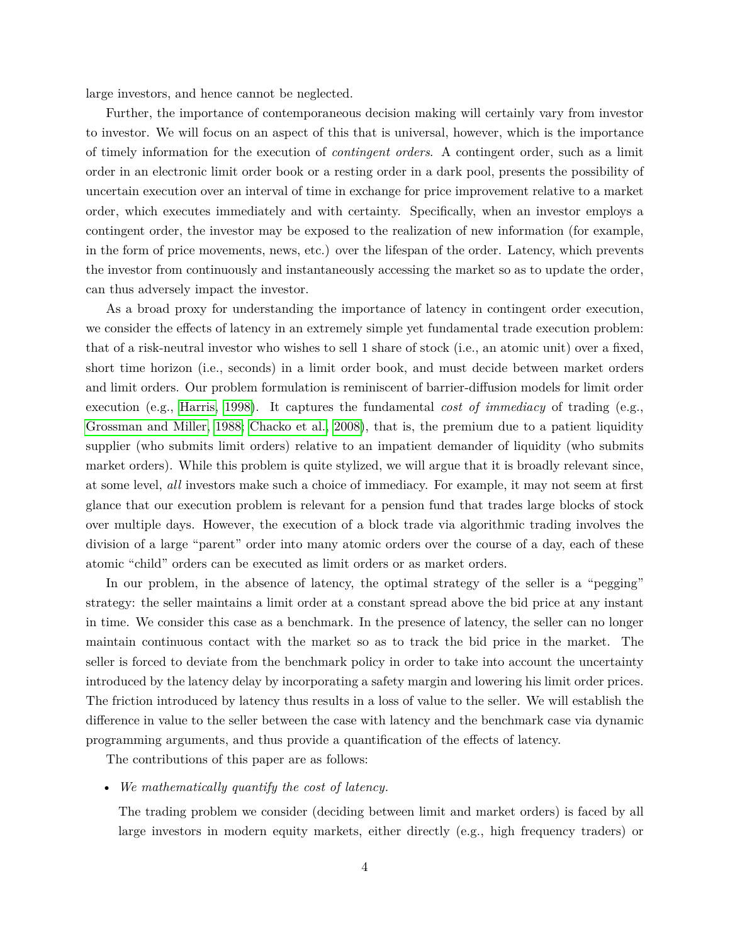large investors, and hence cannot be neglected.

Further, the importance of contemporaneous decision making will certainly vary from investor to investor. We will focus on an aspect of this that is universal, however, which is the importance of timely information for the execution of *contingent orders*. A contingent order, such as a limit order in an electronic limit order book or a resting order in a dark pool, presents the possibility of uncertain execution over an interval of time in exchange for price improvement relative to a market order, which executes immediately and with certainty. Specifically, when an investor employs a contingent order, the investor may be exposed to the realization of new information (for example, in the form of price movements, news, etc.) over the lifespan of the order. Latency, which prevents the investor from continuously and instantaneously accessing the market so as to update the order, can thus adversely impact the investor.

As a broad proxy for understanding the importance of latency in contingent order execution, we consider the effects of latency in an extremely simple yet fundamental trade execution problem: that of a risk-neutral investor who wishes to sell 1 share of stock (i.e., an atomic unit) over a fixed, short time horizon (i.e., seconds) in a limit order book, and must decide between market orders and limit orders. Our problem formulation is reminiscent of barrier-diffusion models for limit order execution (e.g., [Harris, 1998\)](#page-31-3). It captures the fundamental *cost of immediacy* of trading (e.g., [Grossman and Miller, 1988;](#page-31-4) [Chacko et al., 2008\)](#page-31-5), that is, the premium due to a patient liquidity supplier (who submits limit orders) relative to an impatient demander of liquidity (who submits market orders). While this problem is quite stylized, we will argue that it is broadly relevant since, at some level, *all* investors make such a choice of immediacy. For example, it may not seem at first glance that our execution problem is relevant for a pension fund that trades large blocks of stock over multiple days. However, the execution of a block trade via algorithmic trading involves the division of a large "parent" order into many atomic orders over the course of a day, each of these atomic "child" orders can be executed as limit orders or as market orders.

In our problem, in the absence of latency, the optimal strategy of the seller is a "pegging" strategy: the seller maintains a limit order at a constant spread above the bid price at any instant in time. We consider this case as a benchmark. In the presence of latency, the seller can no longer maintain continuous contact with the market so as to track the bid price in the market. The seller is forced to deviate from the benchmark policy in order to take into account the uncertainty introduced by the latency delay by incorporating a safety margin and lowering his limit order prices. The friction introduced by latency thus results in a loss of value to the seller. We will establish the difference in value to the seller between the case with latency and the benchmark case via dynamic programming arguments, and thus provide a quantification of the effects of latency.

The contributions of this paper are as follows:

#### • *We mathematically quantify the cost of latency.*

The trading problem we consider (deciding between limit and market orders) is faced by all large investors in modern equity markets, either directly (e.g., high frequency traders) or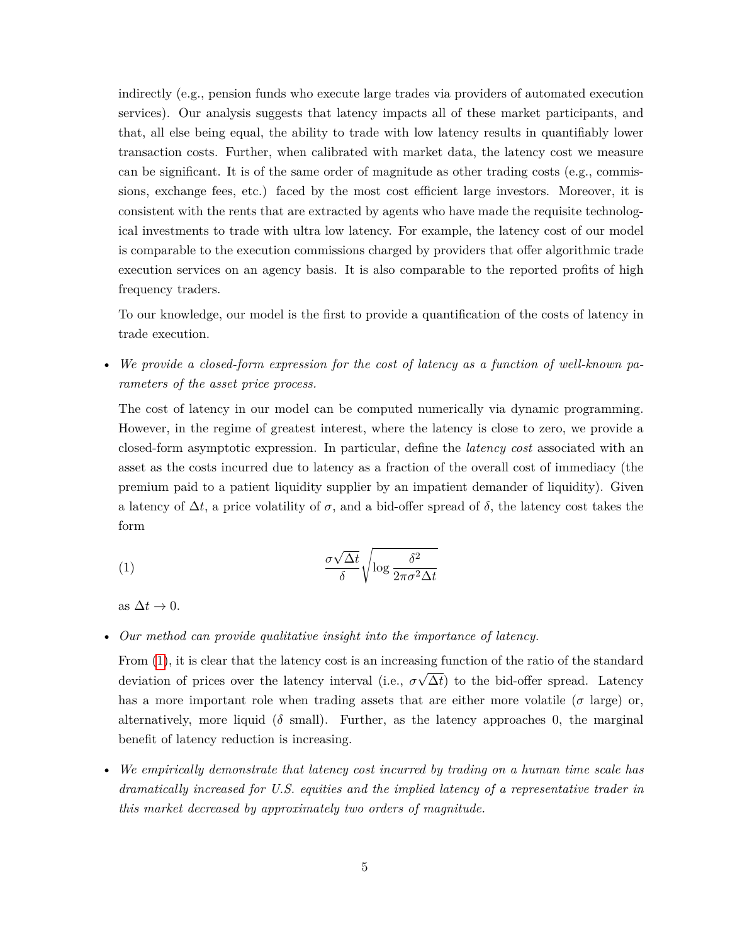indirectly (e.g., pension funds who execute large trades via providers of automated execution services). Our analysis suggests that latency impacts all of these market participants, and that, all else being equal, the ability to trade with low latency results in quantifiably lower transaction costs. Further, when calibrated with market data, the latency cost we measure can be significant. It is of the same order of magnitude as other trading costs (e.g., commissions, exchange fees, etc.) faced by the most cost efficient large investors. Moreover, it is consistent with the rents that are extracted by agents who have made the requisite technological investments to trade with ultra low latency. For example, the latency cost of our model is comparable to the execution commissions charged by providers that offer algorithmic trade execution services on an agency basis. It is also comparable to the reported profits of high frequency traders.

To our knowledge, our model is the first to provide a quantification of the costs of latency in trade execution.

• *We provide a closed-form expression for the cost of latency as a function of well-known parameters of the asset price process.*

The cost of latency in our model can be computed numerically via dynamic programming. However, in the regime of greatest interest, where the latency is close to zero, we provide a closed-form asymptotic expression. In particular, define the *latency cost* associated with an asset as the costs incurred due to latency as a fraction of the overall cost of immediacy (the premium paid to a patient liquidity supplier by an impatient demander of liquidity). Given a latency of  $\Delta t$ , a price volatility of  $\sigma$ , and a bid-offer spread of  $\delta$ , the latency cost takes the form

<span id="page-4-0"></span>(1) 
$$
\frac{\sigma\sqrt{\Delta t}}{\delta}\sqrt{\log\frac{\delta^2}{2\pi\sigma^2\Delta t}}
$$

as  $\Delta t \rightarrow 0$ .

• *Our method can provide qualitative insight into the importance of latency.*

From  $(1)$ , it is clear that the latency cost is an increasing function of the ratio of the standard deviation of prices over the latency interval (i.e.,  $\sigma\sqrt{\Delta t}$ ) to the bid-offer spread. Latency has a more important role when trading assets that are either more volatile ( $\sigma$  large) or, alternatively, more liquid  $(\delta \text{ small})$ . Further, as the latency approaches 0, the marginal benefit of latency reduction is increasing.

• *We empirically demonstrate that latency cost incurred by trading on a human time scale has dramatically increased for U.S. equities and the implied latency of a representative trader in this market decreased by approximately two orders of magnitude.*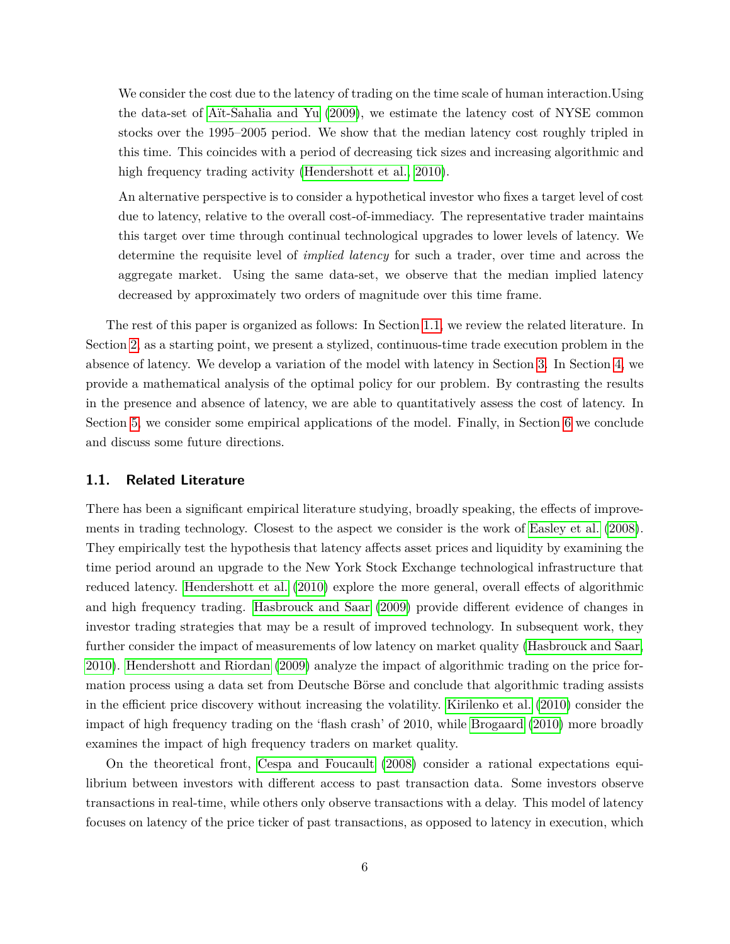We consider the cost due to the latency of trading on the time scale of human interaction.Using the data-set of [Aït-Sahalia and Yu](#page-30-0) [\(2009\)](#page-30-0), we estimate the latency cost of NYSE common stocks over the 1995–2005 period. We show that the median latency cost roughly tripled in this time. This coincides with a period of decreasing tick sizes and increasing algorithmic and high frequency trading activity [\(Hendershott et al., 2010\)](#page-31-6).

An alternative perspective is to consider a hypothetical investor who fixes a target level of cost due to latency, relative to the overall cost-of-immediacy. The representative trader maintains this target over time through continual technological upgrades to lower levels of latency. We determine the requisite level of *implied latency* for such a trader, over time and across the aggregate market. Using the same data-set, we observe that the median implied latency decreased by approximately two orders of magnitude over this time frame.

The rest of this paper is organized as follows: In Section [1.1,](#page-5-0) we review the related literature. In Section [2,](#page-6-0) as a starting point, we present a stylized, continuous-time trade execution problem in the absence of latency. We develop a variation of the model with latency in Section [3.](#page-11-0) In Section [4,](#page-13-0) we provide a mathematical analysis of the optimal policy for our problem. By contrasting the results in the presence and absence of latency, we are able to quantitatively assess the cost of latency. In Section [5,](#page-20-0) we consider some empirical applications of the model. Finally, in Section [6](#page-29-0) we conclude and discuss some future directions.

#### <span id="page-5-0"></span>**1.1. Related Literature**

There has been a significant empirical literature studying, broadly speaking, the effects of improvements in trading technology. Closest to the aspect we consider is the work of [Easley et al.](#page-31-0) [\(2008\)](#page-31-0). They empirically test the hypothesis that latency affects asset prices and liquidity by examining the time period around an upgrade to the New York Stock Exchange technological infrastructure that reduced latency. [Hendershott et al.](#page-31-6) [\(2010\)](#page-31-6) explore the more general, overall effects of algorithmic and high frequency trading. [Hasbrouck and Saar](#page-31-7) [\(2009\)](#page-31-7) provide different evidence of changes in investor trading strategies that may be a result of improved technology. In subsequent work, they further consider the impact of measurements of low latency on market quality [\(Hasbrouck and Saar,](#page-31-8) [2010\)](#page-31-8). [Hendershott and Riordan](#page-31-9) [\(2009\)](#page-31-9) analyze the impact of algorithmic trading on the price formation process using a data set from Deutsche Börse and conclude that algorithmic trading assists in the efficient price discovery without increasing the volatility. [Kirilenko et al.](#page-31-10) [\(2010\)](#page-31-10) consider the impact of high frequency trading on the 'flash crash' of 2010, while [Brogaard](#page-30-1) [\(2010\)](#page-30-1) more broadly examines the impact of high frequency traders on market quality.

On the theoretical front, [Cespa and Foucault](#page-31-1) [\(2008\)](#page-31-1) consider a rational expectations equilibrium between investors with different access to past transaction data. Some investors observe transactions in real-time, while others only observe transactions with a delay. This model of latency focuses on latency of the price ticker of past transactions, as opposed to latency in execution, which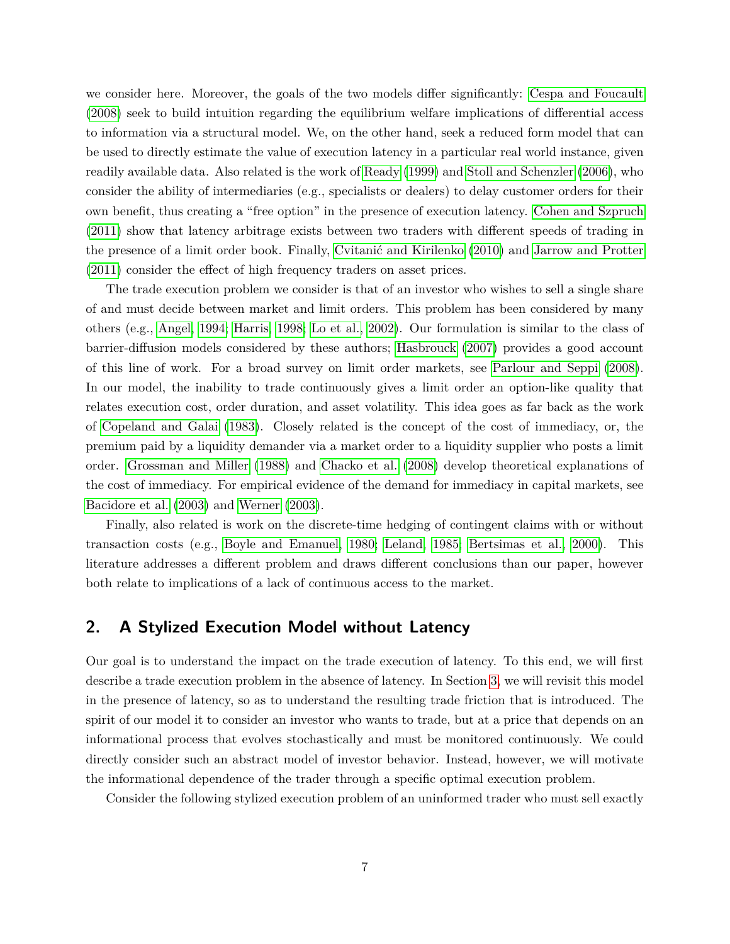we consider here. Moreover, the goals of the two models differ significantly: [Cespa and Foucault](#page-31-1) [\(2008\)](#page-31-1) seek to build intuition regarding the equilibrium welfare implications of differential access to information via a structural model. We, on the other hand, seek a reduced form model that can be used to directly estimate the value of execution latency in a particular real world instance, given readily available data. Also related is the work of [Ready](#page-32-1) [\(1999\)](#page-32-1) and [Stoll and Schenzler](#page-32-2) [\(2006\)](#page-32-2), who consider the ability of intermediaries (e.g., specialists or dealers) to delay customer orders for their own benefit, thus creating a "free option" in the presence of execution latency. [Cohen and Szpruch](#page-31-11) [\(2011\)](#page-31-11) show that latency arbitrage exists between two traders with different speeds of trading in the presence of a limit order book. Finally, Cvitanic and Kirilenko [\(2010\)](#page-31-12) and [Jarrow and Protter](#page-31-13) [\(2011\)](#page-31-13) consider the effect of high frequency traders on asset prices.

The trade execution problem we consider is that of an investor who wishes to sell a single share of and must decide between market and limit orders. This problem has been considered by many others (e.g., [Angel, 1994;](#page-30-2) [Harris, 1998;](#page-31-3) [Lo et al., 2002\)](#page-31-14). Our formulation is similar to the class of barrier-diffusion models considered by these authors; [Hasbrouck](#page-31-15) [\(2007\)](#page-31-15) provides a good account of this line of work. For a broad survey on limit order markets, see [Parlour and Seppi](#page-31-16) [\(2008\)](#page-31-16). In our model, the inability to trade continuously gives a limit order an option-like quality that relates execution cost, order duration, and asset volatility. This idea goes as far back as the work of [Copeland and Galai](#page-31-17) [\(1983\)](#page-31-17). Closely related is the concept of the cost of immediacy, or, the premium paid by a liquidity demander via a market order to a liquidity supplier who posts a limit order. [Grossman and Miller](#page-31-4) [\(1988\)](#page-31-4) and [Chacko et al.](#page-31-5) [\(2008\)](#page-31-5) develop theoretical explanations of the cost of immediacy. For empirical evidence of the demand for immediacy in capital markets, see [Bacidore et al.](#page-30-3) [\(2003\)](#page-30-3) and [Werner](#page-32-3) [\(2003\)](#page-32-3).

Finally, also related is work on the discrete-time hedging of contingent claims with or without transaction costs (e.g., [Boyle and Emanuel, 1980;](#page-30-4) [Leland, 1985;](#page-31-18) [Bertsimas et al., 2000\)](#page-30-5). This literature addresses a different problem and draws different conclusions than our paper, however both relate to implications of a lack of continuous access to the market.

## <span id="page-6-0"></span>**2. A Stylized Execution Model without Latency**

Our goal is to understand the impact on the trade execution of latency. To this end, we will first describe a trade execution problem in the absence of latency. In Section [3,](#page-11-0) we will revisit this model in the presence of latency, so as to understand the resulting trade friction that is introduced. The spirit of our model it to consider an investor who wants to trade, but at a price that depends on an informational process that evolves stochastically and must be monitored continuously. We could directly consider such an abstract model of investor behavior. Instead, however, we will motivate the informational dependence of the trader through a specific optimal execution problem.

Consider the following stylized execution problem of an uninformed trader who must sell exactly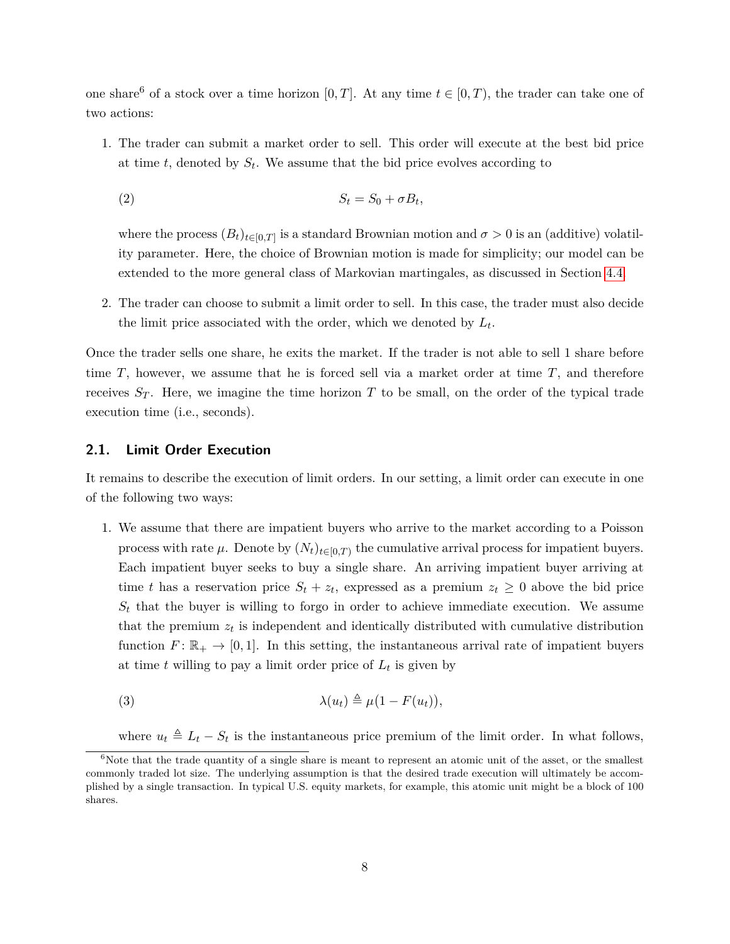one share<sup>6</sup> of a stock over a time horizon [0, T]. At any time  $t \in [0, T)$ , the trader can take one of two actions:

1. The trader can submit a market order to sell. This order will execute at the best bid price at time  $t$ , denoted by  $S_t$ . We assume that the bid price evolves according to

<span id="page-7-1"></span>
$$
(2) \t S_t = S_0 + \sigma B_t,
$$

where the process  $(B_t)_{t\in[0,T]}$  is a standard Brownian motion and  $\sigma>0$  is an (additive) volatility parameter. Here, the choice of Brownian motion is made for simplicity; our model can be extended to the more general class of Markovian martingales, as discussed in Section [4.4.](#page-19-0)

2. The trader can choose to submit a limit order to sell. In this case, the trader must also decide the limit price associated with the order, which we denoted by  $L_t$ .

Once the trader sells one share, he exits the market. If the trader is not able to sell 1 share before time *T*, however, we assume that he is forced sell via a market order at time *T*, and therefore receives  $S_T$ . Here, we imagine the time horizon  $T$  to be small, on the order of the typical trade execution time (i.e., seconds).

#### <span id="page-7-2"></span>**2.1. Limit Order Execution**

It remains to describe the execution of limit orders. In our setting, a limit order can execute in one of the following two ways:

1. We assume that there are impatient buyers who arrive to the market according to a Poisson process with rate  $\mu$ . Denote by  $(N_t)_{t \in [0,T]}$  the cumulative arrival process for impatient buyers. Each impatient buyer seeks to buy a single share. An arriving impatient buyer arriving at time *t* has a reservation price  $S_t + z_t$ , expressed as a premium  $z_t \geq 0$  above the bid price  $S_t$  that the buyer is willing to forgo in order to achieve immediate execution. We assume that the premium  $z_t$  is independent and identically distributed with cumulative distribution function  $F: \mathbb{R}_+ \to [0,1]$ . In this setting, the instantaneous arrival rate of impatient buyers at time  $t$  willing to pay a limit order price of  $L_t$  is given by

<span id="page-7-0"></span>(3) 
$$
\lambda(u_t) \triangleq \mu(1 - F(u_t)),
$$

where  $u_t \triangleq L_t - S_t$  is the instantaneous price premium of the limit order. In what follows,

 $6$ Note that the trade quantity of a single share is meant to represent an atomic unit of the asset, or the smallest commonly traded lot size. The underlying assumption is that the desired trade execution will ultimately be accomplished by a single transaction. In typical U.S. equity markets, for example, this atomic unit might be a block of 100 shares.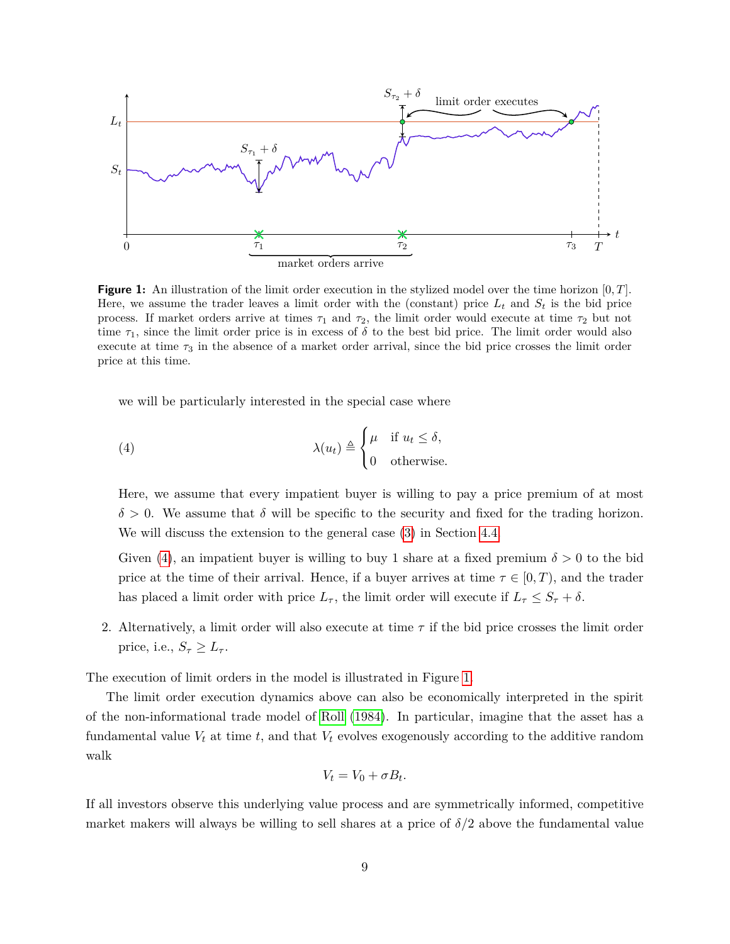<span id="page-8-1"></span>

**Figure 1:** An illustration of the limit order execution in the stylized model over the time horizon [0*, T*]. Here, we assume the trader leaves a limit order with the (constant) price  $L_t$  and  $S_t$  is the bid price process. If market orders arrive at times  $\tau_1$  and  $\tau_2$ , the limit order would execute at time  $\tau_2$  but not time  $\tau_1$ , since the limit order price is in excess of  $\delta$  to the best bid price. The limit order would also execute at time *τ*<sup>3</sup> in the absence of a market order arrival, since the bid price crosses the limit order price at this time.

<span id="page-8-0"></span>we will be particularly interested in the special case where

(4) 
$$
\lambda(u_t) \triangleq \begin{cases} \mu & \text{if } u_t \leq \delta, \\ 0 & \text{otherwise.} \end{cases}
$$

Here, we assume that every impatient buyer is willing to pay a price premium of at most  $\delta > 0$ . We assume that  $\delta$  will be specific to the security and fixed for the trading horizon. We will discuss the extension to the general case [\(3\)](#page-7-0) in Section [4.4.](#page-19-0)

Given [\(4\)](#page-8-0), an impatient buyer is willing to buy 1 share at a fixed premium  $\delta > 0$  to the bid price at the time of their arrival. Hence, if a buyer arrives at time  $\tau \in [0, T)$ , and the trader has placed a limit order with price  $L_{\tau}$ , the limit order will execute if  $L_{\tau} \leq S_{\tau} + \delta$ .

2. Alternatively, a limit order will also execute at time *τ* if the bid price crosses the limit order price, i.e.,  $S_{\tau} \geq L_{\tau}$ .

The execution of limit orders in the model is illustrated in Figure [1.](#page-8-1)

The limit order execution dynamics above can also be economically interpreted in the spirit of the non-informational trade model of [Roll](#page-32-4) [\(1984\)](#page-32-4). In particular, imagine that the asset has a fundamental value  $V_t$  at time  $t$ , and that  $V_t$  evolves exogenously according to the additive random walk

$$
V_t = V_0 + \sigma B_t.
$$

If all investors observe this underlying value process and are symmetrically informed, competitive market makers will always be willing to sell shares at a price of  $\delta/2$  above the fundamental value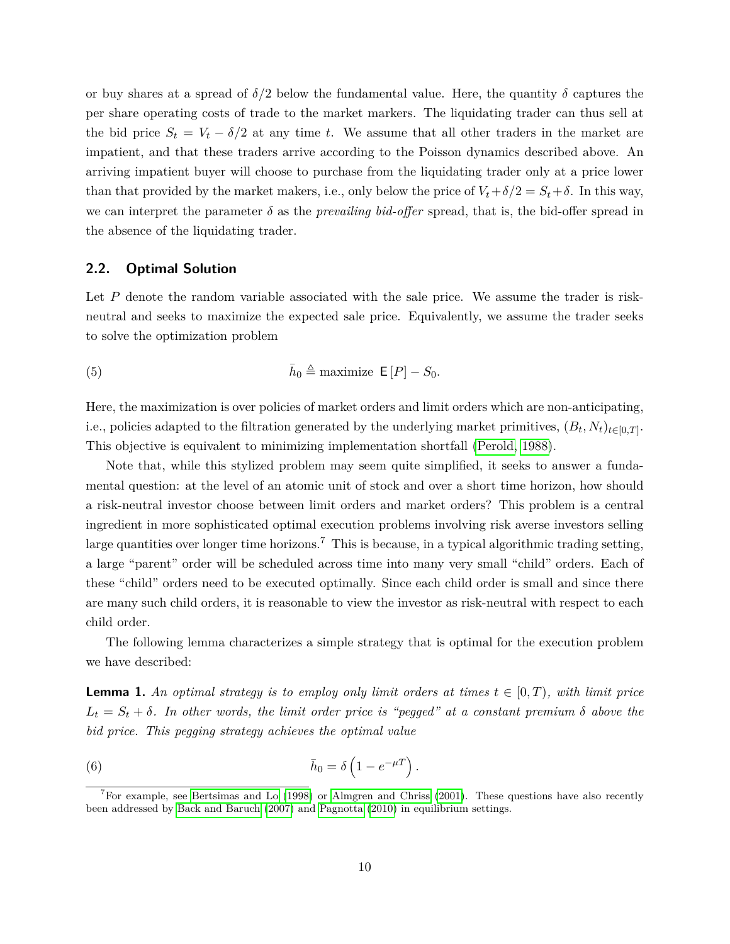or buy shares at a spread of  $\delta/2$  below the fundamental value. Here, the quantity  $\delta$  captures the per share operating costs of trade to the market markers. The liquidating trader can thus sell at the bid price  $S_t = V_t - \delta/2$  at any time *t*. We assume that all other traders in the market are impatient, and that these traders arrive according to the Poisson dynamics described above. An arriving impatient buyer will choose to purchase from the liquidating trader only at a price lower than that provided by the market makers, i.e., only below the price of  $V_t + \delta/2 = S_t + \delta$ . In this way, we can interpret the parameter  $\delta$  as the *prevailing bid-offer* spread, that is, the bid-offer spread in the absence of the liquidating trader.

#### **2.2. Optimal Solution**

<span id="page-9-1"></span>Let P denote the random variable associated with the sale price. We assume the trader is riskneutral and seeks to maximize the expected sale price. Equivalently, we assume the trader seeks to solve the optimization problem

(5) 
$$
\bar{h}_0 \triangleq \text{maximize } \mathsf{E}[P] - S_0.
$$

Here, the maximization is over policies of market orders and limit orders which are non-anticipating, i.e., policies adapted to the filtration generated by the underlying market primitives,  $(B_t, N_t)_{t \in [0,T]}$ . This objective is equivalent to minimizing implementation shortfall [\(Perold, 1988\)](#page-31-19).

Note that, while this stylized problem may seem quite simplified, it seeks to answer a fundamental question: at the level of an atomic unit of stock and over a short time horizon, how should a risk-neutral investor choose between limit orders and market orders? This problem is a central ingredient in more sophisticated optimal execution problems involving risk averse investors selling large quantities over longer time horizons.<sup>7</sup> This is because, in a typical algorithmic trading setting, a large "parent" order will be scheduled across time into many very small "child" orders. Each of these "child" orders need to be executed optimally. Since each child order is small and since there are many such child orders, it is reasonable to view the investor as risk-neutral with respect to each child order.

The following lemma characterizes a simple strategy that is optimal for the execution problem we have described:

<span id="page-9-0"></span>**Lemma 1.** An optimal strategy is to employ only limit orders at times  $t \in [0, T)$ , with limit price  $L_t = S_t + \delta$ . In other words, the limit order price is "pegged" at a constant premium  $\delta$  above the *bid price. This pegging strategy achieves the optimal value*

(6) 
$$
\bar{h}_0 = \delta \left( 1 - e^{-\mu T} \right).
$$

<sup>&</sup>lt;sup>7</sup>For example, see [Bertsimas and Lo](#page-30-6) [\(1998\)](#page-30-6) or [Almgren and Chriss](#page-30-7) [\(2001\)](#page-30-7). These questions have also recently been addressed by [Back and Baruch](#page-30-8) [\(2007\)](#page-30-8) and [Pagnotta](#page-31-20) [\(2010\)](#page-31-20) in equilibrium settings.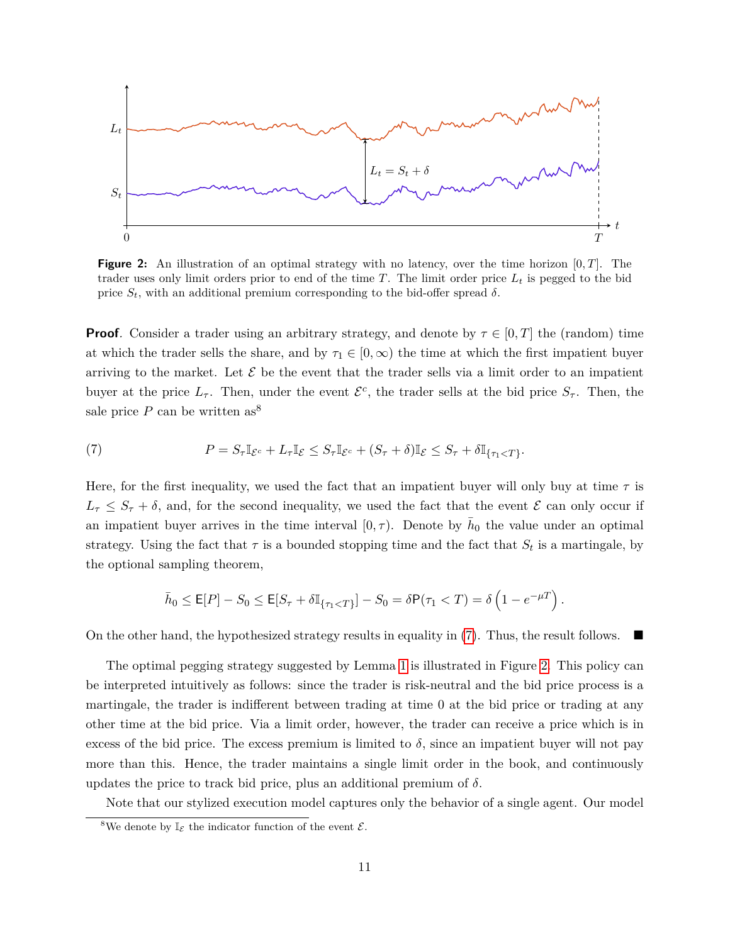<span id="page-10-1"></span>

**Figure 2:** An illustration of an optimal strategy with no latency, over the time horizon [0*, T*]. The trader uses only limit orders prior to end of the time *T*. The limit order price *L<sup>t</sup>* is pegged to the bid price  $S_t$ , with an additional premium corresponding to the bid-offer spread  $\delta$ .

**Proof***.* Consider a trader using an arbitrary strategy, and denote by  $\tau \in [0, T]$  the (random) time at which the trader sells the share, and by  $\tau_1 \in [0, \infty)$  the time at which the first impatient buyer arriving to the market. Let  $\mathcal E$  be the event that the trader sells via a limit order to an impatient buyer at the price  $L_{\tau}$ . Then, under the event  $\mathcal{E}^c$ , the trader sells at the bid price  $S_{\tau}$ . Then, the sale price  $P$  can be written as<sup>8</sup>

<span id="page-10-0"></span>(7) 
$$
P = S_{\tau} \mathbb{I}_{\mathcal{E}^c} + L_{\tau} \mathbb{I}_{\mathcal{E}} \leq S_{\tau} \mathbb{I}_{\mathcal{E}^c} + (S_{\tau} + \delta) \mathbb{I}_{\mathcal{E}} \leq S_{\tau} + \delta \mathbb{I}_{\{\tau_1 < T\}}.
$$

Here, for the first inequality, we used the fact that an impatient buyer will only buy at time  $\tau$  is  $L_{\tau} \leq S_{\tau} + \delta$ , and, for the second inequality, we used the fact that the event  $\mathcal E$  can only occur if an impatient buyer arrives in the time interval  $[0, \tau)$ . Denote by  $\bar{h}_0$  the value under an optimal strategy. Using the fact that  $\tau$  is a bounded stopping time and the fact that  $S_t$  is a martingale, by the optional sampling theorem,

$$
\bar{h}_0 \leq \mathsf{E}[P] - S_0 \leq \mathsf{E}[S_{\tau} + \delta \mathbb{I}_{\{\tau_1 < T\}}] - S_0 = \delta P(\tau_1 < T) = \delta \left(1 - e^{-\mu T}\right).
$$

On the other hand, the hypothesized strategy results in equality in [\(7\)](#page-10-0). Thus, the result follows.

The optimal pegging strategy suggested by Lemma [1](#page-9-0) is illustrated in Figure [2.](#page-10-1) This policy can be interpreted intuitively as follows: since the trader is risk-neutral and the bid price process is a martingale, the trader is indifferent between trading at time 0 at the bid price or trading at any other time at the bid price. Via a limit order, however, the trader can receive a price which is in excess of the bid price. The excess premium is limited to  $\delta$ , since an impatient buyer will not pay more than this. Hence, the trader maintains a single limit order in the book, and continuously updates the price to track bid price, plus an additional premium of *δ*.

Note that our stylized execution model captures only the behavior of a single agent. Our model

<sup>&</sup>lt;sup>8</sup>We denote by  $\mathbb{I}_{\mathcal{E}}$  the indicator function of the event  $\mathcal{E}$ .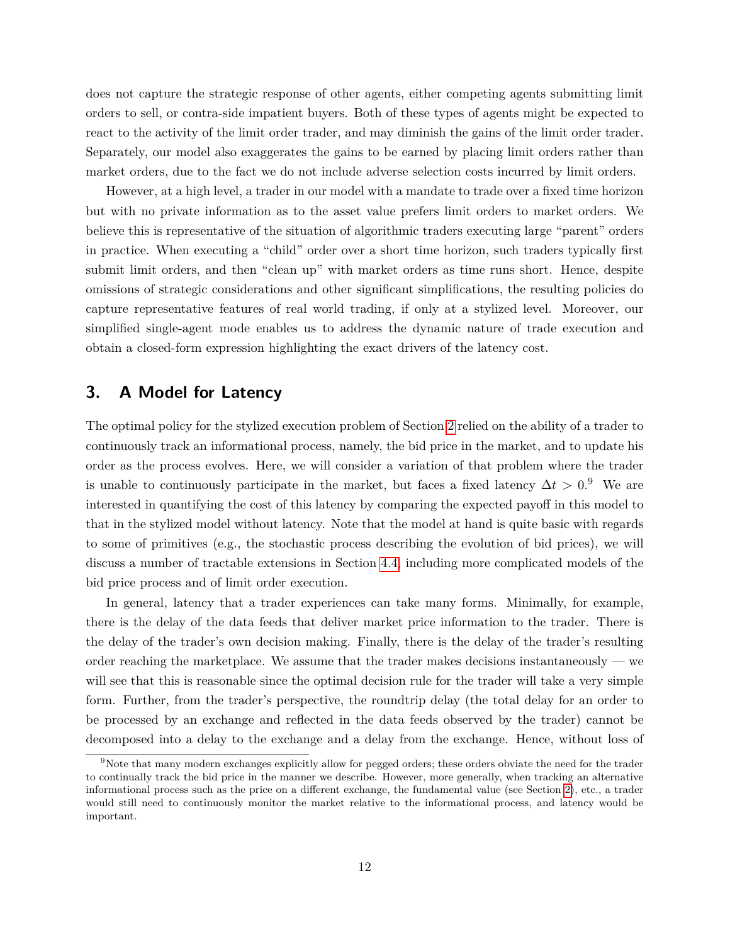does not capture the strategic response of other agents, either competing agents submitting limit orders to sell, or contra-side impatient buyers. Both of these types of agents might be expected to react to the activity of the limit order trader, and may diminish the gains of the limit order trader. Separately, our model also exaggerates the gains to be earned by placing limit orders rather than market orders, due to the fact we do not include adverse selection costs incurred by limit orders.

However, at a high level, a trader in our model with a mandate to trade over a fixed time horizon but with no private information as to the asset value prefers limit orders to market orders. We believe this is representative of the situation of algorithmic traders executing large "parent" orders in practice. When executing a "child" order over a short time horizon, such traders typically first submit limit orders, and then "clean up" with market orders as time runs short. Hence, despite omissions of strategic considerations and other significant simplifications, the resulting policies do capture representative features of real world trading, if only at a stylized level. Moreover, our simplified single-agent mode enables us to address the dynamic nature of trade execution and obtain a closed-form expression highlighting the exact drivers of the latency cost.

# <span id="page-11-0"></span>**3. A Model for Latency**

The optimal policy for the stylized execution problem of Section [2](#page-6-0) relied on the ability of a trader to continuously track an informational process, namely, the bid price in the market, and to update his order as the process evolves. Here, we will consider a variation of that problem where the trader is unable to continuously participate in the market, but faces a fixed latency  $\Delta t > 0.9$  We are interested in quantifying the cost of this latency by comparing the expected payoff in this model to that in the stylized model without latency. Note that the model at hand is quite basic with regards to some of primitives (e.g., the stochastic process describing the evolution of bid prices), we will discuss a number of tractable extensions in Section [4.4,](#page-19-0) including more complicated models of the bid price process and of limit order execution.

In general, latency that a trader experiences can take many forms. Minimally, for example, there is the delay of the data feeds that deliver market price information to the trader. There is the delay of the trader's own decision making. Finally, there is the delay of the trader's resulting order reaching the marketplace. We assume that the trader makes decisions instantaneously — we will see that this is reasonable since the optimal decision rule for the trader will take a very simple form. Further, from the trader's perspective, the roundtrip delay (the total delay for an order to be processed by an exchange and reflected in the data feeds observed by the trader) cannot be decomposed into a delay to the exchange and a delay from the exchange. Hence, without loss of

<sup>&</sup>lt;sup>9</sup>Note that many modern exchanges explicitly allow for pegged orders; these orders obviate the need for the trader to continually track the bid price in the manner we describe. However, more generally, when tracking an alternative informational process such as the price on a different exchange, the fundamental value (see Section [2\)](#page-6-0), etc., a trader would still need to continuously monitor the market relative to the informational process, and latency would be important.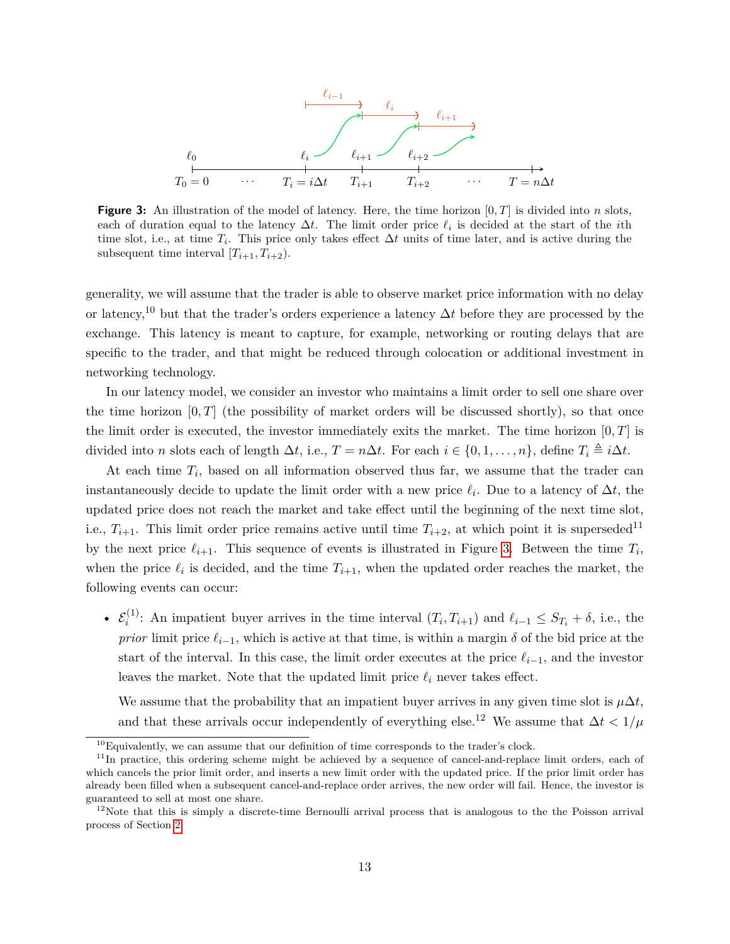<span id="page-12-0"></span>

**Figure 3:** An illustration of the model of latency. Here, the time horizon  $[0, T]$  is divided into *n* slots, each of duration equal to the latency  $\Delta t$ . The limit order price  $\ell_i$  is decided at the start of the *i*th time slot, i.e., at time  $T_i$ . This price only takes effect  $\Delta t$  units of time later, and is active during the subsequent time interval  $[T_{i+1}, T_{i+2})$ .

generality, we will assume that the trader is able to observe market price information with no delay or latency,<sup>10</sup> but that the trader's orders experience a latency ∆*t* before they are processed by the exchange. This latency is meant to capture, for example, networking or routing delays that are specific to the trader, and that might be reduced through colocation or additional investment in networking technology.

In our latency model, we consider an investor who maintains a limit order to sell one share over the time horizon  $[0, T]$  (the possibility of market orders will be discussed shortly), so that once the limit order is executed, the investor immediately exits the market. The time horizon [0*, T*] is divided into *n* slots each of length  $\Delta t$ , i.e.,  $T = n\Delta t$ . For each  $i \in \{0, 1, \ldots, n\}$ , define  $T_i \triangleq i\Delta t$ .

At each time  $T_i$ , based on all information observed thus far, we assume that the trader can instantaneously decide to update the limit order with a new price  $\ell_i$ . Due to a latency of  $\Delta t$ , the updated price does not reach the market and take effect until the beginning of the next time slot, i.e.,  $T_{i+1}$ . This limit order price remains active until time  $T_{i+2}$ , at which point it is superseded<sup>11</sup> by the next price  $\ell_{i+1}$ . This sequence of events is illustrated in Figure [3.](#page-12-0) Between the time  $T_i$ , when the price  $\ell_i$  is decided, and the time  $T_{i+1}$ , when the updated order reaches the market, the following events can occur:

 $\bullet \ \mathcal{E}_i^{(1)}$ <sup>*i*</sup></sub>: An impatient buyer arrives in the time interval  $(T_i, T_{i+1})$  and  $\ell_{i-1} \leq S_{T_i} + \delta$ , i.e., the *prior* limit price  $\ell_{i-1}$ , which is active at that time, is within a margin  $\delta$  of the bid price at the start of the interval. In this case, the limit order executes at the price  $\ell_{i-1}$ , and the investor leaves the market. Note that the updated limit price  $\ell_i$  never takes effect.

We assume that the probability that an impatient buyer arrives in any given time slot is  $\mu \Delta t$ , and that these arrivals occur independently of everything else.<sup>12</sup> We assume that  $\Delta t < 1/\mu$ 

 $10E$ quivalently, we can assume that our definition of time corresponds to the trader's clock.

<sup>&</sup>lt;sup>11</sup>In practice, this ordering scheme might be achieved by a sequence of cancel-and-replace limit orders, each of which cancels the prior limit order, and inserts a new limit order with the updated price. If the prior limit order has already been filled when a subsequent cancel-and-replace order arrives, the new order will fail. Hence, the investor is guaranteed to sell at most one share.

 $12$ Note that this is simply a discrete-time Bernoulli arrival process that is analogous to the the Poisson arrival process of Section [2.](#page-6-0)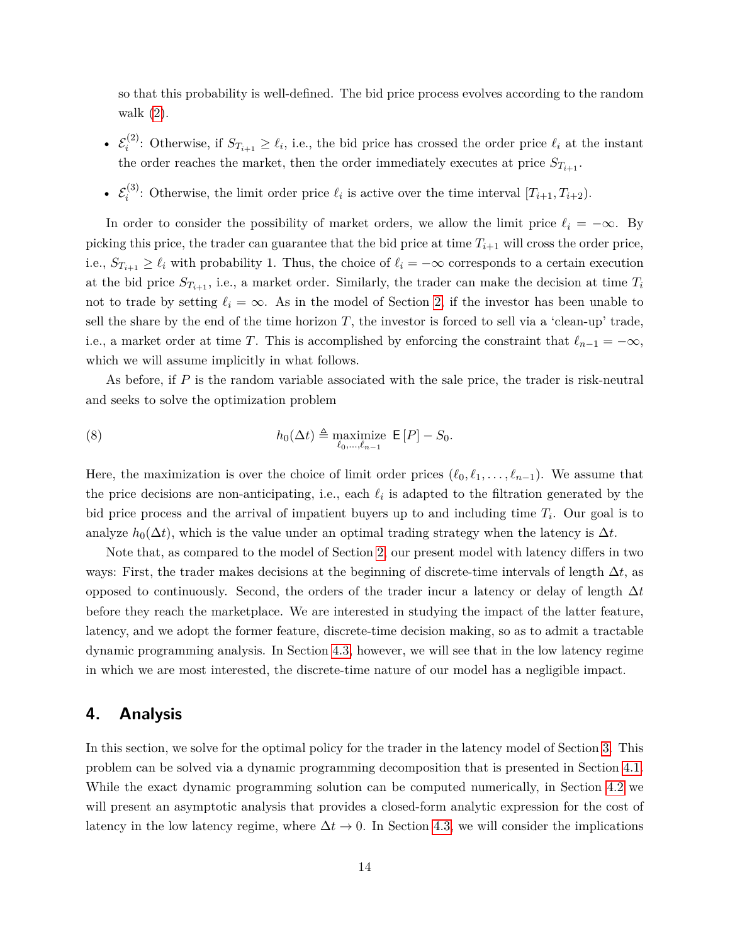so that this probability is well-defined. The bid price process evolves according to the random walk [\(2\)](#page-7-1).

- $\cdot \; \mathcal{E}^{(2)}_i$ <sup>(2)</sup>: Otherwise, if  $S_{T_{i+1}} \geq \ell_i$ , i.e., the bid price has crossed the order price  $\ell_i$  at the instant the order reaches the market, then the order immediately executes at price  $S_{T_{i+1}}$ .
- $\cdot \; \mathcal{E}_i^{(3)}$ <sup>(3)</sup>: Otherwise, the limit order price  $\ell_i$  is active over the time interval  $[T_{i+1}, T_{i+2})$ .

In order to consider the possibility of market orders, we allow the limit price  $\ell_i = -\infty$ . By picking this price, the trader can guarantee that the bid price at time  $T_{i+1}$  will cross the order price, i.e.,  $S_{T_{i+1}} \geq \ell_i$  with probability 1. Thus, the choice of  $\ell_i = -\infty$  corresponds to a certain execution at the bid price  $S_{T_{i+1}}$ , i.e., a market order. Similarly, the trader can make the decision at time  $T_i$ not to trade by setting  $\ell_i = \infty$ . As in the model of Section [2,](#page-6-0) if the investor has been unable to sell the share by the end of the time horizon  $T$ , the investor is forced to sell via a 'clean-up' trade, i.e., a market order at time *T*. This is accomplished by enforcing the constraint that  $\ell_{n-1} = -\infty$ , which we will assume implicitly in what follows.

<span id="page-13-1"></span>As before, if *P* is the random variable associated with the sale price, the trader is risk-neutral and seeks to solve the optimization problem

(8) 
$$
h_0(\Delta t) \triangleq \underset{\ell_0,\ldots,\ell_{n-1}}{\text{maximize}} \mathsf{E}[P] - S_0.
$$

Here, the maximization is over the choice of limit order prices  $(\ell_0, \ell_1, \ldots, \ell_{n-1})$ . We assume that the price decisions are non-anticipating, i.e., each  $\ell_i$  is adapted to the filtration generated by the bid price process and the arrival of impatient buyers up to and including time *T<sup>i</sup>* . Our goal is to analyze  $h_0(\Delta t)$ , which is the value under an optimal trading strategy when the latency is  $\Delta t$ .

Note that, as compared to the model of Section [2,](#page-6-0) our present model with latency differs in two ways: First, the trader makes decisions at the beginning of discrete-time intervals of length ∆*t*, as opposed to continuously. Second, the orders of the trader incur a latency or delay of length ∆*t* before they reach the marketplace. We are interested in studying the impact of the latter feature, latency, and we adopt the former feature, discrete-time decision making, so as to admit a tractable dynamic programming analysis. In Section [4.3,](#page-18-0) however, we will see that in the low latency regime in which we are most interested, the discrete-time nature of our model has a negligible impact.

## <span id="page-13-0"></span>**4. Analysis**

In this section, we solve for the optimal policy for the trader in the latency model of Section [3.](#page-11-0) This problem can be solved via a dynamic programming decomposition that is presented in Section [4.1.](#page-14-0) While the exact dynamic programming solution can be computed numerically, in Section [4.2](#page-16-0) we will present an asymptotic analysis that provides a closed-form analytic expression for the cost of latency in the low latency regime, where  $\Delta t \to 0$ . In Section [4.3,](#page-18-0) we will consider the implications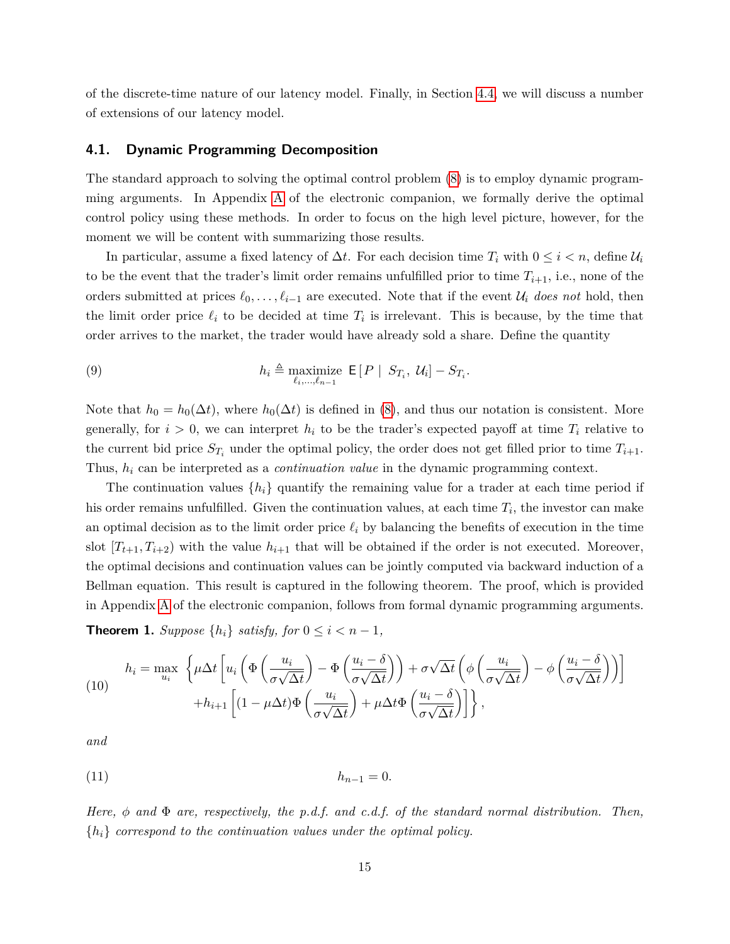of the discrete-time nature of our latency model. Finally, in Section [4.4,](#page-19-0) we will discuss a number of extensions of our latency model.

#### <span id="page-14-0"></span>**4.1. Dynamic Programming Decomposition**

The standard approach to solving the optimal control problem [\(8\)](#page-13-1) is to employ dynamic programming arguments. In Appendix [A](#page-33-0) of the electronic companion, we formally derive the optimal control policy using these methods. In order to focus on the high level picture, however, for the moment we will be content with summarizing those results.

In particular, assume a fixed latency of  $\Delta t$ . For each decision time  $T_i$  with  $0 \leq i < n$ , define  $\mathcal{U}_i$ to be the event that the trader's limit order remains unfulfilled prior to time  $T_{i+1}$ , i.e., none of the orders submitted at prices  $\ell_0, \ldots, \ell_{i-1}$  are executed. Note that if the event  $\mathcal{U}_i$  *does not* hold, then the limit order price  $\ell_i$  to be decided at time  $T_i$  is irrelevant. This is because, by the time that order arrives to the market, the trader would have already sold a share. Define the quantity

<span id="page-14-4"></span>(9) 
$$
h_i \triangleq \underset{\ell_i,\ldots,\ell_{n-1}}{\text{maximize}} \mathsf{E}\left[P \mid S_{T_i}, \mathcal{U}_i\right] - S_{T_i}.
$$

Note that  $h_0 = h_0(\Delta t)$ , where  $h_0(\Delta t)$  is defined in [\(8\)](#page-13-1), and thus our notation is consistent. More generally, for  $i > 0$ , we can interpret  $h_i$  to be the trader's expected payoff at time  $T_i$  relative to the current bid price  $S_{T_i}$  under the optimal policy, the order does not get filled prior to time  $T_{i+1}$ . Thus, *h<sup>i</sup>* can be interpreted as a *continuation value* in the dynamic programming context.

The continuation values  $\{h_i\}$  quantify the remaining value for a trader at each time period if his order remains unfulfilled. Given the continuation values, at each time *T<sup>i</sup>* , the investor can make an optimal decision as to the limit order price  $\ell_i$  by balancing the benefits of execution in the time slot  $[T_{t+1}, T_{t+2})$  with the value  $h_{t+1}$  that will be obtained if the order is not executed. Moreover, the optimal decisions and continuation values can be jointly computed via backward induction of a Bellman equation. This result is captured in the following theorem. The proof, which is provided in Appendix [A](#page-33-0) of the electronic companion, follows from formal dynamic programming arguments.

<span id="page-14-2"></span><span id="page-14-1"></span>**Theorem 1.** *Suppose*  $\{h_i\}$  *satisfy, for*  $0 \leq i \leq n-1$ *,* 

(10) 
$$
h_{i} = \max_{u_{i}} \left\{ \mu \Delta t \left[ u_{i} \left( \Phi \left( \frac{u_{i}}{\sigma \sqrt{\Delta t}} \right) - \Phi \left( \frac{u_{i} - \delta}{\sigma \sqrt{\Delta t}} \right) \right) + \sigma \sqrt{\Delta t} \left( \phi \left( \frac{u_{i}}{\sigma \sqrt{\Delta t}} \right) - \phi \left( \frac{u_{i} - \delta}{\sigma \sqrt{\Delta t}} \right) \right) \right] + h_{i+1} \left[ (1 - \mu \Delta t) \Phi \left( \frac{u_{i}}{\sigma \sqrt{\Delta t}} \right) + \mu \Delta t \Phi \left( \frac{u_{i} - \delta}{\sigma \sqrt{\Delta t}} \right) \right] \right\},
$$

<span id="page-14-3"></span>*and*

(11) *hn*−<sup>1</sup> = 0*.*

*Here, φ and* Φ *are, respectively, the p.d.f. and c.d.f. of the standard normal distribution. Then,* {*hi*} *correspond to the continuation values under the optimal policy.*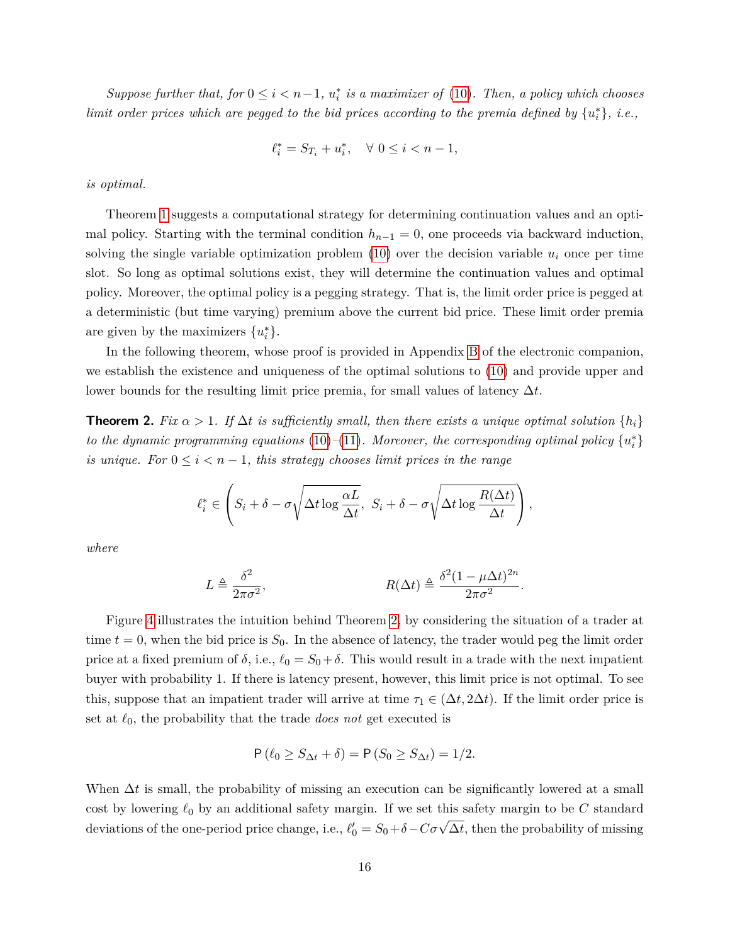$Suppose$  further that, for  $0 \leq i < n-1$ ,  $u_i^*$  *is a maximizer of* [\(10\)](#page-14-1)*. Then, a policy which chooses limit order prices which are pegged to the bid prices according to the premia defined by*  $\{u_i^*\}$ , *i.e.*,

$$
\ell_i^* = S_{T_i} + u_i^*, \quad \forall \ 0 \leq i < n - 1,
$$

*is optimal.*

Theorem [1](#page-14-2) suggests a computational strategy for determining continuation values and an optimal policy. Starting with the terminal condition  $h_{n-1} = 0$ , one proceeds via backward induction, solving the single variable optimization problem [\(10\)](#page-14-1) over the decision variable *u<sup>i</sup>* once per time slot. So long as optimal solutions exist, they will determine the continuation values and optimal policy. Moreover, the optimal policy is a pegging strategy. That is, the limit order price is pegged at a deterministic (but time varying) premium above the current bid price. These limit order premia are given by the maximizers  $\{u_i^*\}.$ 

In the following theorem, whose proof is provided in Appendix [B](#page-37-0) of the electronic companion, we establish the existence and uniqueness of the optimal solutions to [\(10\)](#page-14-1) and provide upper and lower bounds for the resulting limit price premia, for small values of latency ∆*t*.

<span id="page-15-0"></span>**Theorem 2.** *Fix*  $\alpha > 1$ *. If*  $\Delta t$  *is sufficiently small, then there exists a unique optimal solution*  $\{h_i\}$ *to the dynamic programming equations* [\(10\)](#page-14-1)–[\(11\)](#page-14-3)*. Moreover, the corresponding optimal policy*  $\{u_i^*\}$ *is unique.* For  $0 \leq i \leq n-1$ , this strategy chooses limit prices in the range

$$
\ell_i^* \in \left( S_i + \delta - \sigma \sqrt{\Delta t \log \frac{\alpha L}{\Delta t}}, \ S_i + \delta - \sigma \sqrt{\Delta t \log \frac{R(\Delta t)}{\Delta t}} \right),\
$$

*where*

$$
L \triangleq \frac{\delta^2}{2\pi\sigma^2}, \qquad R(\Delta t) \triangleq \frac{\delta^2(1-\mu\Delta t)^{2n}}{2\pi\sigma^2}.
$$

Figure [4](#page-16-1) illustrates the intuition behind Theorem [2,](#page-15-0) by considering the situation of a trader at time  $t = 0$ , when the bid price is  $S_0$ . In the absence of latency, the trader would peg the limit order price at a fixed premium of  $\delta$ , i.e.,  $\ell_0 = S_0 + \delta$ . This would result in a trade with the next impatient buyer with probability 1. If there is latency present, however, this limit price is not optimal. To see this, suppose that an impatient trader will arrive at time  $\tau_1 \in (\Delta t, 2\Delta t)$ . If the limit order price is set at  $\ell_0$ , the probability that the trade *does not* get executed is

$$
P(\ell_0 \ge S_{\Delta t} + \delta) = P(S_0 \ge S_{\Delta t}) = 1/2.
$$

When  $\Delta t$  is small, the probability of missing an execution can be significantly lowered at a small cost by lowering  $\ell_0$  by an additional safety margin. If we set this safety margin to be C standard deviations of the one-period price change, i.e.,  $\ell'_0 = S_0 + \delta - C\sigma\sqrt{\Delta t}$ , then the probability of missing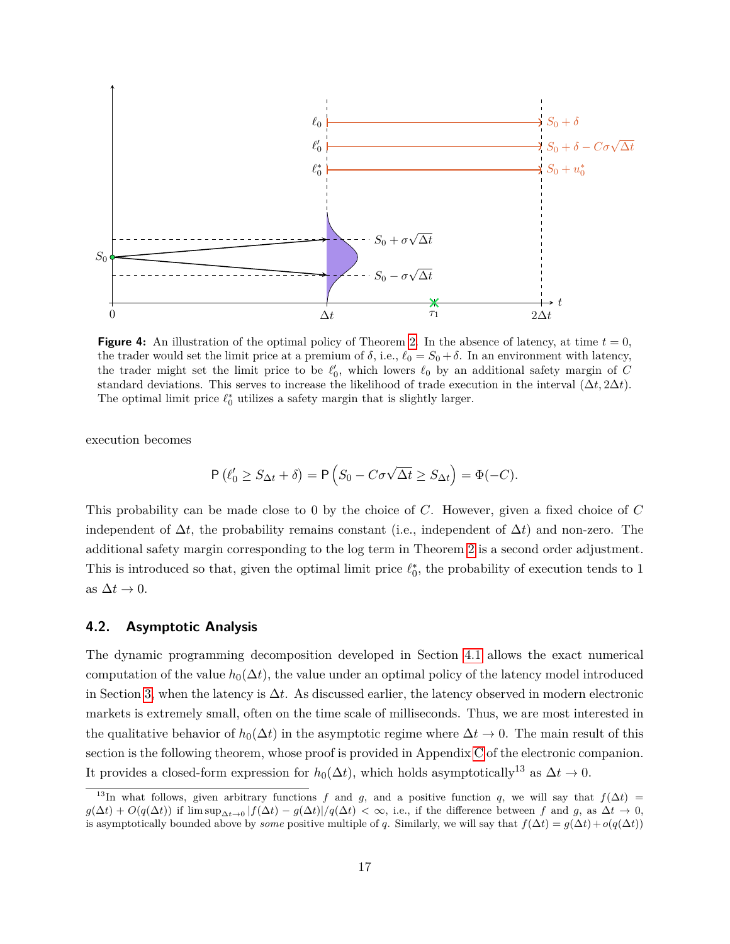<span id="page-16-1"></span>

**Figure 4:** An illustration of the optimal policy of Theorem [2.](#page-15-0) In the absence of latency, at time  $t = 0$ , the trader would set the limit price at a premium of  $\delta$ , i.e.,  $\ell_0 = S_0 + \delta$ . In an environment with latency, the trader might set the limit price to be  $\ell'_0$ , which lowers  $\ell_0$  by an additional safety margin of *C* standard deviations. This serves to increase the likelihood of trade execution in the interval  $(\Delta t, 2\Delta t)$ . The optimal limit price  $\ell_0^*$  utilizes a safety margin that is slightly larger.

execution becomes

$$
P\left(\ell'_0 \geq S_{\Delta t} + \delta\right) = P\left(S_0 - C\sigma\sqrt{\Delta t} \geq S_{\Delta t}\right) = \Phi(-C).
$$

This probability can be made close to 0 by the choice of *C*. However, given a fixed choice of *C* independent of ∆*t*, the probability remains constant (i.e., independent of ∆*t*) and non-zero. The additional safety margin corresponding to the log term in Theorem [2](#page-15-0) is a second order adjustment. This is introduced so that, given the optimal limit price  $\ell_0^*$ , the probability of execution tends to 1 as  $\Delta t \rightarrow 0$ .

#### <span id="page-16-0"></span>**4.2. Asymptotic Analysis**

The dynamic programming decomposition developed in Section [4.1](#page-14-0) allows the exact numerical computation of the value  $h_0(\Delta t)$ , the value under an optimal policy of the latency model introduced in Section [3,](#page-11-0) when the latency is ∆*t*. As discussed earlier, the latency observed in modern electronic markets is extremely small, often on the time scale of milliseconds. Thus, we are most interested in the qualitative behavior of  $h_0(\Delta t)$  in the asymptotic regime where  $\Delta t \to 0$ . The main result of this section is the following theorem, whose proof is provided in Appendix [C](#page-44-0) of the electronic companion. It provides a closed-form expression for  $h_0(\Delta t)$ , which holds asymptotically<sup>13</sup> as  $\Delta t \to 0$ .

<span id="page-16-2"></span><sup>&</sup>lt;sup>13</sup>In what follows, given arbitrary functions *f* and *g*, and a positive function *q*, we will say that  $f(\Delta t)$  =  $g(\Delta t) + O(q(\Delta t))$  if lim sup $\Delta t \to 0$ ,  $f(\Delta t) - g(\Delta t)/q(\Delta t) < \infty$ , i.e., if the difference between *f* and *g*, as  $\Delta t \to 0$ , is asymptotically bounded above by *some* positive multiple of *q*. Similarly, we will say that  $f(\Delta t) = g(\Delta t) + o(q(\Delta t))$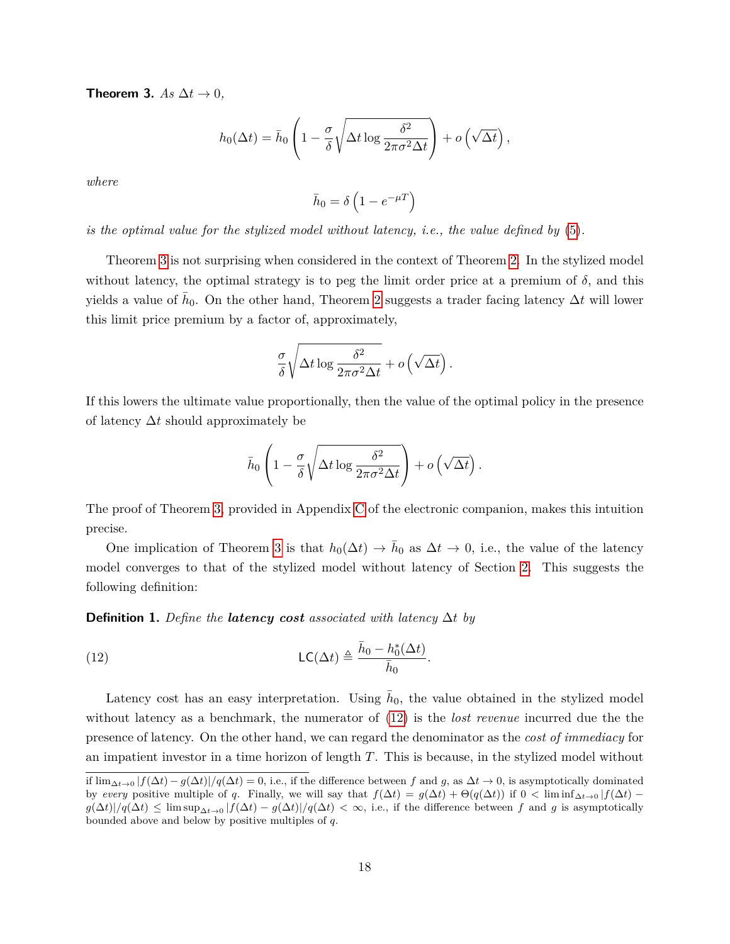**Theorem 3.**  $As \Delta t \rightarrow 0$ ,

$$
h_0(\Delta t) = \bar{h}_0 \left( 1 - \frac{\sigma}{\delta} \sqrt{\Delta t \log \frac{\delta^2}{2\pi \sigma^2 \Delta t}} \right) + o\left(\sqrt{\Delta t}\right),
$$

*where*

$$
\bar{h}_0 = \delta \left( 1 - e^{-\mu T} \right)
$$

*is the optimal value for the stylized model without latency, i.e., the value defined by* [\(5\)](#page-9-1)*.*

Theorem [3](#page-16-2) is not surprising when considered in the context of Theorem [2.](#page-15-0) In the stylized model without latency, the optimal strategy is to peg the limit order price at a premium of  $\delta$ , and this yields a value of  $\bar{h}_0$ . On the other hand, Theorem [2](#page-15-0) suggests a trader facing latency  $\Delta t$  will lower this limit price premium by a factor of, approximately,

$$
\frac{\sigma}{\delta} \sqrt{\Delta t \log \frac{\delta^2}{2\pi \sigma^2 \Delta t}} + o\left(\sqrt{\Delta t}\right).
$$

If this lowers the ultimate value proportionally, then the value of the optimal policy in the presence of latency ∆*t* should approximately be

<span id="page-17-0"></span>
$$
\bar{h}_0 \left( 1 - \frac{\sigma}{\delta} \sqrt{\Delta t \log \frac{\delta^2}{2\pi \sigma^2 \Delta t}} \right) + o\left(\sqrt{\Delta t}\right).
$$

The proof of Theorem [3,](#page-16-2) provided in Appendix [C](#page-44-0) of the electronic companion, makes this intuition precise.

One implication of Theorem [3](#page-16-2) is that  $h_0(\Delta t) \to \bar{h}_0$  as  $\Delta t \to 0$ , i.e., the value of the latency model converges to that of the stylized model without latency of Section [2.](#page-6-0) This suggests the following definition:

**Definition 1.** *Define the latency cost associated with latency* ∆*t by*

(12) 
$$
\mathsf{LC}(\Delta t) \triangleq \frac{\bar{h}_0 - h_0^*(\Delta t)}{\bar{h}_0}.
$$

Latency cost has an easy interpretation. Using  $\bar{h}_0$ , the value obtained in the stylized model without latency as a benchmark, the numerator of [\(12\)](#page-17-0) is the *lost revenue* incurred due the the presence of latency. On the other hand, we can regard the denominator as the *cost of immediacy* for an impatient investor in a time horizon of length *T*. This is because, in the stylized model without

if  $\lim_{\Delta t \to 0} |f(\Delta t) - g(\Delta t)|/q(\Delta t) = 0$ , i.e., if the difference between *f* and *g*, as  $\Delta t \to 0$ , is asymptotically dominated by *every* positive multiple of *q*. Finally, we will say that  $f(\Delta t) = g(\Delta t) + \Theta(q(\Delta t))$  if  $0 < \liminf_{\Delta t \to 0} |f(\Delta t) - f(\Delta t)|$  $g(\Delta t)/q(\Delta t) \leq \limsup_{\Delta t \to 0} |f(\Delta t) - g(\Delta t)|/q(\Delta t) < \infty$ , i.e., if the difference between *f* and *g* is asymptotically bounded above and below by positive multiples of *q*.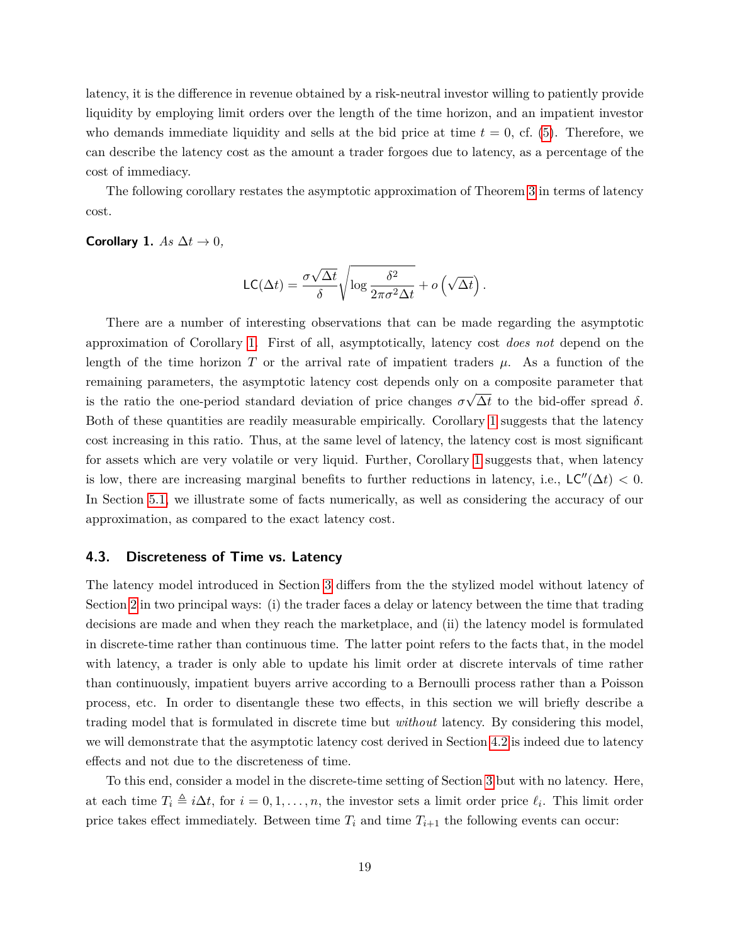latency, it is the difference in revenue obtained by a risk-neutral investor willing to patiently provide liquidity by employing limit orders over the length of the time horizon, and an impatient investor who demands immediate liquidity and sells at the bid price at time  $t = 0$ , cf. [\(5\)](#page-9-1). Therefore, we can describe the latency cost as the amount a trader forgoes due to latency, as a percentage of the cost of immediacy.

The following corollary restates the asymptotic approximation of Theorem [3](#page-16-2) in terms of latency cost.

#### <span id="page-18-1"></span>**Corollary 1.** *As*  $\Delta t \rightarrow 0$ *,*

$$
\mathsf{LC}(\Delta t) = \frac{\sigma \sqrt{\Delta t}}{\delta} \sqrt{\log \frac{\delta^2}{2\pi \sigma^2 \Delta t}} + o\left(\sqrt{\Delta t}\right).
$$

There are a number of interesting observations that can be made regarding the asymptotic approximation of Corollary [1.](#page-18-1) First of all, asymptotically, latency cost *does not* depend on the length of the time horizon *T* or the arrival rate of impatient traders  $\mu$ . As a function of the remaining parameters, the asymptotic latency cost depends only on a composite parameter that is the ratio the one-period standard deviation of price changes  $\sigma\sqrt{\Delta t}$  to the bid-offer spread  $\delta$ . Both of these quantities are readily measurable empirically. Corollary [1](#page-18-1) suggests that the latency cost increasing in this ratio. Thus, at the same level of latency, the latency cost is most significant for assets which are very volatile or very liquid. Further, Corollary [1](#page-18-1) suggests that, when latency is low, there are increasing marginal benefits to further reductions in latency, i.e.,  $\mathsf{LC}''(\Delta t) < 0$ . In Section [5.1,](#page-21-0) we illustrate some of facts numerically, as well as considering the accuracy of our approximation, as compared to the exact latency cost.

#### <span id="page-18-0"></span>**4.3. Discreteness of Time vs. Latency**

The latency model introduced in Section [3](#page-11-0) differs from the the stylized model without latency of Section [2](#page-6-0) in two principal ways: (i) the trader faces a delay or latency between the time that trading decisions are made and when they reach the marketplace, and (ii) the latency model is formulated in discrete-time rather than continuous time. The latter point refers to the facts that, in the model with latency, a trader is only able to update his limit order at discrete intervals of time rather than continuously, impatient buyers arrive according to a Bernoulli process rather than a Poisson process, etc. In order to disentangle these two effects, in this section we will briefly describe a trading model that is formulated in discrete time but *without* latency. By considering this model, we will demonstrate that the asymptotic latency cost derived in Section [4.2](#page-16-0) is indeed due to latency effects and not due to the discreteness of time.

To this end, consider a model in the discrete-time setting of Section [3](#page-11-0) but with no latency. Here, at each time  $T_i \triangleq i\Delta t$ , for  $i = 0, 1, \ldots, n$ , the investor sets a limit order price  $\ell_i$ . This limit order price takes effect immediately. Between time  $T_i$  and time  $T_{i+1}$  the following events can occur: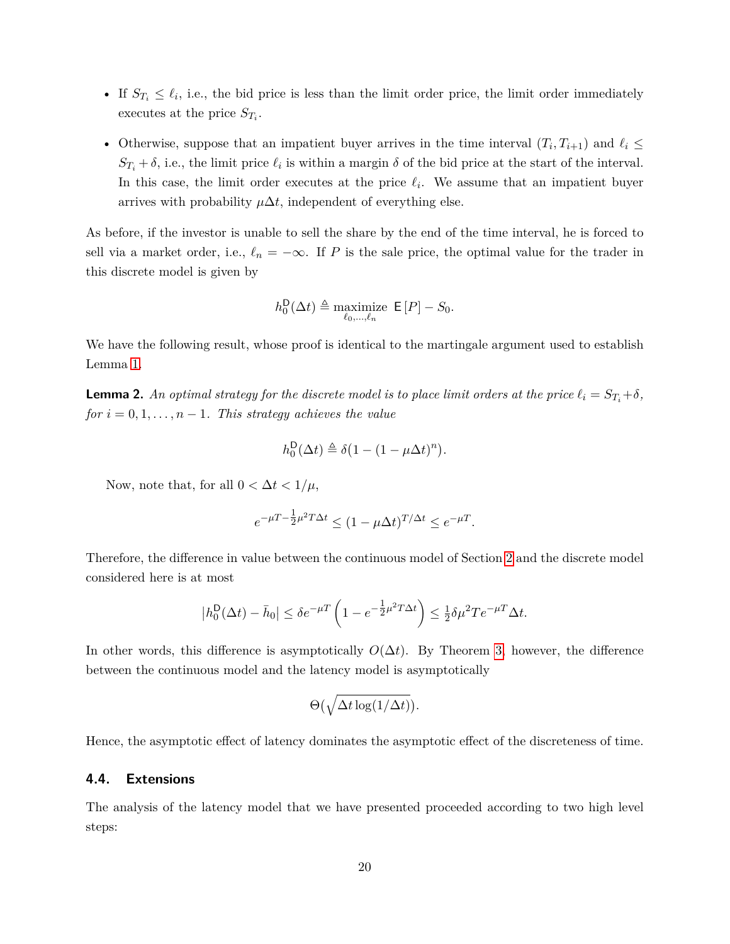- If  $S_{T_i} \leq \ell_i$ , i.e., the bid price is less than the limit order price, the limit order immediately executes at the price *ST<sup>i</sup>* .
- Otherwise, suppose that an impatient buyer arrives in the time interval  $(T_i, T_{i+1})$  and  $\ell_i \leq$  $S_{T_i} + \delta$ , i.e., the limit price  $\ell_i$  is within a margin  $\delta$  of the bid price at the start of the interval. In this case, the limit order executes at the price  $\ell_i$ . We assume that an impatient buyer arrives with probability  $\mu \Delta t$ , independent of everything else.

As before, if the investor is unable to sell the share by the end of the time interval, he is forced to sell via a market order, i.e.,  $\ell_n = -\infty$ . If *P* is the sale price, the optimal value for the trader in this discrete model is given by

$$
h_0^{\mathsf{D}}(\Delta t) \triangleq \underset{\ell_0,\ldots,\ell_n}{\operatorname{maximize}} \mathsf{E}[P] - S_0.
$$

We have the following result, whose proof is identical to the martingale argument used to establish Lemma [1.](#page-9-0)

<span id="page-19-1"></span>**Lemma 2.** An optimal strategy for the discrete model is to place limit orders at the price  $\ell_i = S_{T_i} + \delta$ , *for*  $i = 0, 1, \ldots, n - 1$ *. This strategy achieves the value* 

$$
h_0^{\mathsf{D}}(\Delta t) \triangleq \delta \big( 1 - (1 - \mu \Delta t)^n \big).
$$

Now, note that, for all  $0 < \Delta t < 1/\mu$ ,

$$
e^{-\mu T - \frac{1}{2}\mu^2 T \Delta t} \le (1 - \mu \Delta t)^{T/\Delta t} \le e^{-\mu T}.
$$

Therefore, the difference in value between the continuous model of Section [2](#page-6-0) and the discrete model considered here is at most

$$
\left|h_0^D(\Delta t) - \bar{h}_0\right| \le \delta e^{-\mu T} \left(1 - e^{-\frac{1}{2}\mu^2 T \Delta t}\right) \le \frac{1}{2}\delta \mu^2 T e^{-\mu T} \Delta t.
$$

In other words, this difference is asymptotically  $O(\Delta t)$ . By Theorem [3,](#page-16-2) however, the difference between the continuous model and the latency model is asymptotically

$$
\Theta\big(\sqrt{\Delta t \log(1/\Delta t)}\big).
$$

Hence, the asymptotic effect of latency dominates the asymptotic effect of the discreteness of time.

#### <span id="page-19-0"></span>**4.4. Extensions**

The analysis of the latency model that we have presented proceeded according to two high level steps: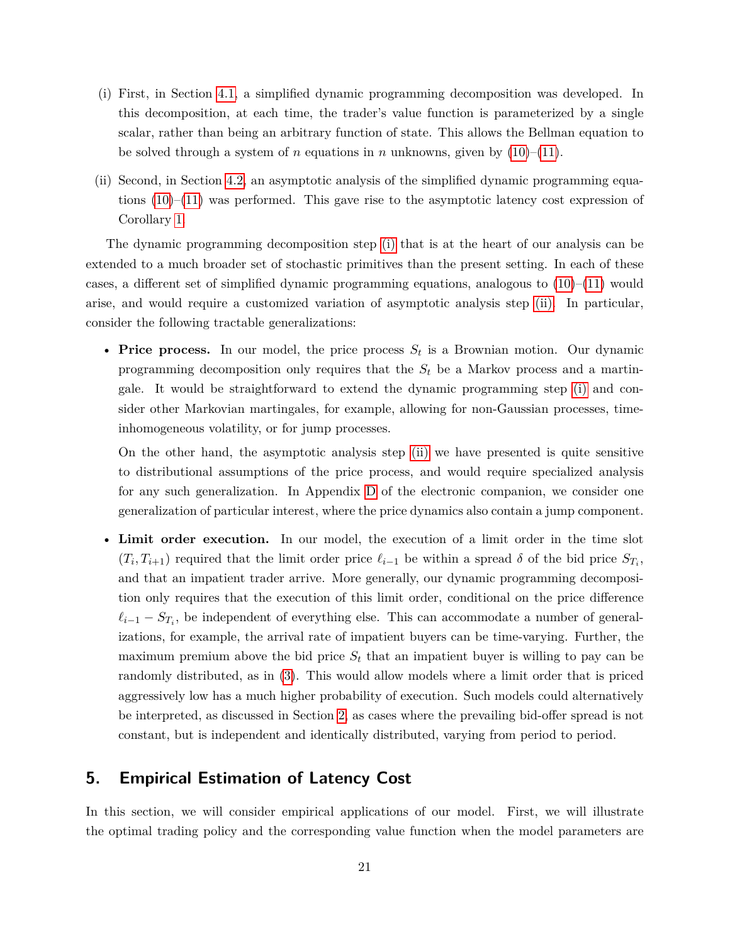- <span id="page-20-1"></span>(i) First, in Section [4.1,](#page-14-0) a simplified dynamic programming decomposition was developed. In this decomposition, at each time, the trader's value function is parameterized by a single scalar, rather than being an arbitrary function of state. This allows the Bellman equation to be solved through a system of *n* equations in *n* unknowns, given by  $(10)$ – $(11)$ .
- <span id="page-20-2"></span>(ii) Second, in Section [4.2,](#page-16-0) an asymptotic analysis of the simplified dynamic programming equations  $(10)$ – $(11)$  was performed. This gave rise to the asymptotic latency cost expression of Corollary [1.](#page-18-1)

The dynamic programming decomposition step [\(i\)](#page-20-1) that is at the heart of our analysis can be extended to a much broader set of stochastic primitives than the present setting. In each of these cases, a different set of simplified dynamic programming equations, analogous to  $(10)$ – $(11)$  would arise, and would require a customized variation of asymptotic analysis step [\(ii\).](#page-20-2) In particular, consider the following tractable generalizations:

• **Price process.** In our model, the price process  $S_t$  is a Brownian motion. Our dynamic programming decomposition only requires that the *S<sup>t</sup>* be a Markov process and a martingale. It would be straightforward to extend the dynamic programming step [\(i\)](#page-20-1) and consider other Markovian martingales, for example, allowing for non-Gaussian processes, timeinhomogeneous volatility, or for jump processes.

On the other hand, the asymptotic analysis step [\(ii\)](#page-20-2) we have presented is quite sensitive to distributional assumptions of the price process, and would require specialized analysis for any such generalization. In Appendix [D](#page-50-0) of the electronic companion, we consider one generalization of particular interest, where the price dynamics also contain a jump component.

• **Limit order execution.** In our model, the execution of a limit order in the time slot  $(T_i, T_{i+1})$  required that the limit order price  $\ell_{i-1}$  be within a spread  $\delta$  of the bid price  $S_{T_i}$ , and that an impatient trader arrive. More generally, our dynamic programming decomposition only requires that the execution of this limit order, conditional on the price difference  $\ell_{i-1}$  − *S*<sub>*T*<sup>*i*</sup></sub>, be independent of everything else. This can accommodate a number of generalizations, for example, the arrival rate of impatient buyers can be time-varying. Further, the maximum premium above the bid price  $S_t$  that an impatient buyer is willing to pay can be randomly distributed, as in [\(3\)](#page-7-0). This would allow models where a limit order that is priced aggressively low has a much higher probability of execution. Such models could alternatively be interpreted, as discussed in Section [2,](#page-6-0) as cases where the prevailing bid-offer spread is not constant, but is independent and identically distributed, varying from period to period.

## <span id="page-20-0"></span>**5. Empirical Estimation of Latency Cost**

In this section, we will consider empirical applications of our model. First, we will illustrate the optimal trading policy and the corresponding value function when the model parameters are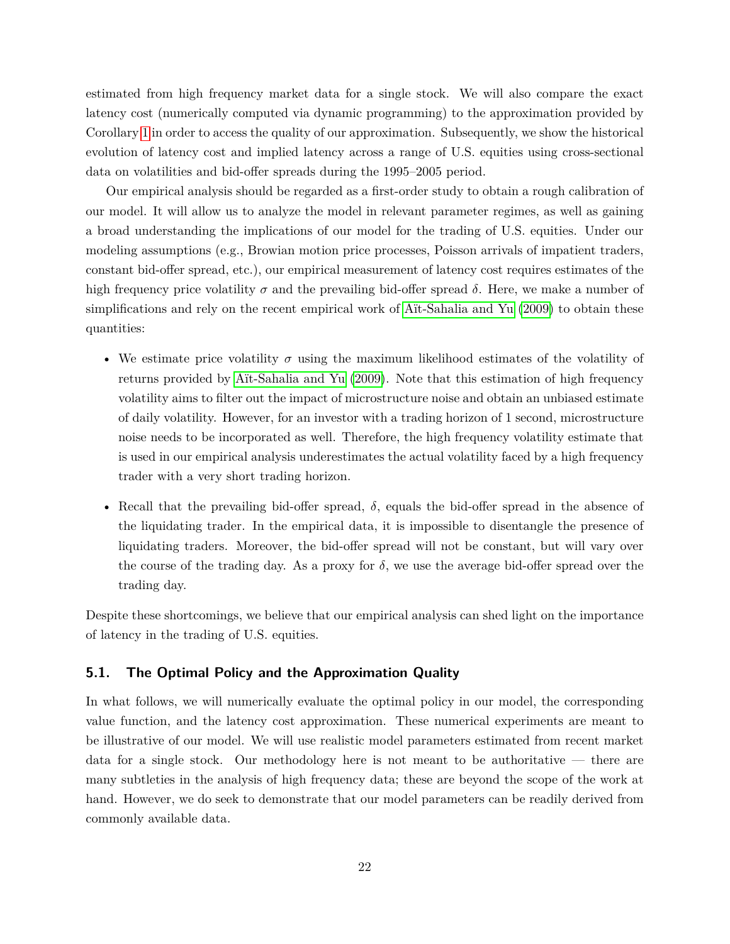estimated from high frequency market data for a single stock. We will also compare the exact latency cost (numerically computed via dynamic programming) to the approximation provided by Corollary [1](#page-18-1) in order to access the quality of our approximation. Subsequently, we show the historical evolution of latency cost and implied latency across a range of U.S. equities using cross-sectional data on volatilities and bid-offer spreads during the 1995–2005 period.

Our empirical analysis should be regarded as a first-order study to obtain a rough calibration of our model. It will allow us to analyze the model in relevant parameter regimes, as well as gaining a broad understanding the implications of our model for the trading of U.S. equities. Under our modeling assumptions (e.g., Browian motion price processes, Poisson arrivals of impatient traders, constant bid-offer spread, etc.), our empirical measurement of latency cost requires estimates of the high frequency price volatility  $\sigma$  and the prevailing bid-offer spread  $\delta$ . Here, we make a number of simplifications and rely on the recent empirical work of [Aït-Sahalia and Yu](#page-30-0) [\(2009\)](#page-30-0) to obtain these quantities:

- We estimate price volatility  $\sigma$  using the maximum likelihood estimates of the volatility of returns provided by [Aït-Sahalia and Yu](#page-30-0) [\(2009\)](#page-30-0). Note that this estimation of high frequency volatility aims to filter out the impact of microstructure noise and obtain an unbiased estimate of daily volatility. However, for an investor with a trading horizon of 1 second, microstructure noise needs to be incorporated as well. Therefore, the high frequency volatility estimate that is used in our empirical analysis underestimates the actual volatility faced by a high frequency trader with a very short trading horizon.
- Recall that the prevailing bid-offer spread, *δ*, equals the bid-offer spread in the absence of the liquidating trader. In the empirical data, it is impossible to disentangle the presence of liquidating traders. Moreover, the bid-offer spread will not be constant, but will vary over the course of the trading day. As a proxy for  $\delta$ , we use the average bid-offer spread over the trading day.

Despite these shortcomings, we believe that our empirical analysis can shed light on the importance of latency in the trading of U.S. equities.

#### <span id="page-21-0"></span>**5.1. The Optimal Policy and the Approximation Quality**

In what follows, we will numerically evaluate the optimal policy in our model, the corresponding value function, and the latency cost approximation. These numerical experiments are meant to be illustrative of our model. We will use realistic model parameters estimated from recent market data for a single stock. Our methodology here is not meant to be authoritative — there are many subtleties in the analysis of high frequency data; these are beyond the scope of the work at hand. However, we do seek to demonstrate that our model parameters can be readily derived from commonly available data.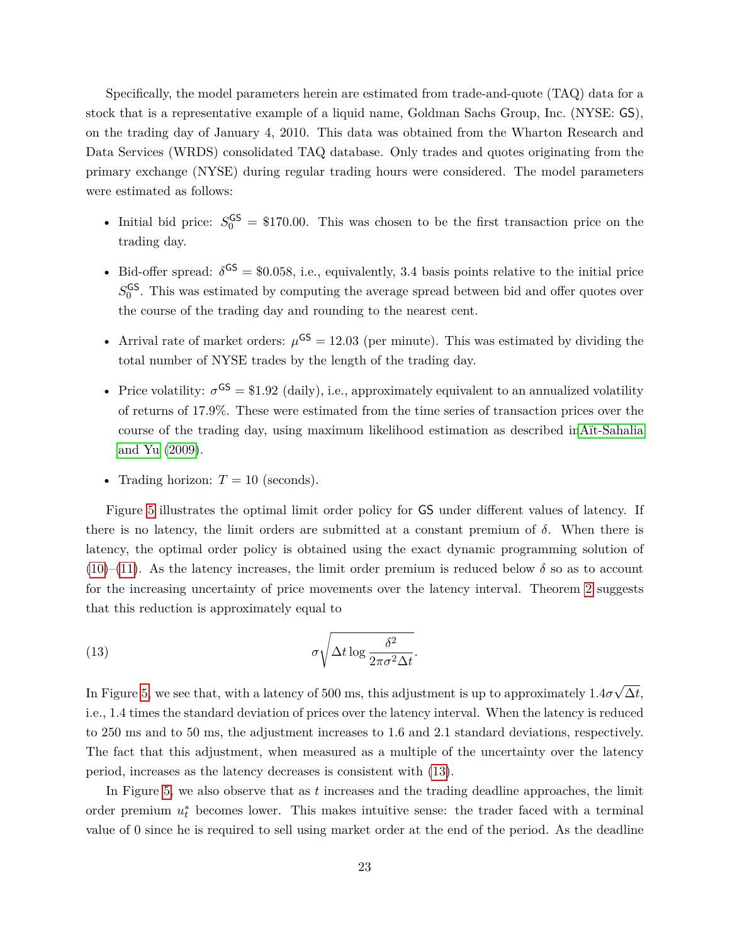Specifically, the model parameters herein are estimated from trade-and-quote (TAQ) data for a stock that is a representative example of a liquid name, Goldman Sachs Group, Inc. (NYSE: GS), on the trading day of January 4, 2010. This data was obtained from the Wharton Research and Data Services (WRDS) consolidated TAQ database. Only trades and quotes originating from the primary exchange (NYSE) during regular trading hours were considered. The model parameters were estimated as follows:

- Initial bid price:  $S_0^{\text{GS}} = \$170.00$ . This was chosen to be the first transaction price on the trading day.
- Bid-offer spread:  $\delta^{GS} = \$0.058$ , i.e., equivalently, 3.4 basis points relative to the initial price  $S_0^{\text{GS}}$ . This was estimated by computing the average spread between bid and offer quotes over the course of the trading day and rounding to the nearest cent.
- Arrival rate of market orders:  $\mu$ <sup>GS</sup> = 12.03 (per minute). This was estimated by dividing the total number of NYSE trades by the length of the trading day.
- Price volatility:  $\sigma^{GS} = \$1.92$  (daily), i.e., approximately equivalent to an annualized volatility of returns of 17*.*9%. These were estimated from the time series of transaction prices over the course of the trading day, using maximum likelihood estimation as described i[nAït-Sahalia](#page-30-0) [and Yu](#page-30-0) [\(2009\)](#page-30-0).
- Trading horizon:  $T = 10$  (seconds).

Figure [5](#page-23-0) illustrates the optimal limit order policy for GS under different values of latency. If there is no latency, the limit orders are submitted at a constant premium of *δ*. When there is latency, the optimal order policy is obtained using the exact dynamic programming solution of  $(10)$ – $(11)$ . As the latency increases, the limit order premium is reduced below  $\delta$  so as to account for the increasing uncertainty of price movements over the latency interval. Theorem [2](#page-15-0) suggests that this reduction is approximately equal to

<span id="page-22-0"></span>(13) 
$$
\sigma \sqrt{\Delta t \log \frac{\delta^2}{2\pi \sigma^2 \Delta t}}.
$$

In Figure [5,](#page-23-0) we see that, with a latency of 500 ms, this adjustment is up to approximately 1*.*4*σ* √ ∆*t*, i.e., 1*.*4 times the standard deviation of prices over the latency interval. When the latency is reduced to 250 ms and to 50 ms, the adjustment increases to 1*.*6 and 2*.*1 standard deviations, respectively. The fact that this adjustment, when measured as a multiple of the uncertainty over the latency period, increases as the latency decreases is consistent with [\(13\)](#page-22-0).

In Figure [5,](#page-23-0) we also observe that as *t* increases and the trading deadline approaches, the limit order premium  $u_t^*$  becomes lower. This makes intuitive sense: the trader faced with a terminal value of 0 since he is required to sell using market order at the end of the period. As the deadline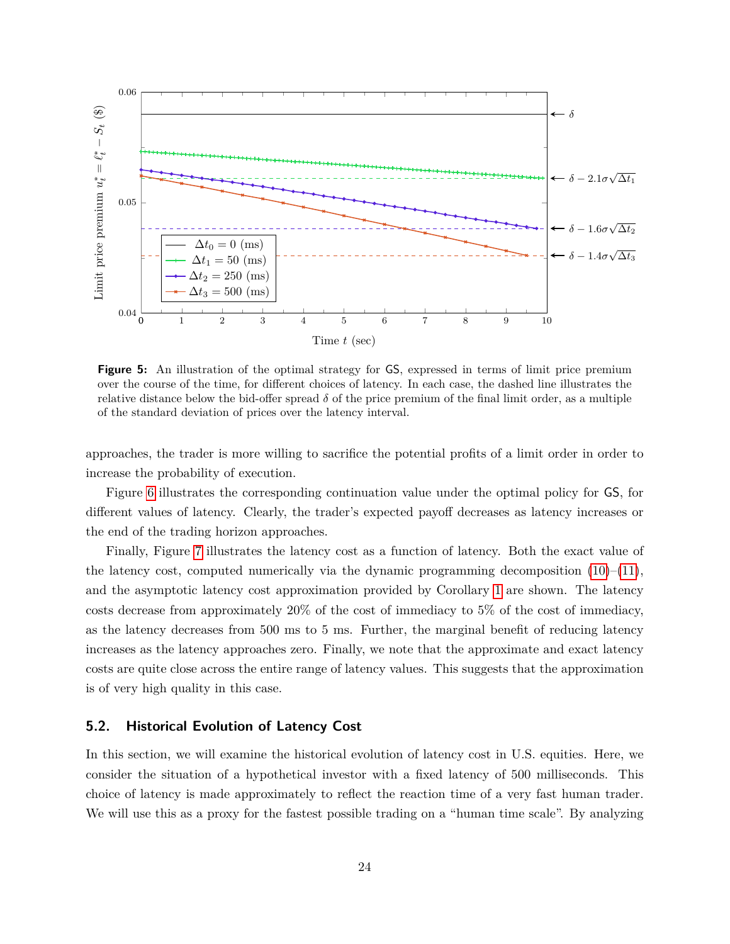<span id="page-23-0"></span>

**Figure 5:** An illustration of the optimal strategy for GS, expressed in terms of limit price premium over the course of the time, for different choices of latency. In each case, the dashed line illustrates the relative distance below the bid-offer spread  $\delta$  of the price premium of the final limit order, as a multiple of the standard deviation of prices over the latency interval.

approaches, the trader is more willing to sacrifice the potential profits of a limit order in order to increase the probability of execution.

Figure [6](#page-24-0) illustrates the corresponding continuation value under the optimal policy for GS, for different values of latency. Clearly, the trader's expected payoff decreases as latency increases or the end of the trading horizon approaches.

Finally, Figure [7](#page-24-1) illustrates the latency cost as a function of latency. Both the exact value of the latency cost, computed numerically via the dynamic programming decomposition  $(10)$ – $(11)$ , and the asymptotic latency cost approximation provided by Corollary [1](#page-18-1) are shown. The latency costs decrease from approximately 20% of the cost of immediacy to 5% of the cost of immediacy, as the latency decreases from 500 ms to 5 ms. Further, the marginal benefit of reducing latency increases as the latency approaches zero. Finally, we note that the approximate and exact latency costs are quite close across the entire range of latency values. This suggests that the approximation is of very high quality in this case.

#### **5.2. Historical Evolution of Latency Cost**

In this section, we will examine the historical evolution of latency cost in U.S. equities. Here, we consider the situation of a hypothetical investor with a fixed latency of 500 milliseconds. This choice of latency is made approximately to reflect the reaction time of a very fast human trader. We will use this as a proxy for the fastest possible trading on a "human time scale". By analyzing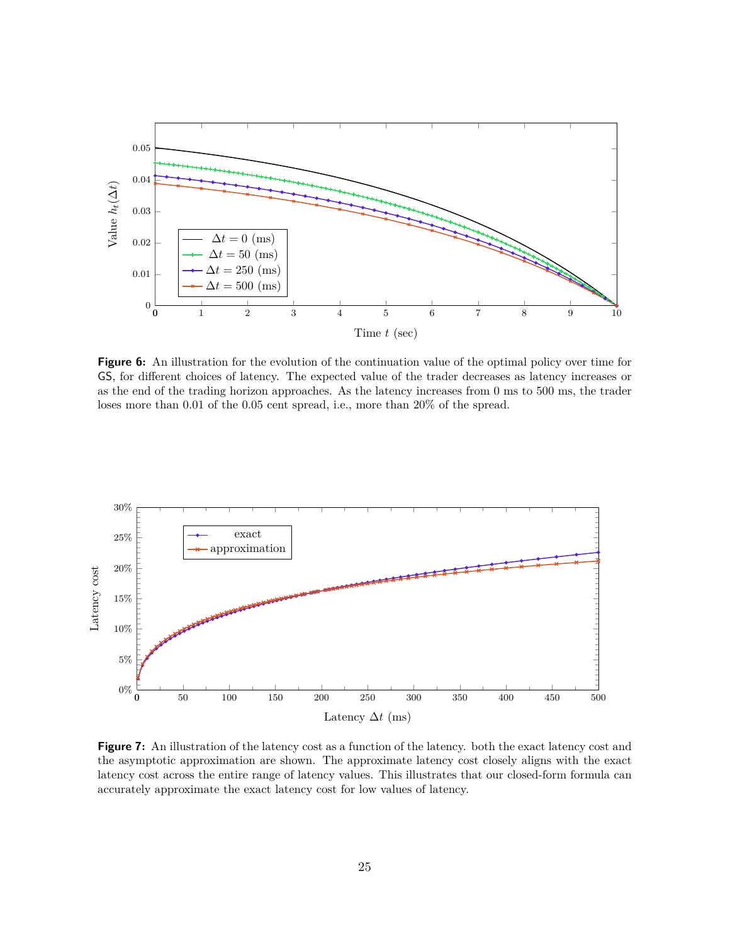<span id="page-24-0"></span>

**Figure 6:** An illustration for the evolution of the continuation value of the optimal policy over time for GS, for different choices of latency. The expected value of the trader decreases as latency increases or as the end of the trading horizon approaches. As the latency increases from 0 ms to 500 ms, the trader loses more than 0*.*01 of the 0*.*05 cent spread, i.e., more than 20% of the spread.

<span id="page-24-1"></span>

Figure 7: An illustration of the latency cost as a function of the latency. both the exact latency cost and the asymptotic approximation are shown. The approximate latency cost closely aligns with the exact latency cost across the entire range of latency values. This illustrates that our closed-form formula can accurately approximate the exact latency cost for low values of latency.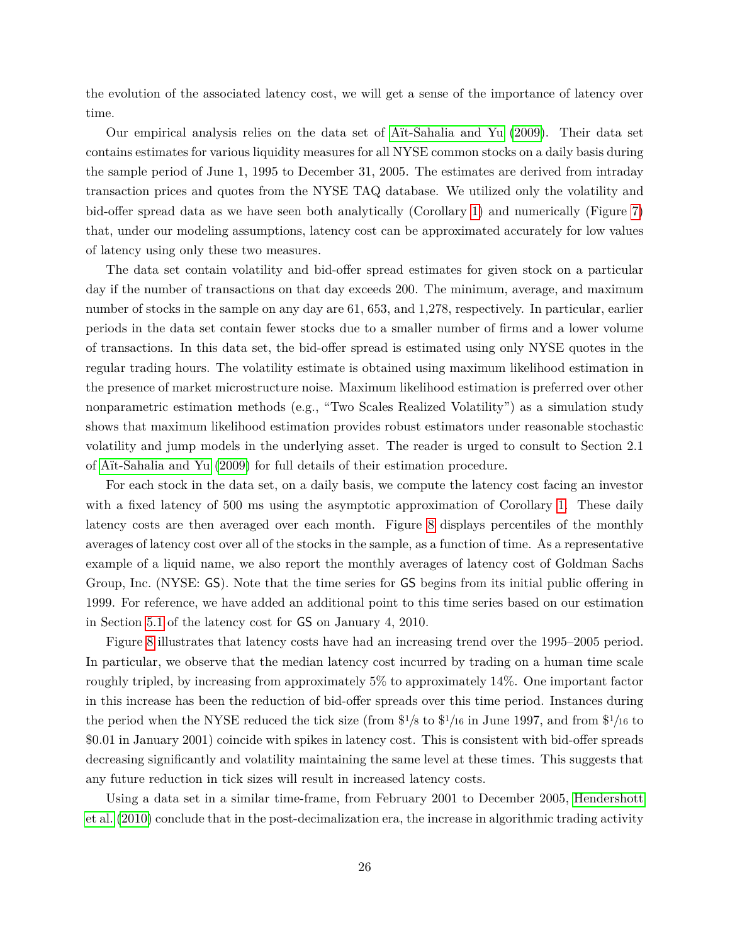the evolution of the associated latency cost, we will get a sense of the importance of latency over time.

Our empirical analysis relies on the data set of [Aït-Sahalia and Yu](#page-30-0) [\(2009\)](#page-30-0). Their data set contains estimates for various liquidity measures for all NYSE common stocks on a daily basis during the sample period of June 1, 1995 to December 31, 2005. The estimates are derived from intraday transaction prices and quotes from the NYSE TAQ database. We utilized only the volatility and bid-offer spread data as we have seen both analytically (Corollary [1\)](#page-18-1) and numerically (Figure [7\)](#page-24-1) that, under our modeling assumptions, latency cost can be approximated accurately for low values of latency using only these two measures.

The data set contain volatility and bid-offer spread estimates for given stock on a particular day if the number of transactions on that day exceeds 200. The minimum, average, and maximum number of stocks in the sample on any day are 61, 653, and 1*,*278, respectively. In particular, earlier periods in the data set contain fewer stocks due to a smaller number of firms and a lower volume of transactions. In this data set, the bid-offer spread is estimated using only NYSE quotes in the regular trading hours. The volatility estimate is obtained using maximum likelihood estimation in the presence of market microstructure noise. Maximum likelihood estimation is preferred over other nonparametric estimation methods (e.g., "Two Scales Realized Volatility") as a simulation study shows that maximum likelihood estimation provides robust estimators under reasonable stochastic volatility and jump models in the underlying asset. The reader is urged to consult to Section 2.1 of [Aït-Sahalia and Yu](#page-30-0) [\(2009\)](#page-30-0) for full details of their estimation procedure.

For each stock in the data set, on a daily basis, we compute the latency cost facing an investor with a fixed latency of 500 ms using the asymptotic approximation of Corollary [1.](#page-18-1) These daily latency costs are then averaged over each month. Figure [8](#page-26-0) displays percentiles of the monthly averages of latency cost over all of the stocks in the sample, as a function of time. As a representative example of a liquid name, we also report the monthly averages of latency cost of Goldman Sachs Group, Inc. (NYSE: GS). Note that the time series for GS begins from its initial public offering in 1999. For reference, we have added an additional point to this time series based on our estimation in Section [5.1](#page-21-0) of the latency cost for GS on January 4, 2010.

Figure [8](#page-26-0) illustrates that latency costs have had an increasing trend over the 1995–2005 period. In particular, we observe that the median latency cost incurred by trading on a human time scale roughly tripled, by increasing from approximately 5% to approximately 14%. One important factor in this increase has been the reduction of bid-offer spreads over this time period. Instances during the period when the NYSE reduced the tick size (from \$1*/*<sup>8</sup> to \$1*/*<sup>16</sup> in June 1997, and from \$1*/*<sup>16</sup> to \$0*.*01 in January 2001) coincide with spikes in latency cost. This is consistent with bid-offer spreads decreasing significantly and volatility maintaining the same level at these times. This suggests that any future reduction in tick sizes will result in increased latency costs.

Using a data set in a similar time-frame, from February 2001 to December 2005, [Hendershott](#page-31-6) [et al.](#page-31-6) [\(2010\)](#page-31-6) conclude that in the post-decimalization era, the increase in algorithmic trading activity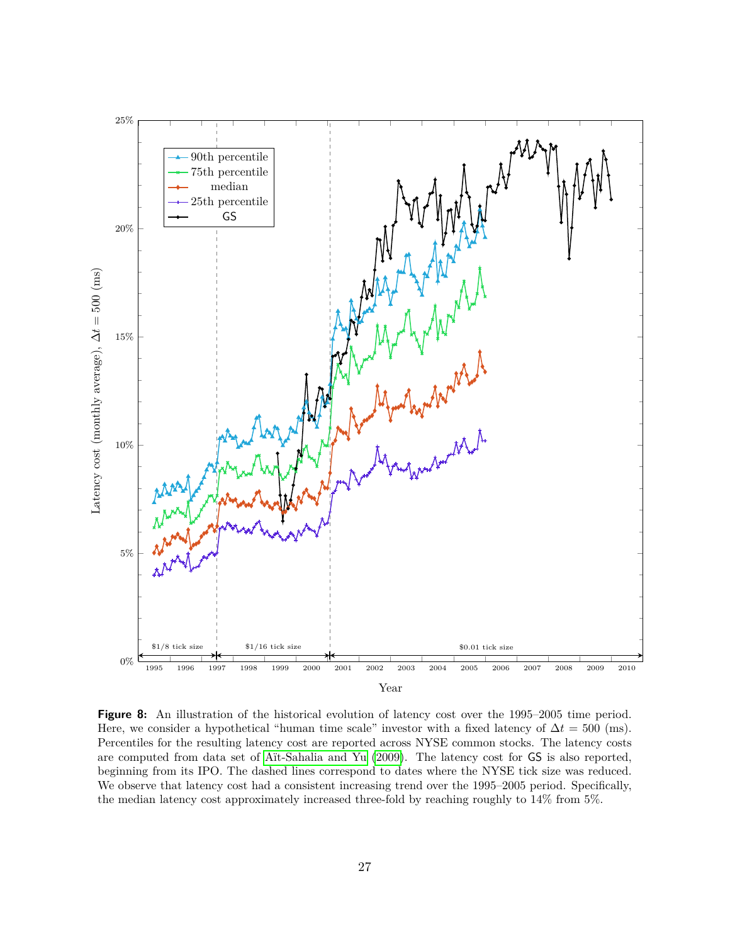<span id="page-26-0"></span>

**Figure 8:** An illustration of the historical evolution of latency cost over the 1995–2005 time period. Here, we consider a hypothetical "human time scale" investor with a fixed latency of  $\Delta t = 500$  (ms). Percentiles for the resulting latency cost are reported across NYSE common stocks. The latency costs are computed from data set of [Aït-Sahalia and Yu](#page-30-0) [\(2009\)](#page-30-0). The latency cost for GS is also reported, beginning from its IPO. The dashed lines correspond to dates where the NYSE tick size was reduced. We observe that latency cost had a consistent increasing trend over the 1995–2005 period. Specifically, the median latency cost approximately increased three-fold by reaching roughly to 14% from 5%.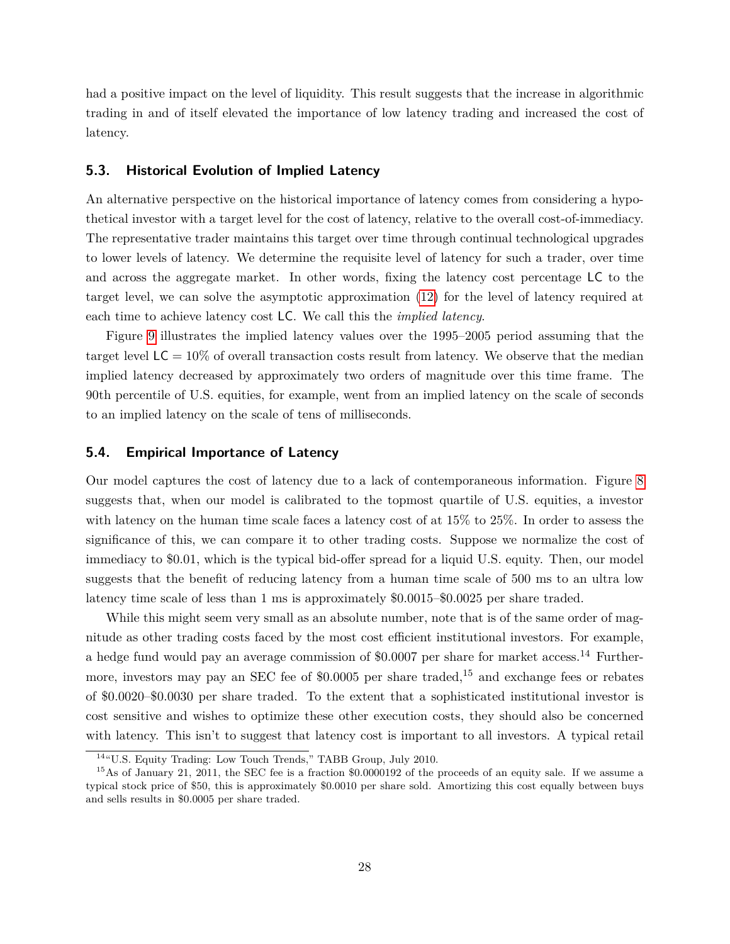had a positive impact on the level of liquidity. This result suggests that the increase in algorithmic trading in and of itself elevated the importance of low latency trading and increased the cost of latency.

#### **5.3. Historical Evolution of Implied Latency**

An alternative perspective on the historical importance of latency comes from considering a hypothetical investor with a target level for the cost of latency, relative to the overall cost-of-immediacy. The representative trader maintains this target over time through continual technological upgrades to lower levels of latency. We determine the requisite level of latency for such a trader, over time and across the aggregate market. In other words, fixing the latency cost percentage LC to the target level, we can solve the asymptotic approximation [\(12\)](#page-17-0) for the level of latency required at each time to achieve latency cost LC. We call this the *implied latency*.

Figure [9](#page-28-0) illustrates the implied latency values over the 1995–2005 period assuming that the target level  $\mathsf{LC} = 10\%$  of overall transaction costs result from latency. We observe that the median implied latency decreased by approximately two orders of magnitude over this time frame. The 90th percentile of U.S. equities, for example, went from an implied latency on the scale of seconds to an implied latency on the scale of tens of milliseconds.

#### **5.4. Empirical Importance of Latency**

Our model captures the cost of latency due to a lack of contemporaneous information. Figure [8](#page-26-0) suggests that, when our model is calibrated to the topmost quartile of U.S. equities, a investor with latency on the human time scale faces a latency cost of at 15% to 25%. In order to assess the significance of this, we can compare it to other trading costs. Suppose we normalize the cost of immediacy to \$0*.*01, which is the typical bid-offer spread for a liquid U.S. equity. Then, our model suggests that the benefit of reducing latency from a human time scale of 500 ms to an ultra low latency time scale of less than 1 ms is approximately \$0*.*0015–\$0*.*0025 per share traded.

While this might seem very small as an absolute number, note that is of the same order of magnitude as other trading costs faced by the most cost efficient institutional investors. For example, a hedge fund would pay an average commission of \$0*.*0007 per share for market access.<sup>14</sup> Furthermore, investors may pay an SEC fee of  $$0.0005$  per share traded,<sup>15</sup> and exchange fees or rebates of \$0*.*0020–\$0*.*0030 per share traded. To the extent that a sophisticated institutional investor is cost sensitive and wishes to optimize these other execution costs, they should also be concerned with latency. This isn't to suggest that latency cost is important to all investors. A typical retail

<sup>14</sup>"U.S. Equity Trading: Low Touch Trends," TABB Group, July 2010.

<sup>&</sup>lt;sup>15</sup>As of January 21, 2011, the SEC fee is a fraction \$0.0000192 of the proceeds of an equity sale. If we assume a typical stock price of \$50, this is approximately \$0*.*0010 per share sold. Amortizing this cost equally between buys and sells results in \$0*.*0005 per share traded.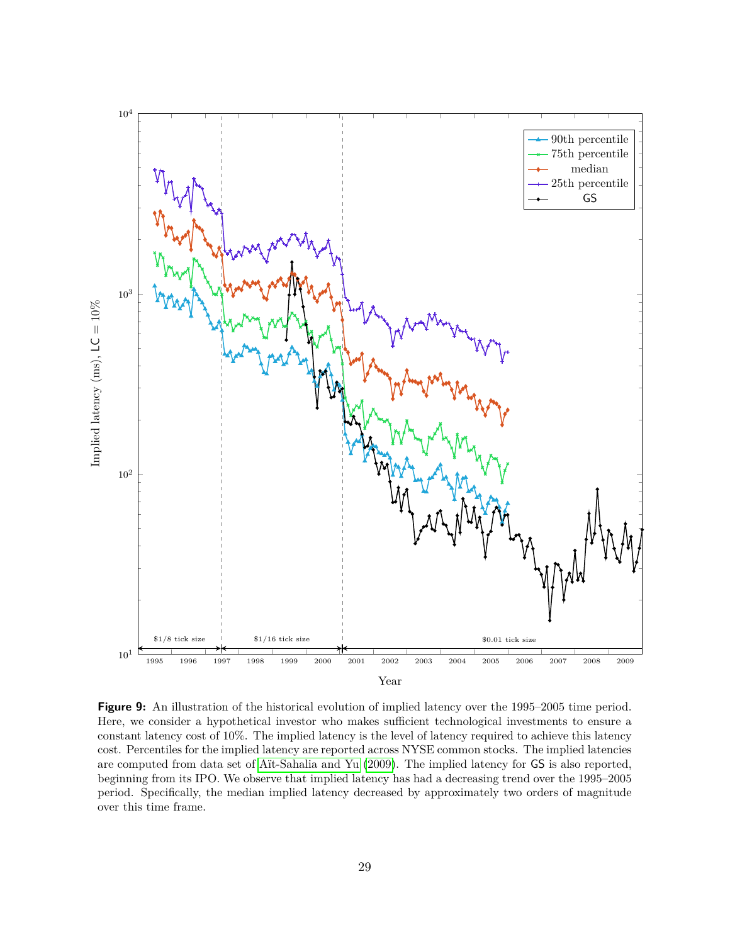<span id="page-28-0"></span>

**Figure 9:** An illustration of the historical evolution of implied latency over the 1995–2005 time period. Here, we consider a hypothetical investor who makes sufficient technological investments to ensure a constant latency cost of 10%. The implied latency is the level of latency required to achieve this latency cost. Percentiles for the implied latency are reported across NYSE common stocks. The implied latencies are computed from data set of [Aït-Sahalia and Yu](#page-30-0) [\(2009\)](#page-30-0). The implied latency for GS is also reported, beginning from its IPO. We observe that implied latency has had a decreasing trend over the 1995–2005 period. Specifically, the median implied latency decreased by approximately two orders of magnitude over this time frame.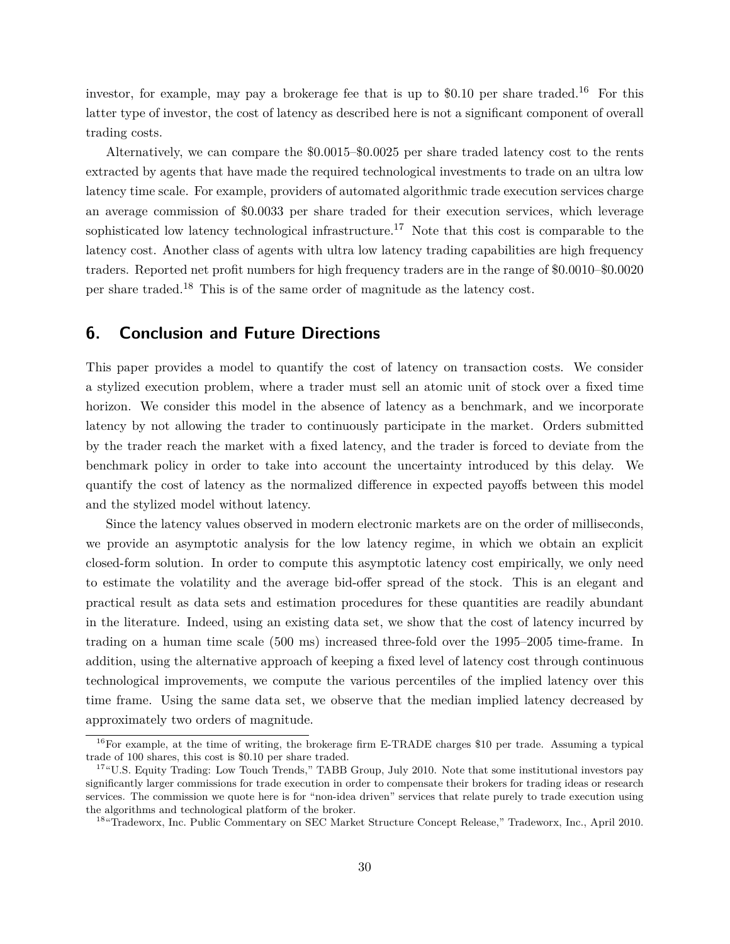investor, for example, may pay a brokerage fee that is up to  $$0.10$  per share traded.<sup>16</sup> For this latter type of investor, the cost of latency as described here is not a significant component of overall trading costs.

Alternatively, we can compare the \$0*.*0015–\$0*.*0025 per share traded latency cost to the rents extracted by agents that have made the required technological investments to trade on an ultra low latency time scale. For example, providers of automated algorithmic trade execution services charge an average commission of \$0*.*0033 per share traded for their execution services, which leverage sophisticated low latency technological infrastructure.<sup>17</sup> Note that this cost is comparable to the latency cost. Another class of agents with ultra low latency trading capabilities are high frequency traders. Reported net profit numbers for high frequency traders are in the range of \$0*.*0010–\$0*.*0020 per share traded.<sup>18</sup> This is of the same order of magnitude as the latency cost.

## <span id="page-29-0"></span>**6. Conclusion and Future Directions**

This paper provides a model to quantify the cost of latency on transaction costs. We consider a stylized execution problem, where a trader must sell an atomic unit of stock over a fixed time horizon. We consider this model in the absence of latency as a benchmark, and we incorporate latency by not allowing the trader to continuously participate in the market. Orders submitted by the trader reach the market with a fixed latency, and the trader is forced to deviate from the benchmark policy in order to take into account the uncertainty introduced by this delay. We quantify the cost of latency as the normalized difference in expected payoffs between this model and the stylized model without latency.

Since the latency values observed in modern electronic markets are on the order of milliseconds, we provide an asymptotic analysis for the low latency regime, in which we obtain an explicit closed-form solution. In order to compute this asymptotic latency cost empirically, we only need to estimate the volatility and the average bid-offer spread of the stock. This is an elegant and practical result as data sets and estimation procedures for these quantities are readily abundant in the literature. Indeed, using an existing data set, we show that the cost of latency incurred by trading on a human time scale (500 ms) increased three-fold over the 1995–2005 time-frame. In addition, using the alternative approach of keeping a fixed level of latency cost through continuous technological improvements, we compute the various percentiles of the implied latency over this time frame. Using the same data set, we observe that the median implied latency decreased by approximately two orders of magnitude.

 $16$ For example, at the time of writing, the brokerage firm E-TRADE charges \$10 per trade. Assuming a typical trade of 100 shares, this cost is \$0*.*10 per share traded.

<sup>&</sup>lt;sup>17"</sup>U.S. Equity Trading: Low Touch Trends," TABB Group, July 2010. Note that some institutional investors pay significantly larger commissions for trade execution in order to compensate their brokers for trading ideas or research services. The commission we quote here is for "non-idea driven" services that relate purely to trade execution using the algorithms and technological platform of the broker.

<sup>18</sup>"Tradeworx, Inc. Public Commentary on SEC Market Structure Concept Release," Tradeworx, Inc., April 2010.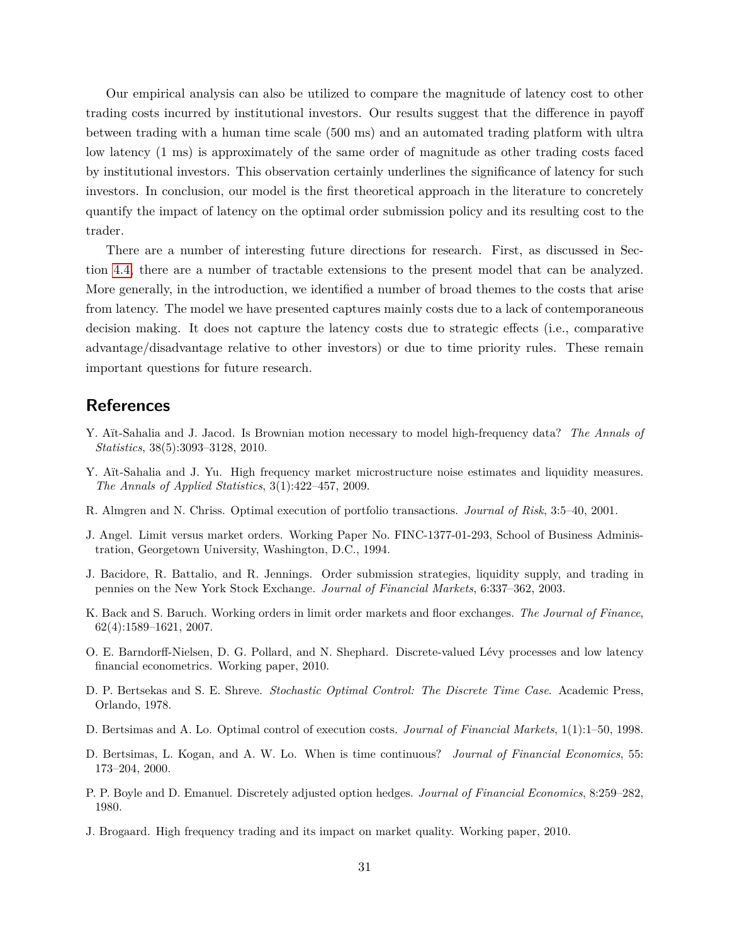Our empirical analysis can also be utilized to compare the magnitude of latency cost to other trading costs incurred by institutional investors. Our results suggest that the difference in payoff between trading with a human time scale (500 ms) and an automated trading platform with ultra low latency (1 ms) is approximately of the same order of magnitude as other trading costs faced by institutional investors. This observation certainly underlines the significance of latency for such investors. In conclusion, our model is the first theoretical approach in the literature to concretely quantify the impact of latency on the optimal order submission policy and its resulting cost to the trader.

There are a number of interesting future directions for research. First, as discussed in Section [4.4,](#page-19-0) there are a number of tractable extensions to the present model that can be analyzed. More generally, in the introduction, we identified a number of broad themes to the costs that arise from latency. The model we have presented captures mainly costs due to a lack of contemporaneous decision making. It does not capture the latency costs due to strategic effects (i.e., comparative advantage/disadvantage relative to other investors) or due to time priority rules. These remain important questions for future research.

## **References**

- <span id="page-30-11"></span>Y. Aït-Sahalia and J. Jacod. Is Brownian motion necessary to model high-frequency data? *The Annals of Statistics*, 38(5):3093–3128, 2010.
- <span id="page-30-0"></span>Y. Aït-Sahalia and J. Yu. High frequency market microstructure noise estimates and liquidity measures. *The Annals of Applied Statistics*, 3(1):422–457, 2009.
- <span id="page-30-7"></span>R. Almgren and N. Chriss. Optimal execution of portfolio transactions. *Journal of Risk*, 3:5–40, 2001.
- <span id="page-30-2"></span>J. Angel. Limit versus market orders. Working Paper No. FINC-1377-01-293, School of Business Administration, Georgetown University, Washington, D.C., 1994.
- <span id="page-30-3"></span>J. Bacidore, R. Battalio, and R. Jennings. Order submission strategies, liquidity supply, and trading in pennies on the New York Stock Exchange. *Journal of Financial Markets*, 6:337–362, 2003.
- <span id="page-30-8"></span>K. Back and S. Baruch. Working orders in limit order markets and floor exchanges. *The Journal of Finance*, 62(4):1589–1621, 2007.
- <span id="page-30-10"></span>O. E. Barndorff-Nielsen, D. G. Pollard, and N. Shephard. Discrete-valued Lévy processes and low latency financial econometrics. Working paper, 2010.
- <span id="page-30-9"></span>D. P. Bertsekas and S. E. Shreve. *Stochastic Optimal Control: The Discrete Time Case*. Academic Press, Orlando, 1978.
- <span id="page-30-6"></span>D. Bertsimas and A. Lo. Optimal control of execution costs. *Journal of Financial Markets*, 1(1):1–50, 1998.
- <span id="page-30-5"></span>D. Bertsimas, L. Kogan, and A. W. Lo. When is time continuous? *Journal of Financial Economics*, 55: 173–204, 2000.
- <span id="page-30-4"></span>P. P. Boyle and D. Emanuel. Discretely adjusted option hedges. *Journal of Financial Economics*, 8:259–282, 1980.
- <span id="page-30-1"></span>J. Brogaard. High frequency trading and its impact on market quality. Working paper, 2010.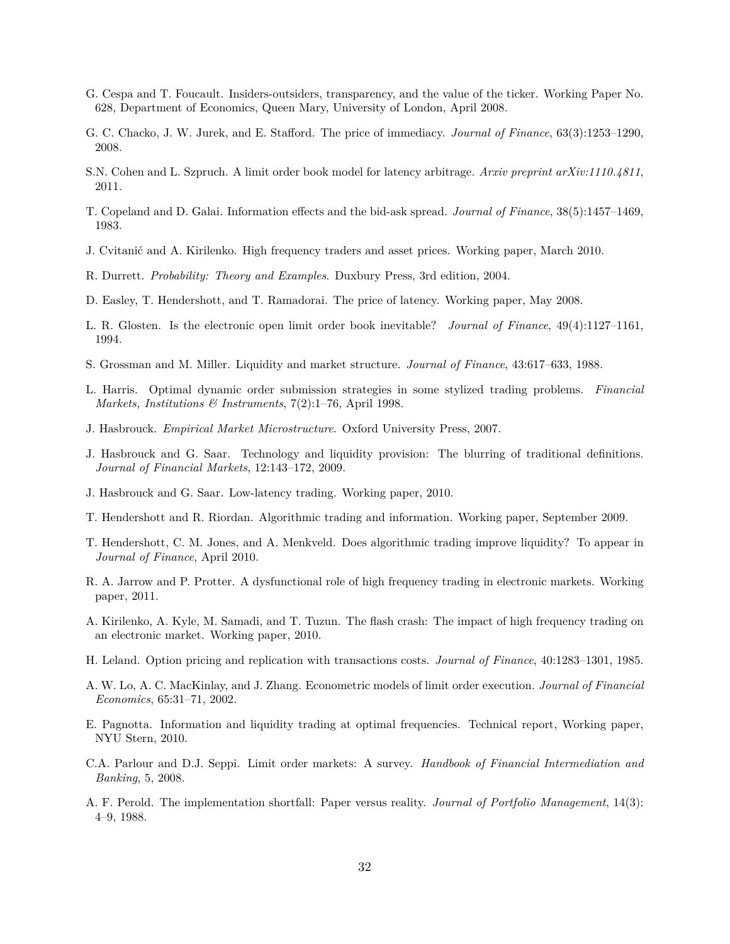- <span id="page-31-1"></span>G. Cespa and T. Foucault. Insiders-outsiders, transparency, and the value of the ticker. Working Paper No. 628, Department of Economics, Queen Mary, University of London, April 2008.
- <span id="page-31-5"></span>G. C. Chacko, J. W. Jurek, and E. Stafford. The price of immediacy. *Journal of Finance*, 63(3):1253–1290, 2008.
- <span id="page-31-11"></span>S.N. Cohen and L. Szpruch. A limit order book model for latency arbitrage. *Arxiv preprint arXiv:1110.4811*, 2011.
- <span id="page-31-17"></span>T. Copeland and D. Galai. Information effects and the bid-ask spread. *Journal of Finance*, 38(5):1457–1469, 1983.
- <span id="page-31-12"></span>J. Cvitanić and A. Kirilenko. High frequency traders and asset prices. Working paper, March 2010.
- <span id="page-31-21"></span>R. Durrett. *Probability: Theory and Examples*. Duxbury Press, 3rd edition, 2004.
- <span id="page-31-0"></span>D. Easley, T. Hendershott, and T. Ramadorai. The price of latency. Working paper, May 2008.
- <span id="page-31-2"></span>L. R. Glosten. Is the electronic open limit order book inevitable? *Journal of Finance*, 49(4):1127–1161, 1994.
- <span id="page-31-4"></span>S. Grossman and M. Miller. Liquidity and market structure. *Journal of Finance*, 43:617–633, 1988.
- <span id="page-31-3"></span>L. Harris. Optimal dynamic order submission strategies in some stylized trading problems. *Financial Markets, Institutions & Instruments*, 7(2):1–76, April 1998.
- <span id="page-31-15"></span>J. Hasbrouck. *Empirical Market Microstructure*. Oxford University Press, 2007.
- <span id="page-31-7"></span>J. Hasbrouck and G. Saar. Technology and liquidity provision: The blurring of traditional definitions. *Journal of Financial Markets*, 12:143–172, 2009.
- <span id="page-31-8"></span>J. Hasbrouck and G. Saar. Low-latency trading. Working paper, 2010.
- <span id="page-31-9"></span>T. Hendershott and R. Riordan. Algorithmic trading and information. Working paper, September 2009.
- <span id="page-31-6"></span>T. Hendershott, C. M. Jones, and A. Menkveld. Does algorithmic trading improve liquidity? To appear in *Journal of Finance*, April 2010.
- <span id="page-31-13"></span>R. A. Jarrow and P. Protter. A dysfunctional role of high frequency trading in electronic markets. Working paper, 2011.
- <span id="page-31-10"></span>A. Kirilenko, A. Kyle, M. Samadi, and T. Tuzun. The flash crash: The impact of high frequency trading on an electronic market. Working paper, 2010.
- <span id="page-31-18"></span>H. Leland. Option pricing and replication with transactions costs. *Journal of Finance*, 40:1283–1301, 1985.
- <span id="page-31-14"></span>A. W. Lo, A. C. MacKinlay, and J. Zhang. Econometric models of limit order execution. *Journal of Financial Economics*, 65:31–71, 2002.
- <span id="page-31-20"></span>E. Pagnotta. Information and liquidity trading at optimal frequencies. Technical report, Working paper, NYU Stern, 2010.
- <span id="page-31-16"></span>C.A. Parlour and D.J. Seppi. Limit order markets: A survey. *Handbook of Financial Intermediation and Banking*, 5, 2008.
- <span id="page-31-19"></span>A. F. Perold. The implementation shortfall: Paper versus reality. *Journal of Portfolio Management*, 14(3): 4–9, 1988.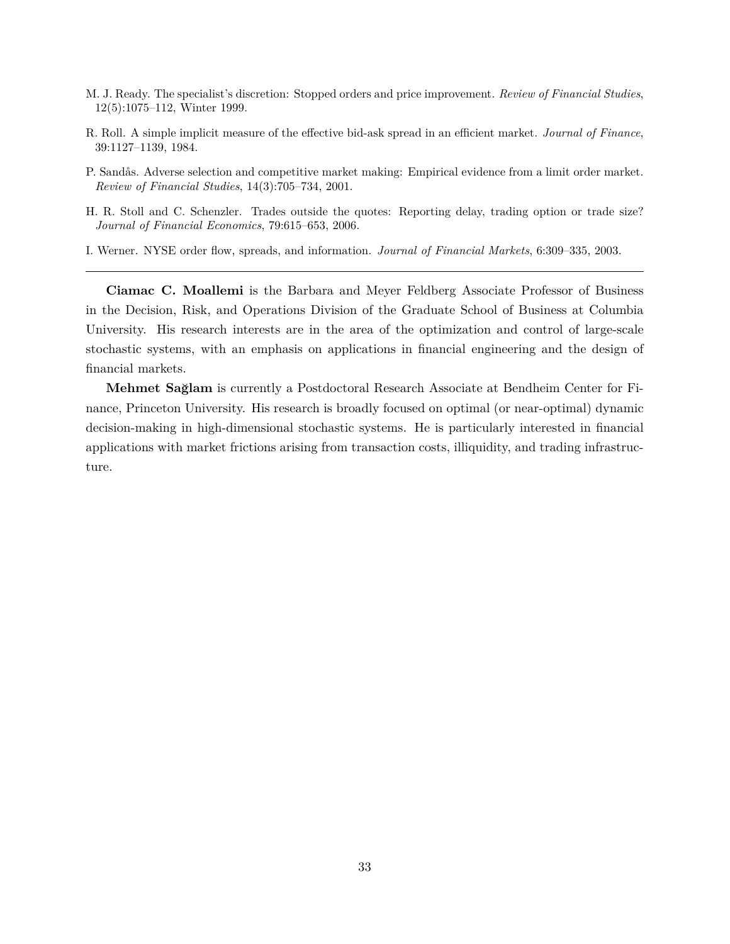- <span id="page-32-1"></span>M. J. Ready. The specialist's discretion: Stopped orders and price improvement. *Review of Financial Studies*, 12(5):1075–112, Winter 1999.
- <span id="page-32-4"></span>R. Roll. A simple implicit measure of the effective bid-ask spread in an efficient market. *Journal of Finance*, 39:1127–1139, 1984.
- <span id="page-32-0"></span>P. Sandås. Adverse selection and competitive market making: Empirical evidence from a limit order market. *Review of Financial Studies*, 14(3):705–734, 2001.
- <span id="page-32-2"></span>H. R. Stoll and C. Schenzler. Trades outside the quotes: Reporting delay, trading option or trade size? *Journal of Financial Economics*, 79:615–653, 2006.
- <span id="page-32-3"></span>I. Werner. NYSE order flow, spreads, and information. *Journal of Financial Markets*, 6:309–335, 2003.

**Ciamac C. Moallemi** is the Barbara and Meyer Feldberg Associate Professor of Business in the Decision, Risk, and Operations Division of the Graduate School of Business at Columbia University. His research interests are in the area of the optimization and control of large-scale stochastic systems, with an emphasis on applications in financial engineering and the design of financial markets.

**Mehmet Sa˘glam** is currently a Postdoctoral Research Associate at Bendheim Center for Finance, Princeton University. His research is broadly focused on optimal (or near-optimal) dynamic decision-making in high-dimensional stochastic systems. He is particularly interested in financial applications with market frictions arising from transaction costs, illiquidity, and trading infrastructure.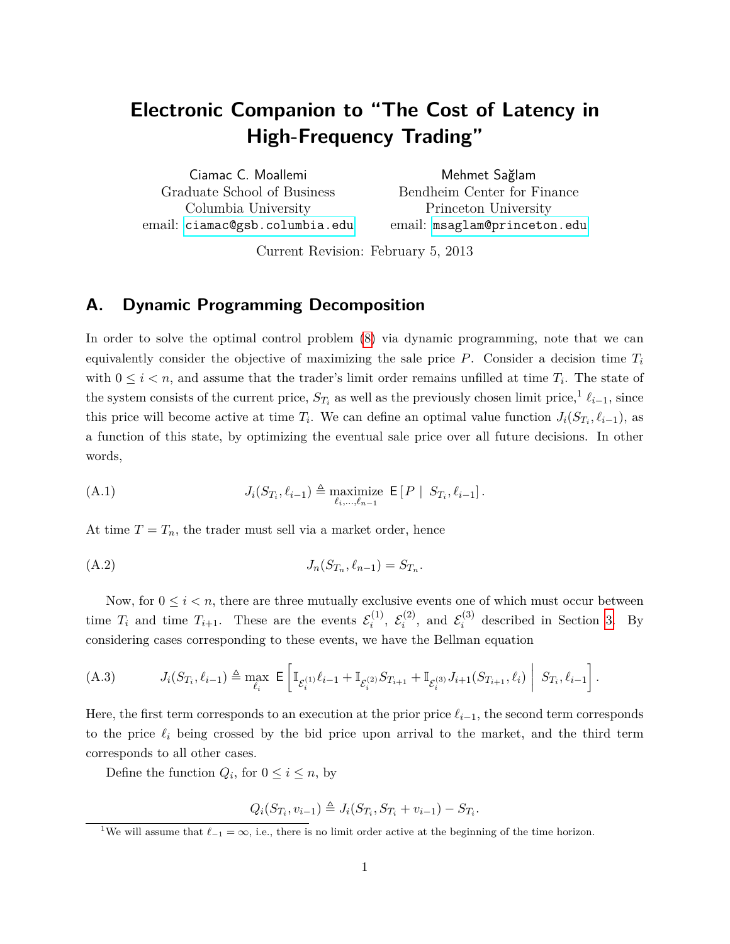# **Electronic Companion to "The Cost of Latency in High-Frequency Trading"**

Ciamac C. Moallemi Graduate School of Business Columbia University email: [ciamac@gsb.columbia.edu](mailto:ciamac@gsb.columbia.edu)

Mehmet Sağlam Bendheim Center for Finance Princeton University email: [msaglam@princeton.edu](mailto:msaglam@princeton.edu)

Current Revision: February 5, 2013

## <span id="page-33-0"></span>**A. Dynamic Programming Decomposition**

In order to solve the optimal control problem [\(8\)](#page-13-1) via dynamic programming, note that we can equivalently consider the objective of maximizing the sale price *P*. Consider a decision time *T<sup>i</sup>* with  $0 \leq i \leq n$ , and assume that the trader's limit order remains unfilled at time  $T_i$ . The state of the system consists of the current price,  $S_{T_i}$  as well as the previously chosen limit price,<sup>1</sup>  $\ell_{i-1}$ , since this price will become active at time  $T_i$ . We can define an optimal value function  $J_i(S_{T_i}, \ell_{i-1})$ , as a function of this state, by optimizing the eventual sale price over all future decisions. In other words,

(A.1) 
$$
J_i(S_{T_i}, \ell_{i-1}) \triangleq \underset{\ell_i, \ldots, \ell_{n-1}}{\text{maximize}} \mathsf{E}[P \mid S_{T_i}, \ell_{i-1}].
$$

At time  $T = T_n$ , the trader must sell via a market order, hence

$$
(A.2) \t\t Jn(STn, \elln-1) = STn
$$

Now, for  $0 \leq i \leq n$ , there are three mutually exclusive events one of which must occur between time  $T_i$  and time  $T_{i+1}$ . These are the events  $\mathcal{E}_i^{(1)}$  $\epsilon_i^{(1)},\;\mathcal{E}_i^{(2)}$  $\mathcal{E}_i^{(2)}$ , and  $\mathcal{E}_i^{(3)}$  $i_i^{(3)}$  described in Section [3.](#page-11-0) By considering cases corresponding to these events, we have the Bellman equation

<span id="page-33-2"></span><span id="page-33-1"></span>*.*

(A.3) 
$$
J_i(S_{T_i}, \ell_{i-1}) \triangleq \max_{\ell_i} \mathsf{E}\left[\mathbb{I}_{\mathcal{E}_i^{(1)}}\ell_{i-1} + \mathbb{I}_{\mathcal{E}_i^{(2)}}S_{T_{i+1}} + \mathbb{I}_{\mathcal{E}_i^{(3)}}J_{i+1}(S_{T_{i+1}}, \ell_i) \middle| S_{T_i}, \ell_{i-1}\right].
$$

Here, the first term corresponds to an execution at the prior price  $\ell_{i-1}$ , the second term corresponds to the price  $\ell_i$  being crossed by the bid price upon arrival to the market, and the third term corresponds to all other cases.

Define the function  $Q_i$ , for  $0 \leq i \leq n$ , by

$$
Q_i(S_{T_i}, v_{i-1}) \triangleq J_i(S_{T_i}, S_{T_i} + v_{i-1}) - S_{T_i}.
$$

<sup>&</sup>lt;sup>1</sup>We will assume that  $\ell_{-1} = \infty$ , i.e., there is no limit order active at the beginning of the time horizon.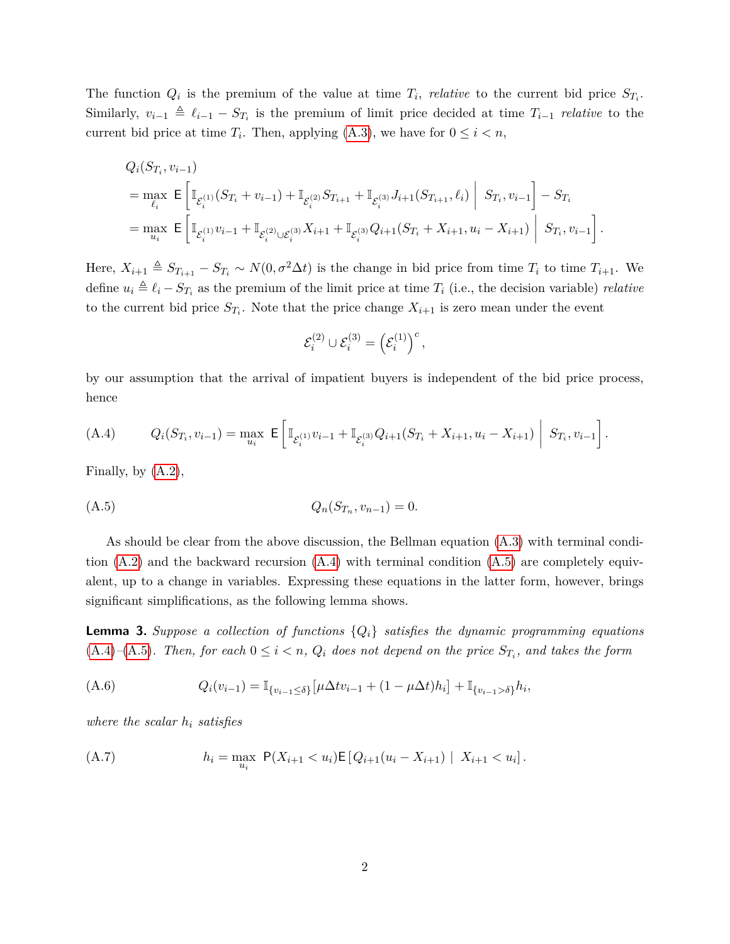The function  $Q_i$  is the premium of the value at time  $T_i$ , *relative* to the current bid price  $S_{T_i}$ . Similarly,  $v_{i-1} \triangleq \ell_{i-1} - S_{T_i}$  is the premium of limit price decided at time  $T_{i-1}$  *relative* to the current bid price at time  $T_i$ . Then, applying  $(A.3)$ , we have for  $0 \leq i < n$ ,

$$
Q_i(S_{T_i}, v_{i-1})
$$
  
=  $\max_{\ell_i} \mathsf{E} \left[ \mathbb{I}_{\mathcal{E}_i^{(1)}}(S_{T_i} + v_{i-1}) + \mathbb{I}_{\mathcal{E}_i^{(2)}} S_{T_{i+1}} + \mathbb{I}_{\mathcal{E}_i^{(3)}} J_{i+1}(S_{T_{i+1}}, \ell_i) \middle| S_{T_i}, v_{i-1} \right] - S_{T_i}$   
=  $\max_{u_i} \mathsf{E} \left[ \mathbb{I}_{\mathcal{E}_i^{(1)}} v_{i-1} + \mathbb{I}_{\mathcal{E}_i^{(2)} \cup \mathcal{E}_i^{(3)}} X_{i+1} + \mathbb{I}_{\mathcal{E}_i^{(3)}} Q_{i+1}(S_{T_i} + X_{i+1}, u_i - X_{i+1}) \middle| S_{T_i}, v_{i-1} \right].$ 

Here,  $X_{i+1} \triangleq S_{T_{i+1}} - S_{T_i} \sim N(0, \sigma^2 \Delta t)$  is the change in bid price from time  $T_i$  to time  $T_{i+1}$ . We define  $u_i \triangleq \ell_i - S_{T_i}$  as the premium of the limit price at time  $T_i$  (i.e., the decision variable) *relative* to the current bid price  $S_{T_i}$ . Note that the price change  $X_{i+1}$  is zero mean under the event

$$
\mathcal{E}_i^{(2)} \cup \mathcal{E}_i^{(3)} = \left(\mathcal{E}_i^{(1)}\right)^c,
$$

<span id="page-34-0"></span>by our assumption that the arrival of impatient buyers is independent of the bid price process, hence

<span id="page-34-4"></span>*.*

(A.4) 
$$
Q_i(S_{T_i}, v_{i-1}) = \max_{u_i} \mathsf{E}\left[\mathbb{I}_{\mathcal{E}_i^{(1)}} v_{i-1} + \mathbb{I}_{\mathcal{E}_i^{(3)}} Q_{i+1}(S_{T_i} + X_{i+1}, u_i - X_{i+1}) \middle| S_{T_i}, v_{i-1}\right]
$$

<span id="page-34-1"></span>Finally, by  $(A.2)$ ,

$$
(A.5) \t Q_n(S_{T_n}, v_{n-1}) = 0.
$$

As should be clear from the above discussion, the Bellman equation [\(A.3\)](#page-33-1) with terminal condition  $(A.2)$  and the backward recursion  $(A.4)$  with terminal condition  $(A.5)$  are completely equivalent, up to a change in variables. Expressing these equations in the latter form, however, brings significant simplifications, as the following lemma shows.

<span id="page-34-3"></span>**Lemma 3.** *Suppose a collection of functions* {*Qi*} *satisfies the dynamic programming equations*  $(A.4)$ <sup> $-$ </sup> $(A.5)$ *. Then, for each*  $0 \leq i < n$ ,  $Q_i$  does not depend on the price  $S_{T_i}$ , and takes the form

(A.6) 
$$
Q_i(v_{i-1}) = \mathbb{I}_{\{v_{i-1} \leq \delta\}}[\mu \Delta t v_{i-1} + (1 - \mu \Delta t) h_i] + \mathbb{I}_{\{v_{i-1} > \delta\}} h_i,
$$

<span id="page-34-2"></span>*where the scalar h<sup>i</sup> satisfies*

(A.7) 
$$
h_i = \max_{u_i} P(X_{i+1} < u_i) \mathsf{E} \left[ Q_{i+1}(u_i - X_{i+1}) \mid X_{i+1} < u_i \right].
$$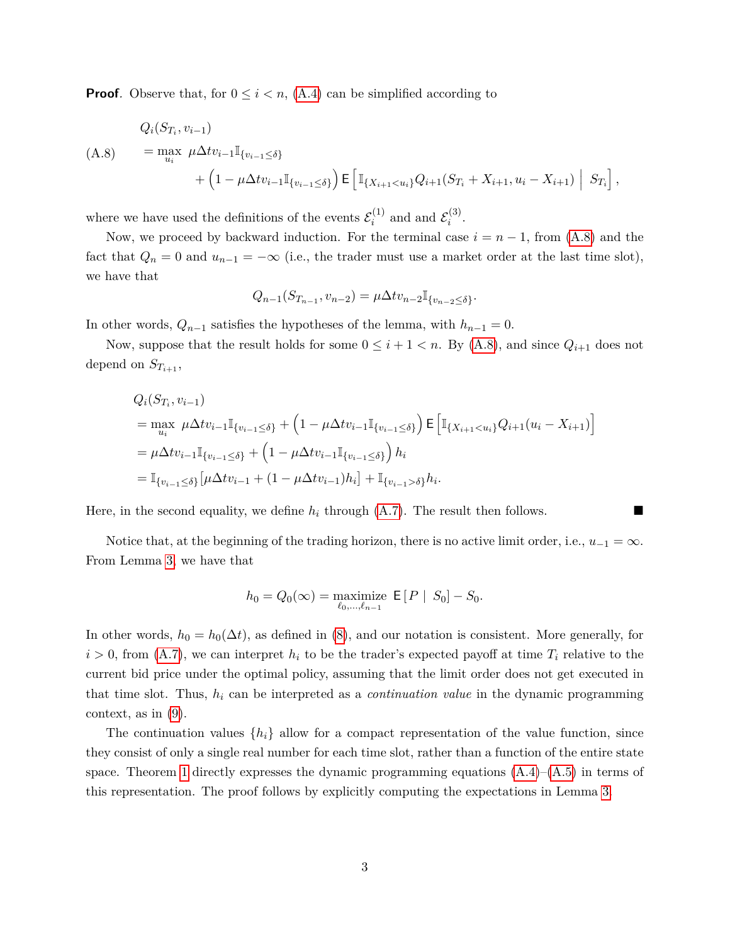**Proof**. Observe that, for  $0 \leq i \leq n$ , [\(A.4\)](#page-34-0) can be simplified according to

$$
Q_i(S_{T_i}, v_{i-1})
$$
  
\n
$$
= \max_{u_i} \mu \Delta t v_{i-1} \mathbb{I}_{\{v_{i-1} \le \delta\}} + (1 - \mu \Delta t v_{i-1} \mathbb{I}_{\{v_{i-1} \le \delta\}}) \mathsf{E} \left[ \mathbb{I}_{\{X_{i+1} < u_i\}} Q_{i+1}(S_{T_i} + X_{i+1}, u_i - X_{i+1}) \middle| S_{T_i} \right],
$$

where we have used the definitions of the events  $\mathcal{E}_i^{(1)}$  $\mathcal{E}_i^{(1)}$  and and  $\mathcal{E}_i^{(3)}$  $i^{(\mathcal{S})}$ .

Now, we proceed by backward induction. For the terminal case  $i = n - 1$ , from [\(A.8\)](#page-35-0) and the fact that  $Q_n = 0$  and  $u_{n-1} = -\infty$  (i.e., the trader must use a market order at the last time slot), we have that

<span id="page-35-0"></span>
$$
Q_{n-1}(S_{T_{n-1}}, v_{n-2}) = \mu \Delta t v_{n-2} \mathbb{I}_{\{v_{n-2} \leq \delta\}}.
$$

In other words,  $Q_{n-1}$  satisfies the hypotheses of the lemma, with  $h_{n-1} = 0$ .

Now, suppose that the result holds for some  $0 \leq i + 1 < n$ . By  $(A.8)$ , and since  $Q_{i+1}$  does not depend on  $S_{T_{i+1}}$ ,

$$
Q_i(S_{T_i}, v_{i-1})
$$
  
= max  $\mu \Delta t v_{i-1} \mathbb{I}_{\{v_{i-1} \le \delta\}} + (1 - \mu \Delta t v_{i-1} \mathbb{I}_{\{v_{i-1} \le \delta\}}) \mathsf{E} \left[ \mathbb{I}_{\{X_{i+1} < u_i\}} Q_{i+1}(u_i - X_{i+1}) \right]$   
=  $\mu \Delta t v_{i-1} \mathbb{I}_{\{v_{i-1} \le \delta\}} + (1 - \mu \Delta t v_{i-1} \mathbb{I}_{\{v_{i-1} \le \delta\}}) h_i$   
=  $\mathbb{I}_{\{v_{i-1} \le \delta\}} [\mu \Delta t v_{i-1} + (1 - \mu \Delta t v_{i-1}) h_i] + \mathbb{I}_{\{v_{i-1} > \delta\}} h_i.$ 

Here, in the second equality, we define  $h_i$  through  $(A.7)$ . The result then follows.

Notice that, at the beginning of the trading horizon, there is no active limit order, i.e.,  $u_{-1} = \infty$ . From Lemma [3,](#page-34-3) we have that

$$
h_0 = Q_0(\infty) = \max_{\ell_0, ..., \ell_{n-1}} E[P \mid S_0] - S_0.
$$

In other words,  $h_0 = h_0(\Delta t)$ , as defined in [\(8\)](#page-13-1), and our notation is consistent. More generally, for  $i > 0$ , from [\(A.7\)](#page-34-2), we can interpret  $h_i$  to be the trader's expected payoff at time  $T_i$  relative to the current bid price under the optimal policy, assuming that the limit order does not get executed in that time slot. Thus, *h<sup>i</sup>* can be interpreted as a *continuation value* in the dynamic programming context, as in [\(9\)](#page-14-4).

The continuation values  $\{h_i\}$  allow for a compact representation of the value function, since they consist of only a single real number for each time slot, rather than a function of the entire state space. Theorem [1](#page-14-2) directly expresses the dynamic programming equations  $(A.4)$ – $(A.5)$  in terms of this representation. The proof follows by explicitly computing the expectations in Lemma [3.](#page-34-3)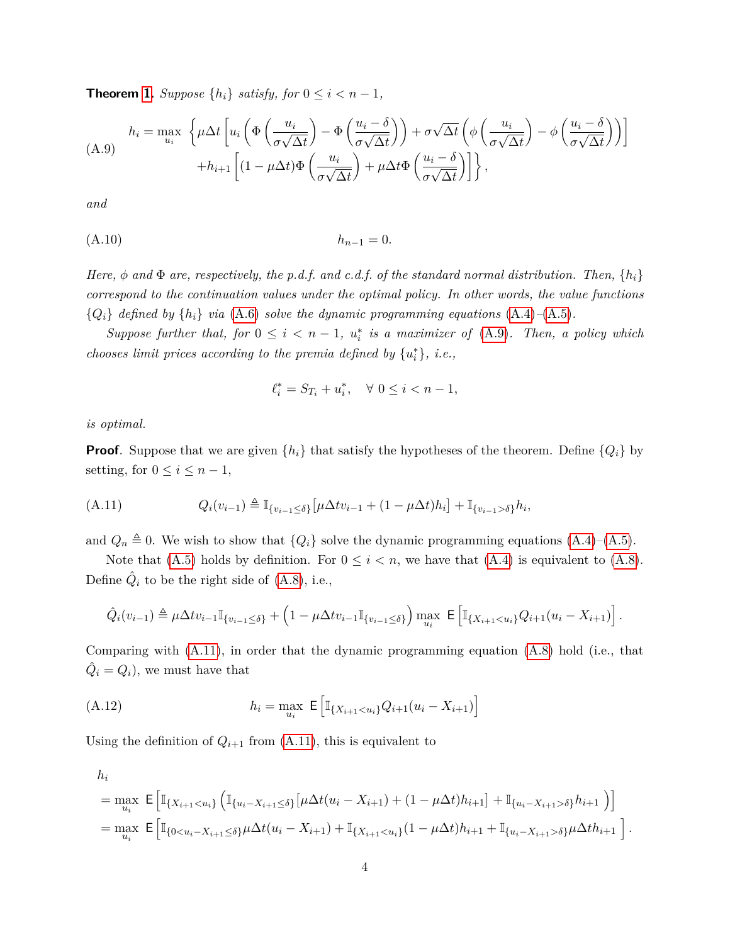<span id="page-36-0"></span>**Theorem [1.](#page-14-2)** *Suppose*  $\{h_i\}$  *satisfy, for*  $0 \leq i \leq n-1$ *,* 

(A.9) 
$$
h_{i} = \max_{u_{i}} \left\{ \mu \Delta t \left[ u_{i} \left( \Phi \left( \frac{u_{i}}{\sigma \sqrt{\Delta t}} \right) - \Phi \left( \frac{u_{i} - \delta}{\sigma \sqrt{\Delta t}} \right) \right) + \sigma \sqrt{\Delta t} \left( \phi \left( \frac{u_{i}}{\sigma \sqrt{\Delta t}} \right) - \phi \left( \frac{u_{i} - \delta}{\sigma \sqrt{\Delta t}} \right) \right) \right] + h_{i+1} \left[ (1 - \mu \Delta t) \Phi \left( \frac{u_{i}}{\sigma \sqrt{\Delta t}} \right) + \mu \Delta t \Phi \left( \frac{u_{i} - \delta}{\sigma \sqrt{\Delta t}} \right) \right] \right\},
$$

*and*

$$
(A.10) \t\t\t\t\t h_{n-1} = 0.
$$

*Here,*  $\phi$  *and*  $\Phi$  *are, respectively, the p.d.f. and c.d.f. of the standard normal distribution. Then,*  $\{h_i\}$ *correspond to the continuation values under the optimal policy. In other words, the value functions*  ${Q_i}$  *defined by*  ${h_i}$  *via* [\(A.6\)](#page-34-4) *solve the dynamic programming equations* [\(A.4\)](#page-34-0)–[\(A.5\)](#page-34-1)*.* 

*Suppose further that, for*  $0 \leq i < n - 1$ ,  $u_i^*$  *is a maximizer of* [\(A.9\)](#page-36-0)*. Then, a policy which chooses limit prices according to the premia defined by*  $\{u_i^*\}$ *, i.e.,* 

<span id="page-36-1"></span>
$$
\ell_i^*=S_{T_i}+u_i^*,\quad \forall\ 0\leq i
$$

*is optimal.*

**Proof***.* Suppose that we are given  $\{h_i\}$  that satisfy the hypotheses of the theorem. Define  $\{Q_i\}$  by setting, for  $0 \leq i \leq n-1$ ,

(A.11) 
$$
Q_i(v_{i-1}) \triangleq \mathbb{I}_{\{v_{i-1} \leq \delta\}}[\mu \Delta t v_{i-1} + (1 - \mu \Delta t) h_i] + \mathbb{I}_{\{v_{i-1} > \delta\}} h_i,
$$

and  $Q_n \triangleq 0$ . We wish to show that  $\{Q_i\}$  solve the dynamic programming equations  $(A.4)$ – $(A.5)$ .

Note that [\(A.5\)](#page-34-1) holds by definition. For  $0 \le i < n$ , we have that [\(A.4\)](#page-34-0) is equivalent to [\(A.8\)](#page-35-0). Define  $\hat{Q}_i$  to be the right side of  $(A.8)$ , i.e.,

$$
\hat{Q}_i(v_{i-1}) \triangleq \mu \Delta t v_{i-1} \mathbb{I}_{\{v_{i-1} \leq \delta\}} + \left(1 - \mu \Delta t v_{i-1} \mathbb{I}_{\{v_{i-1} \leq \delta\}}\right) \max_{u_i} \ \mathsf{E}\left[\mathbb{I}_{\{X_{i+1} < u_i\}} Q_{i+1}(u_i - X_{i+1})\right].
$$

Comparing with [\(A.11\)](#page-36-1), in order that the dynamic programming equation [\(A.8\)](#page-35-0) hold (i.e., that  $\hat{Q}_i = Q_i$ , we must have that

(A.12) 
$$
h_i = \max_{u_i} \mathsf{E}\left[\mathbb{I}_{\{X_{i+1} < u_i\}} Q_{i+1}(u_i - X_{i+1})\right]
$$

Using the definition of  $Q_{i+1}$  from  $(A.11)$ , this is equivalent to

$$
h_i
$$
  
= max  $u_i$   $\mathsf{E}\left[\mathbb{I}_{\{X_{i+1} < u_i\}}\left(\mathbb{I}_{\{u_i - X_{i+1} \leq \delta\}}\left[\mu\Delta t(u_i - X_{i+1}) + (1 - \mu\Delta t)h_{i+1}\right] + \mathbb{I}_{\{u_i - X_{i+1} > \delta\}}h_{i+1}\right)\right]$   
= max  $\mathsf{E}\left[\mathbb{I}_{\{0 < u_i - X_{i+1} \leq \delta\}}\mu\Delta t(u_i - X_{i+1}) + \mathbb{I}_{\{X_{i+1} < u_i\}}(1 - \mu\Delta t)h_{i+1} + \mathbb{I}_{\{u_i - X_{i+1} > \delta\}}\mu\Delta t h_{i+1}\right].$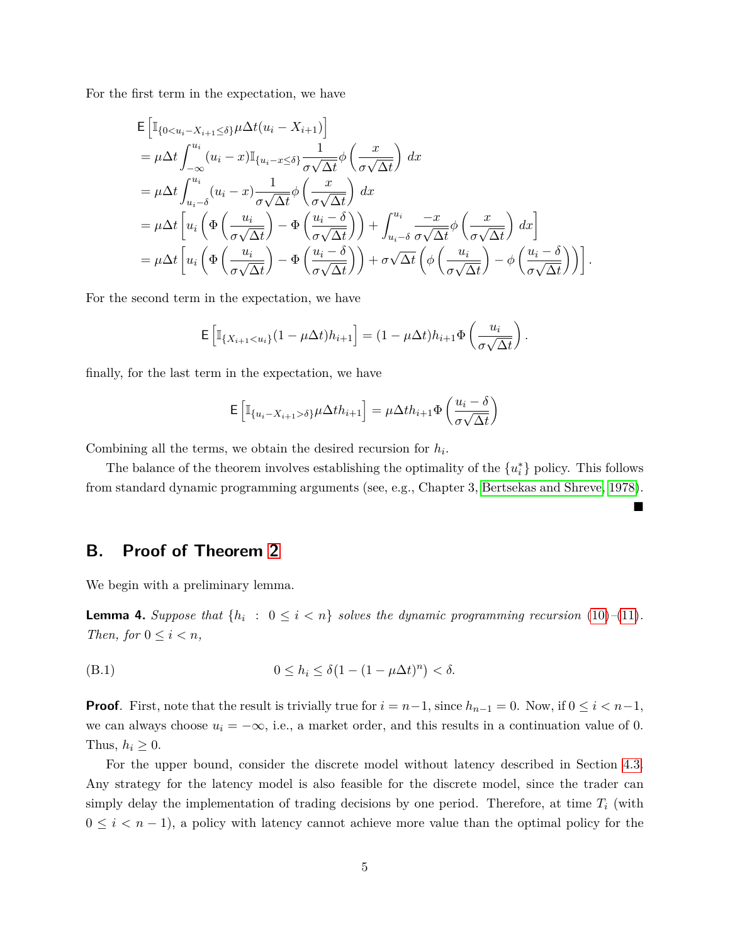For the first term in the expectation, we have

$$
\begin{split}\n&= \left[\mathbb{I}_{\{0 < u_{i} - X_{i+1} \leq \delta\}} \mu \Delta t (u_{i} - X_{i+1})\right] \\
&= \mu \Delta t \int_{-\infty}^{u_{i}} (u_{i} - x) \mathbb{I}_{\{u_{i} - x \leq \delta\}} \frac{1}{\sigma \sqrt{\Delta t}} \phi \left(\frac{x}{\sigma \sqrt{\Delta t}}\right) dx \\
&= \mu \Delta t \int_{u_{i} - \delta}^{u_{i}} (u_{i} - x) \frac{1}{\sigma \sqrt{\Delta t}} \phi \left(\frac{x}{\sigma \sqrt{\Delta t}}\right) dx \\
&= \mu \Delta t \left[u_{i} \left(\Phi \left(\frac{u_{i}}{\sigma \sqrt{\Delta t}}\right) - \Phi \left(\frac{u_{i} - \delta}{\sigma \sqrt{\Delta t}}\right)\right) + \int_{u_{i} - \delta}^{u_{i}} \frac{-x}{\sigma \sqrt{\Delta t}} \phi \left(\frac{x}{\sigma \sqrt{\Delta t}}\right) dx\right] \\
&= \mu \Delta t \left[u_{i} \left(\Phi \left(\frac{u_{i}}{\sigma \sqrt{\Delta t}}\right) - \Phi \left(\frac{u_{i} - \delta}{\sigma \sqrt{\Delta t}}\right)\right) + \sigma \sqrt{\Delta t} \left(\phi \left(\frac{u_{i}}{\sigma \sqrt{\Delta t}}\right) - \phi \left(\frac{u_{i} - \delta}{\sigma \sqrt{\Delta t}}\right)\right)\right].\n\end{split}
$$

For the second term in the expectation, we have

$$
\mathsf{E}\left[\mathbb{I}_{\{X_{i+1} < u_i\}}(1 - \mu \Delta t)h_{i+1}\right] = (1 - \mu \Delta t)h_{i+1}\Phi\left(\frac{u_i}{\sigma \sqrt{\Delta t}}\right).
$$

finally, for the last term in the expectation, we have

$$
\mathsf{E}\left[\mathbb{I}_{\{u_i - X_{i+1} > \delta\}}\mu\Delta th_{i+1}\right] = \mu\Delta th_{i+1}\Phi\left(\frac{u_i - \delta}{\sigma\sqrt{\Delta t}}\right)
$$

Combining all the terms, we obtain the desired recursion for  $h_i$ .

The balance of the theorem involves establishing the optimality of the  ${u<sub>i</sub><sup>*</sup>}$  policy. This follows from standard dynamic programming arguments (see, e.g., Chapter 3, [Bertsekas and Shreve, 1978\)](#page-30-9).

 $\blacksquare$ 

## <span id="page-37-0"></span>**B. Proof of Theorem [2](#page-15-0)**

<span id="page-37-1"></span>We begin with a preliminary lemma.

**Lemma 4.** *Suppose that*  $\{h_i : 0 \le i < n\}$  *solves the dynamic programming recursion* [\(10\)](#page-14-1)–[\(11\)](#page-14-3)*. Then, for*  $0 \leq i \leq n$ *,* 

(B.1) 
$$
0 \le h_i \le \delta \left(1 - (1 - \mu \Delta t)^n\right) < \delta.
$$

**Proof**. First, note that the result is trivially true for  $i = n-1$ , since  $h_{n-1} = 0$ . Now, if  $0 \le i < n-1$ , we can always choose  $u_i = -\infty$ , i.e., a market order, and this results in a continuation value of 0. Thus,  $h_i \geq 0$ .

For the upper bound, consider the discrete model without latency described in Section [4.3.](#page-18-0) Any strategy for the latency model is also feasible for the discrete model, since the trader can simply delay the implementation of trading decisions by one period. Therefore, at time *T<sup>i</sup>* (with  $0 \leq i \leq n-1$ , a policy with latency cannot achieve more value than the optimal policy for the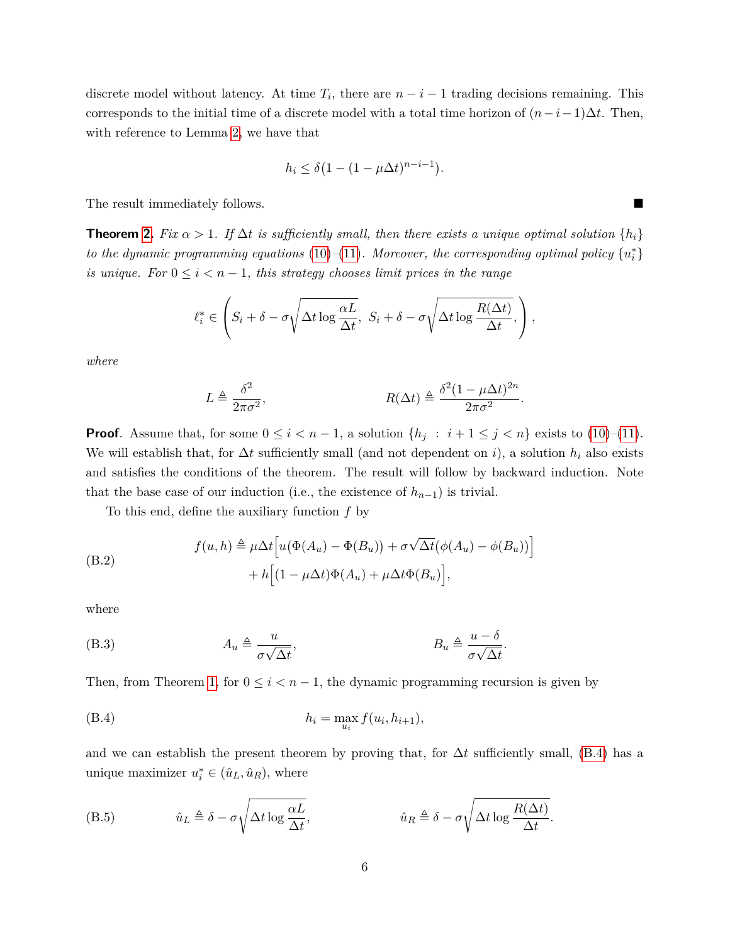discrete model without latency. At time  $T_i$ , there are  $n - i - 1$  trading decisions remaining. This corresponds to the initial time of a discrete model with a total time horizon of  $(n-i-1)\Delta t$ . Then, with reference to Lemma [2,](#page-19-1) we have that

$$
h_i \le \delta \left(1 - (1 - \mu \Delta t)^{n - i - 1}\right).
$$

The result immediately follows.

**Theorem [2.](#page-15-0)** *Fix*  $\alpha > 1$ *. If*  $\Delta t$  *is sufficiently small, then there exists a unique optimal solution*  $\{h_i\}$ *to the dynamic programming equations*  $(10)–(11)$  $(10)–(11)$  $(10)–(11)$ *. Moreover, the corresponding optimal policy*  $\{u_i^*\}$ *is unique. For*  $0 \leq i < n-1$ *, this strategy chooses limit prices in the range* 

$$
\ell_i^* \in \left(S_i + \delta - \sigma \sqrt{\Delta t \log \frac{\alpha L}{\Delta t}}, \ S_i + \delta - \sigma \sqrt{\Delta t \log \frac{R(\Delta t)}{\Delta t}}, \right),\,
$$

*where*

<span id="page-38-1"></span><span id="page-38-0"></span>
$$
L \triangleq \frac{\delta^2}{2\pi\sigma^2}, \qquad R(\Delta t) \triangleq \frac{\delta^2 (1 - \mu \Delta t)^{2n}}{2\pi\sigma^2}.
$$

**Proof**. Assume that, for some  $0 \leq i < n - 1$ , a solution  $\{h_j : i + 1 \leq j < n\}$  exists to [\(10\)](#page-14-1)–[\(11\)](#page-14-3). We will establish that, for  $\Delta t$  sufficiently small (and not dependent on *i*), a solution  $h_i$  also exists and satisfies the conditions of the theorem. The result will follow by backward induction. Note that the base case of our induction (i.e., the existence of  $h_{n-1}$ ) is trivial.

To this end, define the auxiliary function *f* by

(B.2) 
$$
f(u, h) \triangleq \mu \Delta t \Big[ u (\Phi(A_u) - \Phi(B_u)) + \sigma \sqrt{\Delta t} (\phi(A_u) - \phi(B_u)) \Big] + h \Big[ (1 - \mu \Delta t) \Phi(A_u) + \mu \Delta t \Phi(B_u) \Big],
$$

where

<span id="page-38-3"></span>(B.3) 
$$
A_u \triangleq \frac{u}{\sigma \sqrt{\Delta t}}, \qquad B_u \triangleq \frac{u - \delta}{\sigma \sqrt{\Delta t}}.
$$

Then, from Theorem [1,](#page-14-2) for  $0 \leq i < n-1$ , the dynamic programming recursion is given by

(B.4) 
$$
h_i = \max_{u_i} f(u_i, h_{i+1}),
$$

and we can establish the present theorem by proving that, for  $\Delta t$  sufficiently small, [\(B.4\)](#page-38-0) has a unique maximizer  $u_i^* \in (\hat{u}_L, \hat{u}_R)$ , where

<span id="page-38-2"></span>(B.5) 
$$
\hat{u}_L \triangleq \delta - \sigma \sqrt{\Delta t \log \frac{\alpha L}{\Delta t}}, \qquad \hat{u}_R \triangleq \delta - \sigma \sqrt{\Delta t \log \frac{R(\Delta t)}{\Delta t}}.
$$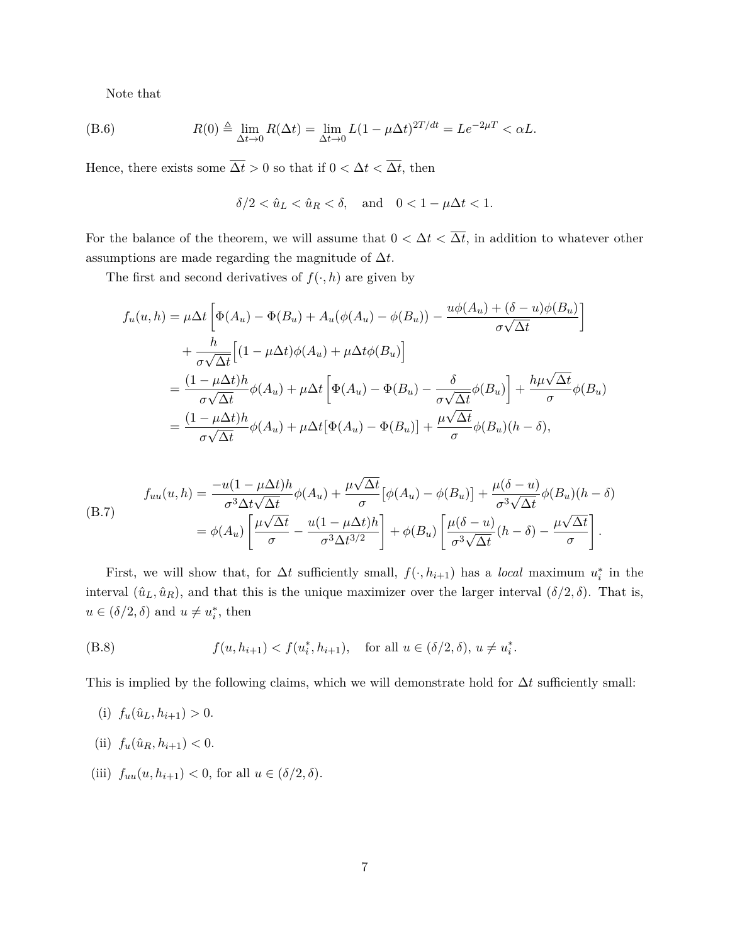<span id="page-39-2"></span>Note that

(B.6) 
$$
R(0) \triangleq \lim_{\Delta t \to 0} R(\Delta t) = \lim_{\Delta t \to 0} L(1 - \mu \Delta t)^{2T/dt} = Le^{-2\mu T} < \alpha L.
$$

Hence, there exists some  $\overline{\Delta t} > 0$  so that if  $0 < \Delta t < \overline{\Delta t}$ , then

$$
\delta/2 < \hat{u}_L < \hat{u}_R < \delta, \quad \text{and} \quad 0 < 1 - \mu \Delta t < 1.
$$

For the balance of the theorem, we will assume that  $0 < \Delta t < \overline{\Delta t}$ , in addition to whatever other assumptions are made regarding the magnitude of ∆*t*.

The first and second derivatives of  $f(\cdot, h)$  are given by

$$
f_u(u, h) = \mu \Delta t \left[ \Phi(A_u) - \Phi(B_u) + A_u(\phi(A_u) - \phi(B_u)) - \frac{u\phi(A_u) + (\delta - u)\phi(B_u)}{\sigma\sqrt{\Delta t}} \right]
$$
  
+ 
$$
\frac{h}{\sigma\sqrt{\Delta t}} \left[ (1 - \mu \Delta t)\phi(A_u) + \mu \Delta t \phi(B_u) \right]
$$
  
= 
$$
\frac{(1 - \mu \Delta t)h}{\sigma\sqrt{\Delta t}} \phi(A_u) + \mu \Delta t \left[ \Phi(A_u) - \Phi(B_u) - \frac{\delta}{\sigma\sqrt{\Delta t}} \phi(B_u) \right] + \frac{h\mu\sqrt{\Delta t}}{\sigma} \phi(B_u)
$$
  
= 
$$
\frac{(1 - \mu \Delta t)h}{\sigma\sqrt{\Delta t}} \phi(A_u) + \mu \Delta t [\Phi(A_u) - \Phi(B_u)] + \frac{\mu\sqrt{\Delta t}}{\sigma} \phi(B_u)(h - \delta),
$$

<span id="page-39-4"></span>(B.7) 
$$
f_{uu}(u, h) = \frac{-u(1 - \mu \Delta t)h}{\sigma^3 \Delta t \sqrt{\Delta t}} \phi(A_u) + \frac{\mu \sqrt{\Delta t}}{\sigma} [\phi(A_u) - \phi(B_u)] + \frac{\mu(\delta - u)}{\sigma^3 \sqrt{\Delta t}} \phi(B_u)(h - \delta)
$$

$$
= \phi(A_u) \left[ \frac{\mu \sqrt{\Delta t}}{\sigma} - \frac{u(1 - \mu \Delta t)h}{\sigma^3 \Delta t^{3/2}} \right] + \phi(B_u) \left[ \frac{\mu(\delta - u)}{\sigma^3 \sqrt{\Delta t}} (h - \delta) - \frac{\mu \sqrt{\Delta t}}{\sigma} \right].
$$

<span id="page-39-5"></span>First, we will show that, for  $\Delta t$  sufficiently small,  $f(\cdot, h_{i+1})$  has a *local* maximum  $u_i^*$  in the interval  $(\hat{u}_L, \hat{u}_R)$ , and that this is the unique maximizer over the larger interval  $(\delta/2, \delta)$ . That is,  $u \in (\delta/2, \delta)$  and  $u \neq u_i^*$ , then

(B.8) 
$$
f(u, h_{i+1}) < f(u_i^*, h_{i+1}), \quad \text{for all } u \in (\delta/2, \delta), \ u \neq u_i^*.
$$

This is implied by the following claims, which we will demonstrate hold for  $\Delta t$  sufficiently small:

- <span id="page-39-0"></span>(i)  $f_u(\hat{u}_L, h_{i+1}) > 0.$
- <span id="page-39-1"></span>(ii)  $f_u(\hat{u}_R, h_{i+1}) < 0$ .
- <span id="page-39-3"></span>(iii)  $f_{uu}(u, h_{i+1}) < 0$ , for all  $u \in (\delta/2, \delta)$ .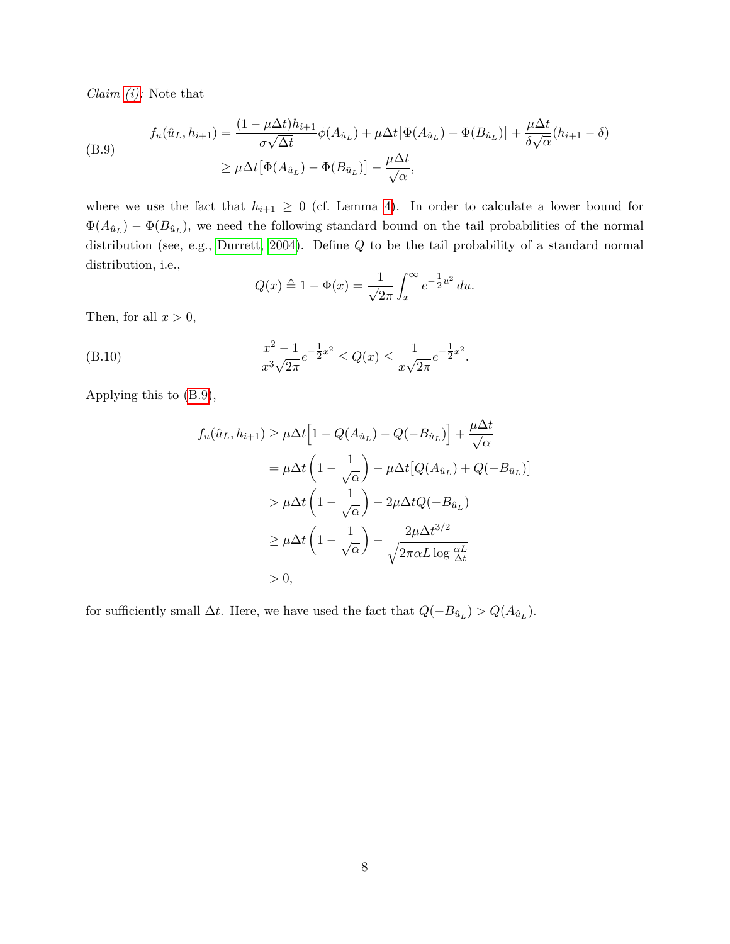<span id="page-40-0"></span>*Claim [\(i\):](#page-39-0)* Note that

(B.9) 
$$
f_u(\hat{u}_L, h_{i+1}) = \frac{(1 - \mu \Delta t)h_{i+1}}{\sigma \sqrt{\Delta t}} \phi(A_{\hat{u}_L}) + \mu \Delta t [\Phi(A_{\hat{u}_L}) - \Phi(B_{\hat{u}_L})] + \frac{\mu \Delta t}{\delta \sqrt{\alpha}} (h_{i+1} - \delta)
$$

$$
\geq \mu \Delta t [\Phi(A_{\hat{u}_L}) - \Phi(B_{\hat{u}_L})] - \frac{\mu \Delta t}{\sqrt{\alpha}},
$$

where we use the fact that  $h_{i+1} \geq 0$  (cf. Lemma [4\)](#page-37-1). In order to calculate a lower bound for  $\Phi(A_{\hat{u}_L}) - \Phi(B_{\hat{u}_L})$ , we need the following standard bound on the tail probabilities of the normal distribution (see, e.g., [Durrett, 2004\)](#page-31-21). Define *Q* to be the tail probability of a standard normal distribution, i.e.,

<span id="page-40-1"></span>
$$
Q(x) \triangleq 1 - \Phi(x) = \frac{1}{\sqrt{2\pi}} \int_x^{\infty} e^{-\frac{1}{2}u^2} du.
$$

Then, for all  $x > 0$ ,

(B.10) 
$$
\frac{x^2 - 1}{x^3 \sqrt{2\pi}} e^{-\frac{1}{2}x^2} \le Q(x) \le \frac{1}{x\sqrt{2\pi}} e^{-\frac{1}{2}x^2}.
$$

Applying this to [\(B.9\)](#page-40-0),

$$
f_u(\hat{u}_L, h_{i+1}) \ge \mu \Delta t \Big[ 1 - Q(A_{\hat{u}_L}) - Q(-B_{\hat{u}_L}) \Big] + \frac{\mu \Delta t}{\sqrt{\alpha}}
$$
  
=  $\mu \Delta t \left( 1 - \frac{1}{\sqrt{\alpha}} \right) - \mu \Delta t [Q(A_{\hat{u}_L}) + Q(-B_{\hat{u}_L})]$   
>  $\mu \Delta t \left( 1 - \frac{1}{\sqrt{\alpha}} \right) - 2\mu \Delta t Q(-B_{\hat{u}_L})$   
 $\ge \mu \Delta t \left( 1 - \frac{1}{\sqrt{\alpha}} \right) - \frac{2\mu \Delta t^{3/2}}{\sqrt{2\pi \alpha L \log \frac{\alpha L}{\Delta t}}}$   
> 0,

for sufficiently small  $\Delta t$ . Here, we have used the fact that  $Q(-B_{\hat{u}_L}) > Q(A_{\hat{u}_L})$ .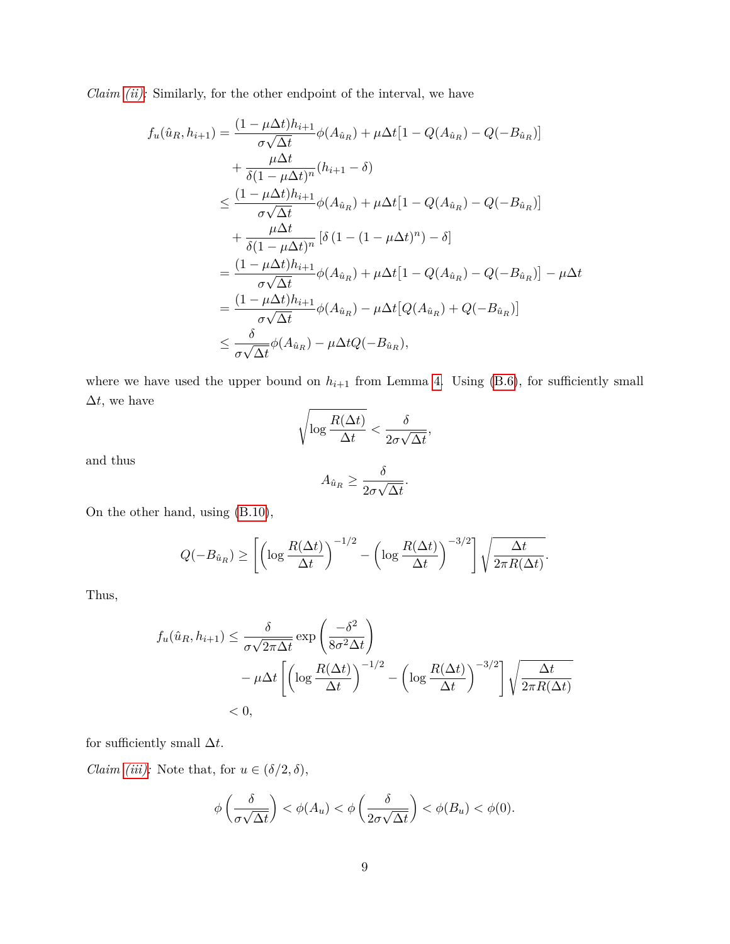*Claim [\(ii\):](#page-39-1)* Similarly, for the other endpoint of the interval, we have

$$
f_u(\hat{u}_R, h_{i+1}) = \frac{(1 - \mu \Delta t)h_{i+1}}{\sigma \sqrt{\Delta t}} \phi(A_{\hat{u}_R}) + \mu \Delta t [1 - Q(A_{\hat{u}_R}) - Q(-B_{\hat{u}_R})]
$$
  
+ 
$$
\frac{\mu \Delta t}{\delta(1 - \mu \Delta t)^n} (h_{i+1} - \delta)
$$
  

$$
\leq \frac{(1 - \mu \Delta t)h_{i+1}}{\sigma \sqrt{\Delta t}} \phi(A_{\hat{u}_R}) + \mu \Delta t [1 - Q(A_{\hat{u}_R}) - Q(-B_{\hat{u}_R})]
$$
  
+ 
$$
\frac{\mu \Delta t}{\delta(1 - \mu \Delta t)^n} [\delta (1 - (1 - \mu \Delta t)^n) - \delta]
$$
  
= 
$$
\frac{(1 - \mu \Delta t)h_{i+1}}{\sigma \sqrt{\Delta t}} \phi(A_{\hat{u}_R}) + \mu \Delta t [1 - Q(A_{\hat{u}_R}) - Q(-B_{\hat{u}_R})] - \mu \Delta t
$$
  
= 
$$
\frac{(1 - \mu \Delta t)h_{i+1}}{\sigma \sqrt{\Delta t}} \phi(A_{\hat{u}_R}) - \mu \Delta t [Q(A_{\hat{u}_R}) + Q(-B_{\hat{u}_R})]
$$
  

$$
\leq \frac{\delta}{\sigma \sqrt{\Delta t}} \phi(A_{\hat{u}_R}) - \mu \Delta t Q(-B_{\hat{u}_R}),
$$

where we have used the upper bound on  $h_{i+1}$  from Lemma [4.](#page-37-1) Using  $(B.6)$ , for sufficiently small  $\Delta t$ , we have

$$
\sqrt{\log \frac{R(\Delta t)}{\Delta t}} < \frac{\delta}{2\sigma\sqrt{\Delta t}},
$$

and thus

$$
A_{\hat{u}_R} \ge \frac{\delta}{2\sigma\sqrt{\Delta t}}.
$$

On the other hand, using [\(B.10\)](#page-40-1),

$$
Q(-B_{\hat{u}_R}) \ge \left[ \left( \log \frac{R(\Delta t)}{\Delta t} \right)^{-1/2} - \left( \log \frac{R(\Delta t)}{\Delta t} \right)^{-3/2} \right] \sqrt{\frac{\Delta t}{2\pi R(\Delta t)}}.
$$

Thus,

$$
f_u(\hat{u}_R, h_{i+1}) \le \frac{\delta}{\sigma \sqrt{2\pi \Delta t}} \exp\left(\frac{-\delta^2}{8\sigma^2 \Delta t}\right)
$$

$$
-\mu \Delta t \left[ \left(\log \frac{R(\Delta t)}{\Delta t}\right)^{-1/2} - \left(\log \frac{R(\Delta t)}{\Delta t}\right)^{-3/2} \right] \sqrt{\frac{\Delta t}{2\pi R(\Delta t)}}
$$
 $< 0,$ 

for sufficiently small  $\Delta t$ .

*Claim [\(iii\):](#page-39-3)* Note that, for  $u \in (\delta/2, \delta)$ ,

$$
\phi\left(\frac{\delta}{\sigma\sqrt{\Delta t}}\right) < \phi(A_u) < \phi\left(\frac{\delta}{2\sigma\sqrt{\Delta t}}\right) < \phi(B_u) < \phi(0).
$$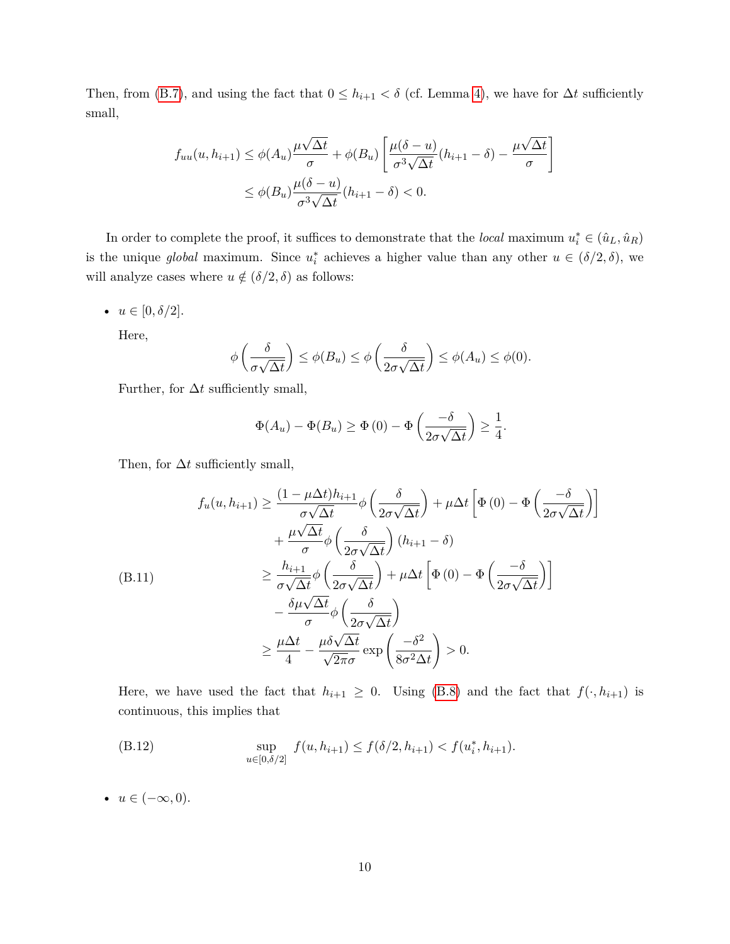Then, from [\(B.7\)](#page-39-4), and using the fact that  $0 \leq h_{i+1} < \delta$  (cf. Lemma [4\)](#page-37-1), we have for  $\Delta t$  sufficiently small,

$$
f_{uu}(u, h_{i+1}) \le \phi(A_u) \frac{\mu \sqrt{\Delta t}}{\sigma} + \phi(B_u) \left[ \frac{\mu(\delta - u)}{\sigma^3 \sqrt{\Delta t}} (h_{i+1} - \delta) - \frac{\mu \sqrt{\Delta t}}{\sigma} \right]
$$

$$
\le \phi(B_u) \frac{\mu(\delta - u)}{\sigma^3 \sqrt{\Delta t}} (h_{i+1} - \delta) < 0.
$$

In order to complete the proof, it suffices to demonstrate that the *local* maximum  $u_i^* \in (\hat{u}_L, \hat{u}_R)$ is the unique *global* maximum. Since  $u_i^*$  achieves a higher value than any other  $u \in (\delta/2, \delta)$ , we will analyze cases where  $u \notin (\delta/2, \delta)$  as follows:

•  $u \in [0, \delta/2]$ .

Here,

$$
\phi\left(\frac{\delta}{\sigma\sqrt{\Delta t}}\right) \leq \phi(B_u) \leq \phi\left(\frac{\delta}{2\sigma\sqrt{\Delta t}}\right) \leq \phi(A_u) \leq \phi(0).
$$

Further, for  $\Delta t$  sufficiently small,

$$
\Phi(A_u) - \Phi(B_u) \ge \Phi(0) - \Phi\left(\frac{-\delta}{2\sigma\sqrt{\Delta t}}\right) \ge \frac{1}{4}.
$$

Then, for  $\Delta t$  sufficiently small,

$$
f_u(u, h_{i+1}) \ge \frac{(1 - \mu \Delta t)h_{i+1}}{\sigma \sqrt{\Delta t}} \phi \left(\frac{\delta}{2\sigma\sqrt{\Delta t}}\right) + \mu \Delta t \left[\Phi\left(0\right) - \Phi\left(\frac{-\delta}{2\sigma\sqrt{\Delta t}}\right)\right] + \frac{\mu \sqrt{\Delta t}}{\sigma} \phi \left(\frac{\delta}{2\sigma\sqrt{\Delta t}}\right) (h_{i+1} - \delta) \ge \frac{h_{i+1}}{\sigma \sqrt{\Delta t}} \phi \left(\frac{\delta}{2\sigma\sqrt{\Delta t}}\right) + \mu \Delta t \left[\Phi\left(0\right) - \Phi\left(\frac{-\delta}{2\sigma\sqrt{\Delta t}}\right)\right] - \frac{\delta \mu \sqrt{\Delta t}}{\sigma} \phi \left(\frac{\delta}{2\sigma\sqrt{\Delta t}}\right) \ge \frac{\mu \Delta t}{4} - \frac{\mu \delta \sqrt{\Delta t}}{\sqrt{2\pi}\sigma} \exp\left(\frac{-\delta^2}{8\sigma^2\Delta t}\right) > 0.
$$

<span id="page-42-0"></span>Here, we have used the fact that  $h_{i+1} \geq 0$ . Using [\(B.8\)](#page-39-5) and the fact that  $f(\cdot, h_{i+1})$  is continuous, this implies that

(B.12) 
$$
\sup_{u \in [0,\delta/2]} f(u, h_{i+1}) \le f(\delta/2, h_{i+1}) < f(u_i^*, h_{i+1}).
$$

•  $u \in (-\infty, 0)$ .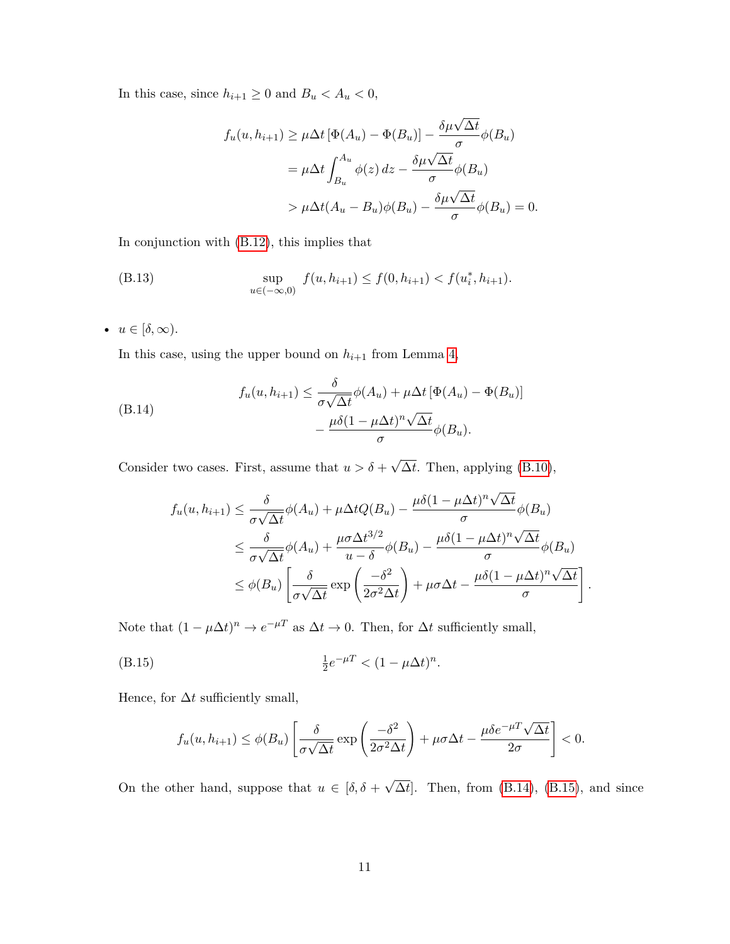In this case, since  $h_{i+1} \geq 0$  and  $B_u < A_u < 0$ ,

$$
f_u(u, h_{i+1}) \ge \mu \Delta t \left[ \Phi(A_u) - \Phi(B_u) \right] - \frac{\delta \mu \sqrt{\Delta t}}{\sigma} \phi(B_u)
$$
  
=  $\mu \Delta t \int_{B_u}^{A_u} \phi(z) dz - \frac{\delta \mu \sqrt{\Delta t}}{\sigma} \phi(B_u)$   
>  $\mu \Delta t (A_u - B_u) \phi(B_u) - \frac{\delta \mu \sqrt{\Delta t}}{\sigma} \phi(B_u) = 0.$ 

In conjunction with [\(B.12\)](#page-42-0), this implies that

(B.13) 
$$
\sup_{u \in (-\infty,0)} f(u, h_{i+1}) \le f(0, h_{i+1}) < f(u_i^*, h_{i+1}).
$$

•  $u \in [\delta, \infty)$ .

In this case, using the upper bound on  $h_{i+1}$  from Lemma [4,](#page-37-1)

(B.14)  
\n
$$
f_u(u, h_{i+1}) \leq \frac{\delta}{\sigma \sqrt{\Delta t}} \phi(A_u) + \mu \Delta t \left[ \Phi(A_u) - \Phi(B_u) \right] - \frac{\mu \delta (1 - \mu \Delta t)^n \sqrt{\Delta t}}{\sigma} \phi(B_u).
$$

Consider two cases. First, assume that  $u > \delta +$ √  $\Delta t$ . Then, applying [\(B.10\)](#page-40-1),

$$
f_u(u, h_{i+1}) \leq \frac{\delta}{\sigma\sqrt{\Delta t}}\phi(A_u) + \mu\Delta t Q(B_u) - \frac{\mu\delta(1 - \mu\Delta t)^n \sqrt{\Delta t}}{\sigma}\phi(B_u)
$$
  

$$
\leq \frac{\delta}{\sigma\sqrt{\Delta t}}\phi(A_u) + \frac{\mu\sigma\Delta t^{3/2}}{u - \delta}\phi(B_u) - \frac{\mu\delta(1 - \mu\Delta t)^n \sqrt{\Delta t}}{\sigma}\phi(B_u)
$$
  

$$
\leq \phi(B_u) \left[ \frac{\delta}{\sigma\sqrt{\Delta t}} \exp\left(\frac{-\delta^2}{2\sigma^2\Delta t}\right) + \mu\sigma\Delta t - \frac{\mu\delta(1 - \mu\Delta t)^n \sqrt{\Delta t}}{\sigma} \right]
$$

<span id="page-43-1"></span><span id="page-43-0"></span>*.*

Note that  $(1 - \mu \Delta t)^n \to e^{-\mu T}$  as  $\Delta t \to 0$ . Then, for  $\Delta t$  sufficiently small,

(B.15) 
$$
\frac{1}{2}e^{-\mu T} < (1 - \mu \Delta t)^n.
$$

Hence, for  $\Delta t$  sufficiently small,

$$
f_u(u, h_{i+1}) \le \phi(B_u) \left[ \frac{\delta}{\sigma \sqrt{\Delta t}} \exp \left( \frac{-\delta^2}{2\sigma^2 \Delta t} \right) + \mu \sigma \Delta t - \frac{\mu \delta e^{-\mu T} \sqrt{\Delta t}}{2\sigma} \right] < 0.
$$

On the other hand, suppose that  $u \in [\delta, \delta +]$ √  $\Delta t$ . Then, from [\(B.14\)](#page-43-0), [\(B.15\)](#page-43-1), and since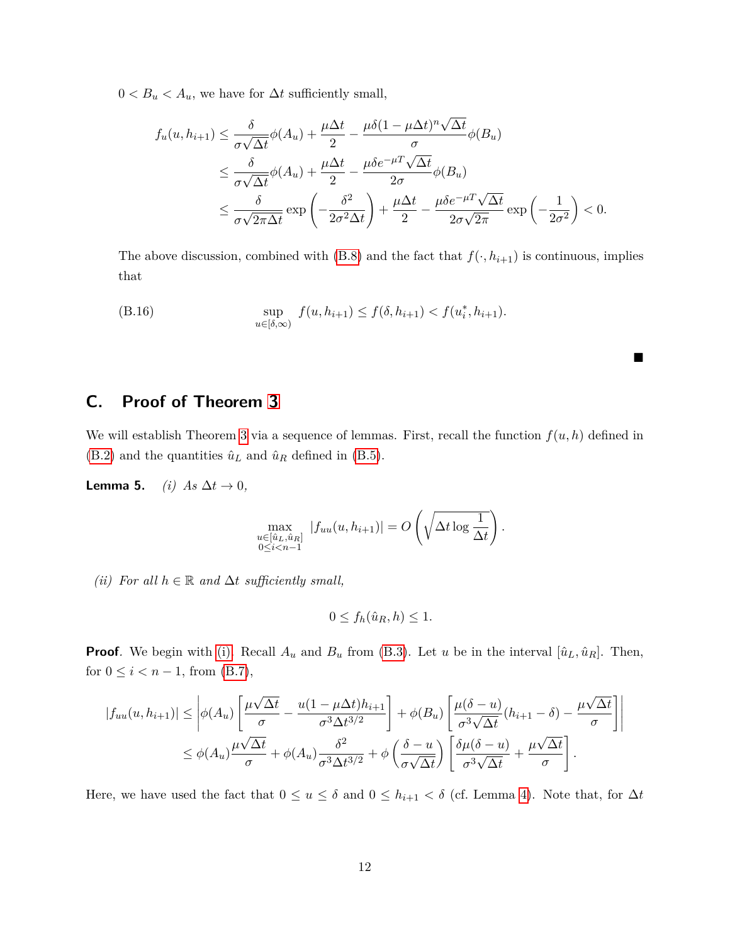$0 < B_u < A_u$ , we have for  $\Delta t$  sufficiently small,

$$
f_u(u, h_{i+1}) \leq \frac{\delta}{\sigma\sqrt{\Delta t}}\phi(A_u) + \frac{\mu\Delta t}{2} - \frac{\mu\delta(1 - \mu\Delta t)^n \sqrt{\Delta t}}{\sigma}\phi(B_u)
$$
  

$$
\leq \frac{\delta}{\sigma\sqrt{\Delta t}}\phi(A_u) + \frac{\mu\Delta t}{2} - \frac{\mu\delta e^{-\mu T}\sqrt{\Delta t}}{2\sigma}\phi(B_u)
$$
  

$$
\leq \frac{\delta}{\sigma\sqrt{2\pi\Delta t}}\exp\left(-\frac{\delta^2}{2\sigma^2\Delta t}\right) + \frac{\mu\Delta t}{2} - \frac{\mu\delta e^{-\mu T}\sqrt{\Delta t}}{2\sigma\sqrt{2\pi}}\exp\left(-\frac{1}{2\sigma^2}\right) < 0.
$$

The above discussion, combined with  $(B.8)$  and the fact that  $f(\cdot, h_{i+1})$  is continuous, implies that

■

(B.16) 
$$
\sup_{u \in [\delta, \infty)} f(u, h_{i+1}) \le f(\delta, h_{i+1}) < f(u_i^*, h_{i+1}).
$$

# <span id="page-44-0"></span>**C. Proof of Theorem [3](#page-16-2)**

We will establish Theorem [3](#page-16-2) via a sequence of lemmas. First, recall the function  $f(u, h)$  defined in  $(B.2)$  and the quantities  $\hat{u}_L$  and  $\hat{u}_R$  defined in  $(B.5)$ .

<span id="page-44-3"></span><span id="page-44-1"></span>**Lemma 5.** *(i)*  $As \Delta t \rightarrow 0$ *,* 

$$
\max_{\substack{u \in [\hat{u}_L, \hat{u}_R] \\ 0 \le i < n-1}} |f_{uu}(u, h_{i+1})| = O\left(\sqrt{\Delta t \log \frac{1}{\Delta t}}\right).
$$

<span id="page-44-2"></span>*(ii)* For all  $h \in \mathbb{R}$  and  $\Delta t$  *sufficiently small,* 

$$
0 \le f_h(\hat{u}_R, h) \le 1.
$$

**Proof**. We begin with [\(i\).](#page-44-1) Recall  $A_u$  and  $B_u$  from [\(B.3\)](#page-38-3). Let *u* be in the interval  $[\hat{u}_L, \hat{u}_R]$ . Then, for  $0 \le i < n - 1$ , from [\(B.7\)](#page-39-4),

$$
|f_{uu}(u, h_{i+1})| \leq \left| \phi(A_u) \left[ \frac{\mu \sqrt{\Delta t}}{\sigma} - \frac{u(1 - \mu \Delta t)h_{i+1}}{\sigma^3 \Delta t^{3/2}} \right] + \phi(B_u) \left[ \frac{\mu(\delta - u)}{\sigma^3 \sqrt{\Delta t}} (h_{i+1} - \delta) - \frac{\mu \sqrt{\Delta t}}{\sigma} \right] \right|
$$
  

$$
\leq \phi(A_u) \frac{\mu \sqrt{\Delta t}}{\sigma} + \phi(A_u) \frac{\delta^2}{\sigma^3 \Delta t^{3/2}} + \phi \left( \frac{\delta - u}{\sigma \sqrt{\Delta t}} \right) \left[ \frac{\delta \mu(\delta - u)}{\sigma^3 \sqrt{\Delta t}} + \frac{\mu \sqrt{\Delta t}}{\sigma} \right].
$$

Here, we have used the fact that  $0 \le u \le \delta$  and  $0 \le h_{i+1} < \delta$  (cf. Lemma [4\)](#page-37-1). Note that, for  $\Delta t$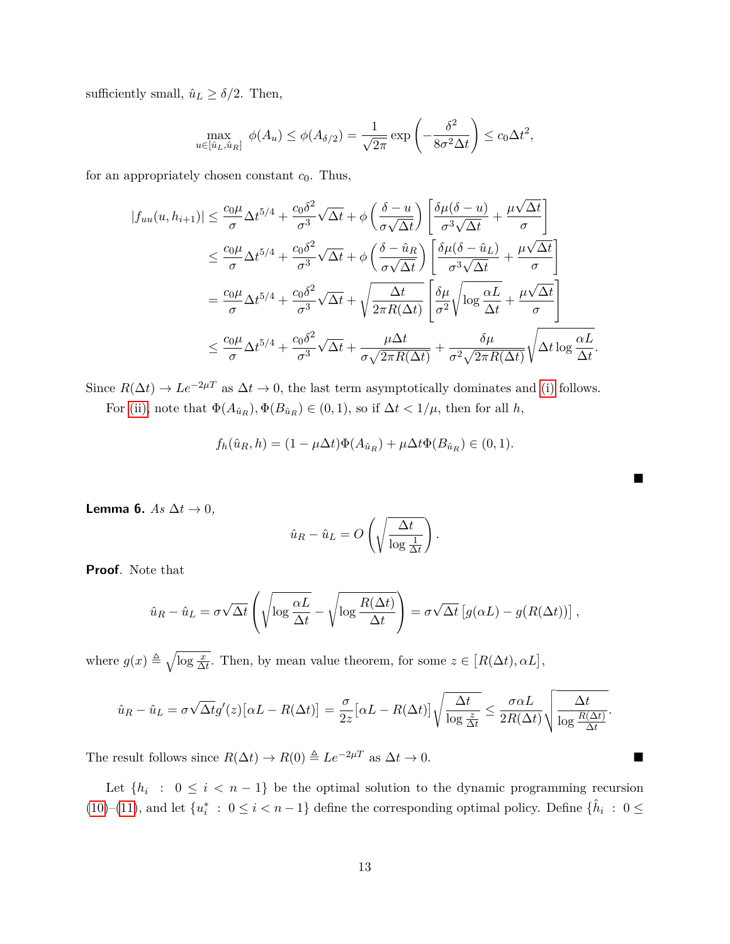sufficiently small,  $\hat{u}_L \ge \delta/2$ . Then,

$$
\max_{u \in [\hat{u}_L, \hat{u}_R]} \phi(A_u) \le \phi(A_{\delta/2}) = \frac{1}{\sqrt{2\pi}} \exp\left(-\frac{\delta^2}{8\sigma^2 \Delta t}\right) \le c_0 \Delta t^2,
$$

for an appropriately chosen constant *c*0. Thus,

$$
|f_{uu}(u, h_{i+1})| \leq \frac{c_0 \mu}{\sigma} \Delta t^{5/4} + \frac{c_0 \delta^2}{\sigma^3} \sqrt{\Delta t} + \phi \left(\frac{\delta - u}{\sigma \sqrt{\Delta t}}\right) \left[\frac{\delta \mu (\delta - u)}{\sigma^3 \sqrt{\Delta t}} + \frac{\mu \sqrt{\Delta t}}{\sigma}\right]
$$
  

$$
\leq \frac{c_0 \mu}{\sigma} \Delta t^{5/4} + \frac{c_0 \delta^2}{\sigma^3} \sqrt{\Delta t} + \phi \left(\frac{\delta - \hat{u}_R}{\sigma \sqrt{\Delta t}}\right) \left[\frac{\delta \mu (\delta - \hat{u}_L)}{\sigma^3 \sqrt{\Delta t}} + \frac{\mu \sqrt{\Delta t}}{\sigma}\right]
$$
  

$$
= \frac{c_0 \mu}{\sigma} \Delta t^{5/4} + \frac{c_0 \delta^2}{\sigma^3} \sqrt{\Delta t} + \sqrt{\frac{\Delta t}{2\pi R(\Delta t)}} \left[\frac{\delta \mu}{\sigma^2} \sqrt{\log \frac{\alpha L}{\Delta t}} + \frac{\mu \sqrt{\Delta t}}{\sigma}\right]
$$
  

$$
\leq \frac{c_0 \mu}{\sigma} \Delta t^{5/4} + \frac{c_0 \delta^2}{\sigma^3} \sqrt{\Delta t} + \frac{\mu \Delta t}{\sigma \sqrt{2\pi R(\Delta t)}} + \frac{\delta \mu}{\sigma^2 \sqrt{2\pi R(\Delta t)}} \sqrt{\Delta t \log \frac{\alpha L}{\Delta t}}.
$$

Since  $R(\Delta t) \to L e^{-2\mu T}$  as  $\Delta t \to 0$ , the last term asymptotically dominates and [\(i\)](#page-44-1) follows. For [\(ii\),](#page-44-2) note that  $\Phi(A_{\hat{u}_R}), \Phi(B_{\hat{u}_R}) \in (0, 1)$ , so if  $\Delta t < 1/\mu$ , then for all *h*,

$$
f_h(\hat{u}_R,h) = (1-\mu \Delta t) \Phi(A_{\hat{u}_R}) + \mu \Delta t \Phi(B_{\hat{u}_R}) \in (0,1).
$$

 $\blacksquare$ 

<span id="page-45-0"></span>**Lemma 6.**  $As \Delta t \rightarrow 0$ ,

$$
\hat{u}_R - \hat{u}_L = O\left(\sqrt{\frac{\Delta t}{\log \frac{1}{\Delta t}}}\right).
$$

**Proof***.* Note that

$$
\hat{u}_R - \hat{u}_L = \sigma \sqrt{\Delta t} \left( \sqrt{\log \frac{\alpha L}{\Delta t}} - \sqrt{\log \frac{R(\Delta t)}{\Delta t}} \right) = \sigma \sqrt{\Delta t} \left[ g(\alpha L) - g(R(\Delta t)) \right],
$$

where  $g(x) \triangleq \sqrt{\log \frac{x}{\Delta t}}$ . Then, by mean value theorem, for some  $z \in [R(\Delta t), \alpha L]$ ,

$$
\hat{u}_R - \hat{u}_L = \sigma \sqrt{\Delta t} g'(z) [\alpha L - R(\Delta t)] = \frac{\sigma}{2z} [\alpha L - R(\Delta t)] \sqrt{\frac{\Delta t}{\log \frac{z}{\Delta t}}} \leq \frac{\sigma \alpha L}{2R(\Delta t)} \sqrt{\frac{\Delta t}{\log \frac{R(\Delta t)}{\Delta t}}}.
$$

The result follows since  $R(\Delta t) \to R(0) \triangleq Le^{-2\mu T}$  as  $\Delta t \to 0$ .

Let  $\{h_i : 0 \le i < n-1\}$  be the optimal solution to the dynamic programming recursion [\(10\)](#page-14-1)–[\(11\)](#page-14-3), and let  $\{u_i^* : 0 \le i < n-1\}$  define the corresponding optimal policy. Define  $\{\hat{h}_i : 0 \le i \le n-1\}$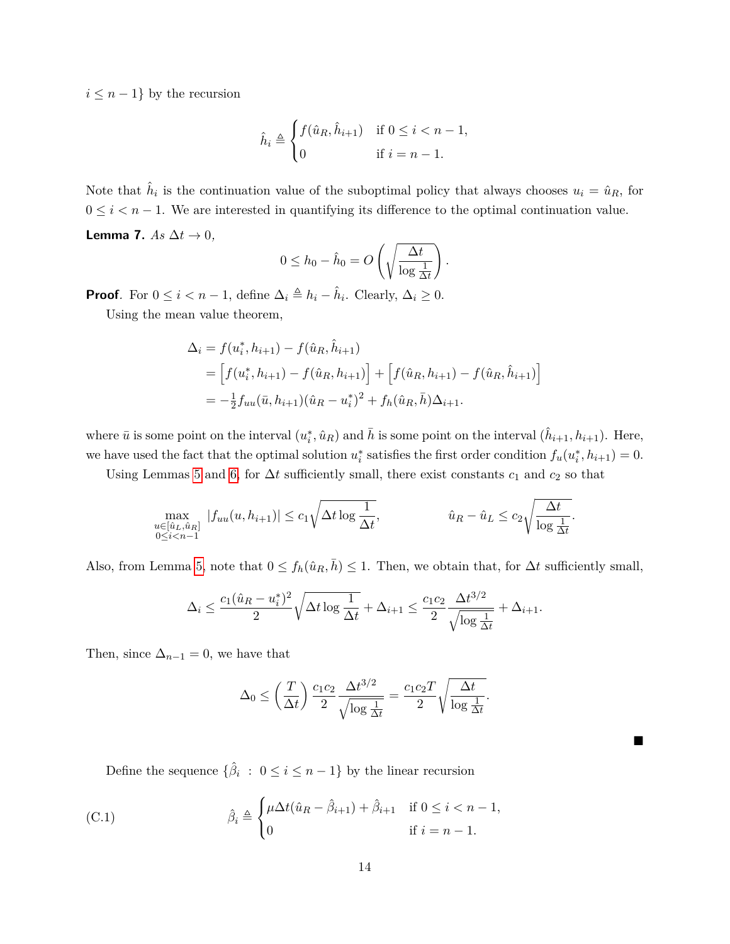$i \leq n-1$ } by the recursion

$$
\hat{h}_i \triangleq \begin{cases} f(\hat{u}_R, \hat{h}_{i+1}) & \text{if } 0 \le i < n-1, \\ 0 & \text{if } i = n-1. \end{cases}
$$

Note that  $\hat{h}_i$  is the continuation value of the suboptimal policy that always chooses  $u_i = \hat{u}_R$ , for  $0 \leq i \leq n-1$ . We are interested in quantifying its difference to the optimal continuation value.

<span id="page-46-1"></span>**Lemma 7.**  $As \Delta t \rightarrow 0$ ,

$$
0 \le h_0 - \hat{h}_0 = O\left(\sqrt{\frac{\Delta t}{\log \frac{1}{\Delta t}}}\right).
$$

**Proof**. For  $0 \le i < n - 1$ , define  $\Delta_i \triangleq h_i - \hat{h}_i$ . Clearly,  $\Delta_i \ge 0$ .

Using the mean value theorem,

$$
\Delta_i = f(u_i^*, h_{i+1}) - f(\hat{u}_R, \hat{h}_{i+1})
$$
  
= 
$$
\left[ f(u_i^*, h_{i+1}) - f(\hat{u}_R, h_{i+1}) \right] + \left[ f(\hat{u}_R, h_{i+1}) - f(\hat{u}_R, \hat{h}_{i+1}) \right]
$$
  
= 
$$
-\frac{1}{2} f_{uu}(\bar{u}, h_{i+1}) (\hat{u}_R - u_i^*)^2 + f_h(\hat{u}_R, \bar{h}) \Delta_{i+1}.
$$

where  $\bar{u}$  is some point on the interval  $(u_i^*, \hat{u}_R)$  and  $\bar{h}$  is some point on the interval  $(\hat{h}_{i+1}, h_{i+1})$ . Here, we have used the fact that the optimal solution  $u_i^*$  satisfies the first order condition  $f_u(u_i^*, h_{i+1}) = 0$ .

Using Lemmas [5](#page-44-3) and [6,](#page-45-0) for  $\Delta t$  sufficiently small, there exist constants  $c_1$  and  $c_2$  so that

$$
\max_{\substack{u \in [\hat{u}_L, \hat{u}_R] \\ 0 \le i < n-1}} |f_{uu}(u, h_{i+1})| \le c_1 \sqrt{\Delta t \log \frac{1}{\Delta t}}, \qquad \hat{u}_R - \hat{u}_L \le c_2 \sqrt{\frac{\Delta t}{\log \frac{1}{\Delta t}}}.
$$

Also, from Lemma [5,](#page-44-3) note that  $0 \le f_h(\hat{u}_R, \bar{h}) \le 1$ . Then, we obtain that, for  $\Delta t$  sufficiently small,

$$
\Delta_i \le \frac{c_1(\hat{u}_R - u_i^*)^2}{2} \sqrt{\Delta t \log \frac{1}{\Delta t}} + \Delta_{i+1} \le \frac{c_1 c_2}{2} \frac{\Delta t^{3/2}}{\sqrt{\log \frac{1}{\Delta t}}} + \Delta_{i+1}.
$$

Then, since  $\Delta_{n-1} = 0$ , we have that

$$
\Delta_0 \le \left(\frac{T}{\Delta t}\right) \frac{c_1 c_2}{2} \frac{\Delta t^{3/2}}{\sqrt{\log \frac{1}{\Delta t}}} = \frac{c_1 c_2 T}{2} \sqrt{\frac{\Delta t}{\log \frac{1}{\Delta t}}}.
$$

<span id="page-46-0"></span> $\blacksquare$ 

Define the sequence  $\{\hat{\beta}_i : 0 \le i \le n-1\}$  by the linear recursion

(C.1) 
$$
\hat{\beta}_i \triangleq \begin{cases} \mu \Delta t (\hat{u}_R - \hat{\beta}_{i+1}) + \hat{\beta}_{i+1} & \text{if } 0 \le i < n-1, \\ 0 & \text{if } i = n-1. \end{cases}
$$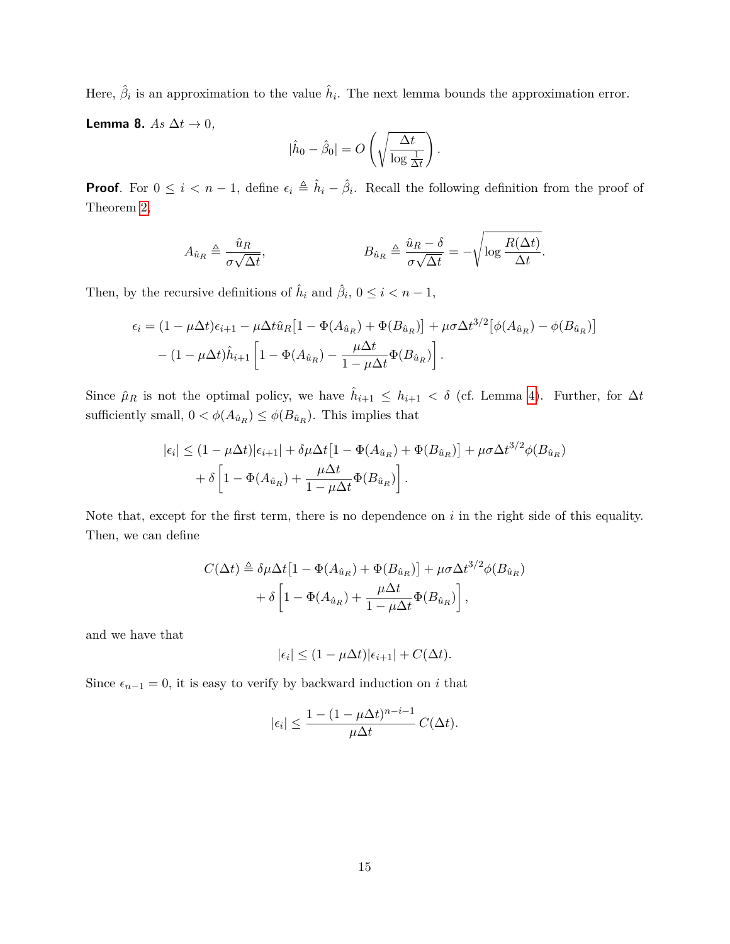<span id="page-47-0"></span>Here,  $\hat{\beta}_i$  is an approximation to the value  $\hat{h}_i$ . The next lemma bounds the approximation error. **Lemma 8.**  $As \Delta t \rightarrow 0$ ,

$$
|\hat{h}_0 - \hat{\beta}_0| = O\left(\sqrt{\frac{\Delta t}{\log \frac{1}{\Delta t}}}\right).
$$

**Proof**. For  $0 \leq i \leq n-1$ , define  $\epsilon_i \triangleq \hat{h}_i - \hat{\beta}_i$ . Recall the following definition from the proof of Theorem [2,](#page-15-0)

$$
A_{\hat{u}_R} \triangleq \frac{\hat{u}_R}{\sigma \sqrt{\Delta t}}, \qquad B_{\hat{u}_R} \triangleq \frac{\hat{u}_R - \delta}{\sigma \sqrt{\Delta t}} = -\sqrt{\log \frac{R(\Delta t)}{\Delta t}}.
$$

Then, by the recursive definitions of  $\hat{h}_i$  and  $\hat{\beta}_i$ ,  $0 \le i \le n - 1$ ,

$$
\epsilon_i = (1 - \mu \Delta t)\epsilon_{i+1} - \mu \Delta t \hat{u}_R [1 - \Phi(A_{\hat{u}_R}) + \Phi(B_{\hat{u}_R})] + \mu \sigma \Delta t^{3/2} [\phi(A_{\hat{u}_R}) - \phi(B_{\hat{u}_R})]
$$

$$
- (1 - \mu \Delta t)\hat{h}_{i+1} \left[ 1 - \Phi(A_{\hat{u}_R}) - \frac{\mu \Delta t}{1 - \mu \Delta t} \Phi(B_{\hat{u}_R}) \right].
$$

Since  $\hat{\mu}_R$  is not the optimal policy, we have  $\hat{h}_{i+1} \leq h_{i+1} < \delta$  (cf. Lemma [4\)](#page-37-1). Further, for  $\Delta t$ sufficiently small,  $0 < \phi(A_{\hat{u}_R}) \leq \phi(B_{\hat{u}_R})$ . This implies that

$$
|\epsilon_i| \le (1 - \mu \Delta t)|\epsilon_{i+1}| + \delta \mu \Delta t [1 - \Phi(A_{\hat{u}_R}) + \Phi(B_{\hat{u}_R})] + \mu \sigma \Delta t^{3/2} \phi(B_{\hat{u}_R})
$$

$$
+ \delta \left[1 - \Phi(A_{\hat{u}_R}) + \frac{\mu \Delta t}{1 - \mu \Delta t} \Phi(B_{\hat{u}_R})\right].
$$

Note that, except for the first term, there is no dependence on *i* in the right side of this equality. Then, we can define

$$
C(\Delta t) \triangleq \delta \mu \Delta t [1 - \Phi(A_{\hat{u}_R}) + \Phi(B_{\hat{u}_R})] + \mu \sigma \Delta t^{3/2} \phi(B_{\hat{u}_R})
$$

$$
+ \delta \left[ 1 - \Phi(A_{\hat{u}_R}) + \frac{\mu \Delta t}{1 - \mu \Delta t} \Phi(B_{\hat{u}_R}) \right],
$$

and we have that

$$
|\epsilon_i| \le (1 - \mu \Delta t) |\epsilon_{i+1}| + C(\Delta t).
$$

Since  $\epsilon_{n-1} = 0$ , it is easy to verify by backward induction on *i* that

$$
|\epsilon_i| \le \frac{1 - (1 - \mu \Delta t)^{n - i - 1}}{\mu \Delta t} C(\Delta t).
$$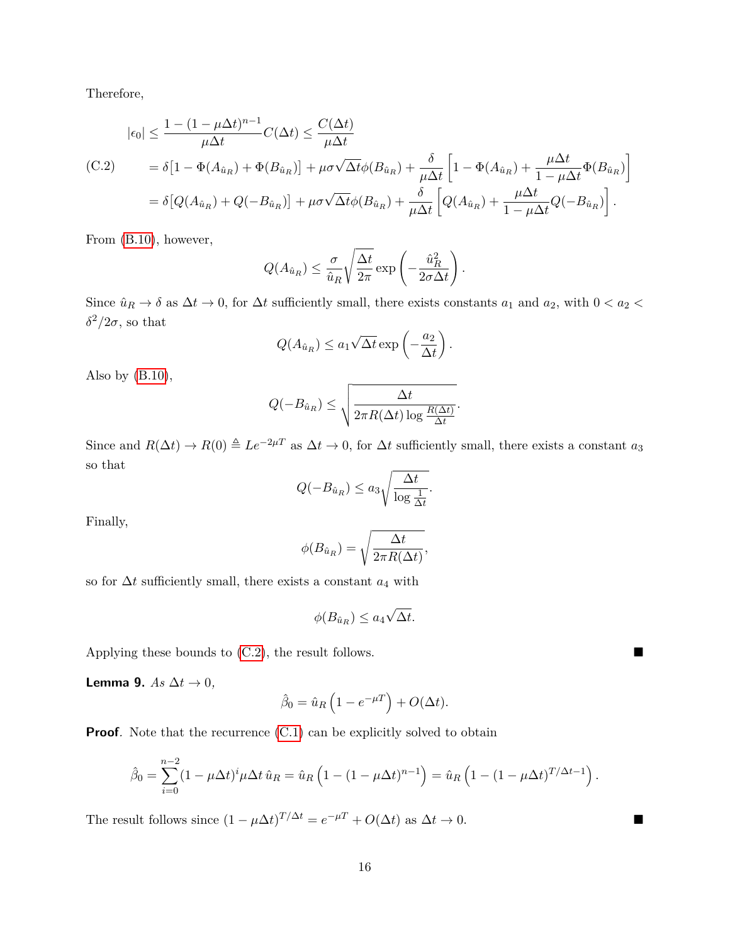<span id="page-48-0"></span>Therefore,

$$
|\epsilon_0| \le \frac{1 - (1 - \mu \Delta t)^{n-1}}{\mu \Delta t} C(\Delta t) \le \frac{C(\Delta t)}{\mu \Delta t}
$$
  
(C.2) 
$$
= \delta \left[ 1 - \Phi(A_{\hat{u}_R}) + \Phi(B_{\hat{u}_R}) \right] + \mu \sigma \sqrt{\Delta t} \phi(B_{\hat{u}_R}) + \frac{\delta}{\mu \Delta t} \left[ 1 - \Phi(A_{\hat{u}_R}) + \frac{\mu \Delta t}{1 - \mu \Delta t} \Phi(B_{\hat{u}_R}) \right]
$$

$$
= \delta \left[ Q(A_{\hat{u}_R}) + Q(-B_{\hat{u}_R}) \right] + \mu \sigma \sqrt{\Delta t} \phi(B_{\hat{u}_R}) + \frac{\delta}{\mu \Delta t} \left[ Q(A_{\hat{u}_R}) + \frac{\mu \Delta t}{1 - \mu \Delta t} Q(-B_{\hat{u}_R}) \right].
$$

From [\(B.10\)](#page-40-1), however,

$$
Q(A_{\hat{u}_R}) \leq \frac{\sigma}{\hat{u}_R} \sqrt{\frac{\Delta t}{2\pi}} \exp\left(-\frac{\hat{u}_R^2}{2\sigma \Delta t}\right).
$$

Since  $\hat{u}_R \to \delta$  as  $\Delta t \to 0$ , for  $\Delta t$  sufficiently small, there exists constants  $a_1$  and  $a_2$ , with  $0 < a_2 <$  $δ<sup>2</sup>/2σ$ , so that

$$
Q(A_{\hat{u}_R}) \le a_1 \sqrt{\Delta t} \exp\left(-\frac{a_2}{\Delta t}\right).
$$

Also by  $(B.10)$ ,

$$
Q(-B_{\hat{u}_R}) \le \sqrt{\frac{\Delta t}{2\pi R(\Delta t) \log \frac{R(\Delta t)}{\Delta t}}}.
$$

Since and  $R(\Delta t) \to R(0) \triangleq Le^{-2\mu T}$  as  $\Delta t \to 0$ , for  $\Delta t$  sufficiently small, there exists a constant *a*<sub>3</sub> so that

$$
Q(-B_{\hat{u}_R}) \le a_3 \sqrt{\frac{\Delta t}{\log \frac{1}{\Delta t}}}.
$$

Finally,

$$
\phi(B_{\hat{u}_R}) = \sqrt{\frac{\Delta t}{2\pi R(\Delta t)}},
$$

so for  $\Delta t$  sufficiently small, there exists a constant  $a_4$  with

$$
\phi(B_{\hat{u}_R}) \le a_4 \sqrt{\Delta t}.
$$

Applying these bounds to  $(C.2)$ , the result follows.

<span id="page-48-1"></span>**Lemma 9.** *As*  $\Delta t$  → 0,

$$
\hat{\beta}_0 = \hat{u}_R \left( 1 - e^{-\mu T} \right) + O(\Delta t).
$$

**Proof**. Note that the recurrence [\(C.1\)](#page-46-0) can be explicitly solved to obtain

$$
\hat{\beta}_0 = \sum_{i=0}^{n-2} (1 - \mu \Delta t)^i \mu \Delta t \,\hat{u}_R = \hat{u}_R \left( 1 - (1 - \mu \Delta t)^{n-1} \right) = \hat{u}_R \left( 1 - (1 - \mu \Delta t)^{T/\Delta t - 1} \right).
$$

The result follows since  $(1 - \mu \Delta t)^{T/\Delta t} = e^{-\mu T} + O(\Delta t)$  as  $\Delta t \to 0$ .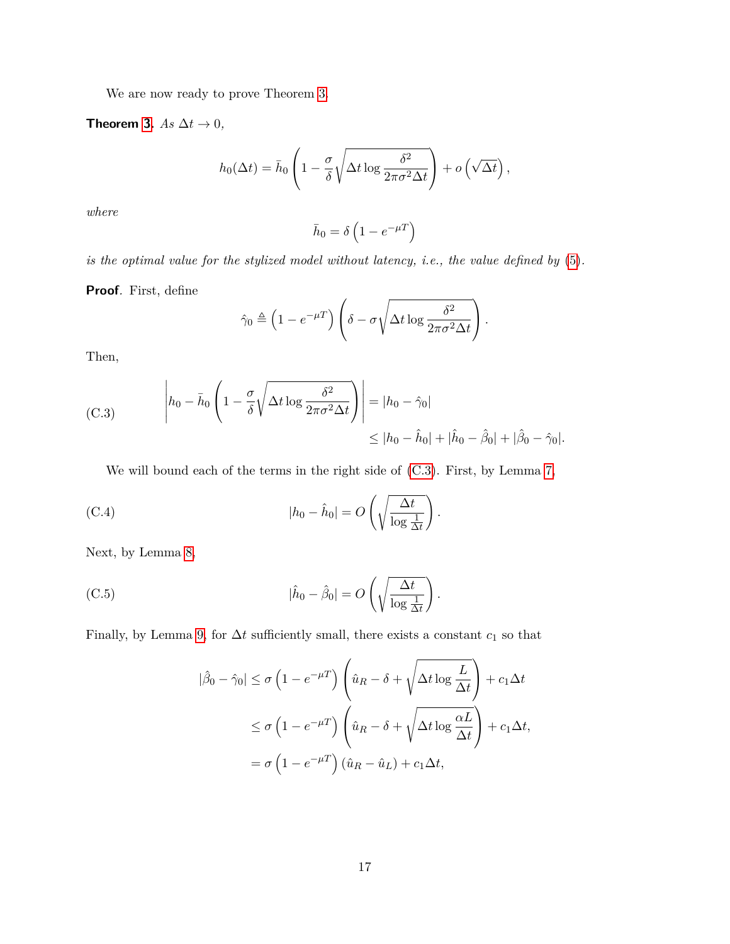We are now ready to prove Theorem [3.](#page-16-2)

**Theorem [3.](#page-16-2)** *As*  $\Delta t \rightarrow 0$ *,* 

$$
h_0(\Delta t) = \bar{h}_0 \left( 1 - \frac{\sigma}{\delta} \sqrt{\Delta t \log \frac{\delta^2}{2\pi \sigma^2 \Delta t}} \right) + o\left(\sqrt{\Delta t}\right),
$$

*where*

<span id="page-49-1"></span>
$$
\bar{h}_0 = \delta \left( 1 - e^{-\mu T} \right)
$$

*is the optimal value for the stylized model without latency, i.e., the value defined by* [\(5\)](#page-9-1)*.*

**Proof***.* First, define

$$
\hat{\gamma}_0 \triangleq \left(1 - e^{-\mu T}\right) \left(\delta - \sigma \sqrt{\Delta t \log \frac{\delta^2}{2\pi \sigma^2 \Delta t}}\right).
$$

<span id="page-49-0"></span>Then,

(C.3) 
$$
\left| h_0 - \bar{h}_0 \left( 1 - \frac{\sigma}{\delta} \sqrt{\Delta t \log \frac{\delta^2}{2\pi \sigma^2 \Delta t}} \right) \right| = |h_0 - \hat{\gamma}_0|
$$

$$
\leq |h_0 - \hat{h}_0| + |\hat{h}_0 - \hat{\beta}_0| + |\hat{\beta}_0 - \hat{\gamma}_0|.
$$

We will bound each of the terms in the right side of [\(C.3\)](#page-49-0). First, by Lemma [7,](#page-46-1)

(C.4) 
$$
|h_0 - \hat{h}_0| = O\left(\sqrt{\frac{\Delta t}{\log \frac{1}{\Delta t}}}\right).
$$

Next, by Lemma [8,](#page-47-0)

(C.5) 
$$
|\hat{h}_0 - \hat{\beta}_0| = O\left(\sqrt{\frac{\Delta t}{\log \frac{1}{\Delta t}}}\right).
$$

Finally, by Lemma [9,](#page-48-1) for  $\Delta t$  sufficiently small, there exists a constant  $c_1$  so that

$$
|\hat{\beta}_0 - \hat{\gamma}_0| \le \sigma \left(1 - e^{-\mu T}\right) \left(\hat{u}_R - \delta + \sqrt{\Delta t \log \frac{L}{\Delta t}}\right) + c_1 \Delta t
$$
  

$$
\le \sigma \left(1 - e^{-\mu T}\right) \left(\hat{u}_R - \delta + \sqrt{\Delta t \log \frac{\alpha L}{\Delta t}}\right) + c_1 \Delta t,
$$
  

$$
= \sigma \left(1 - e^{-\mu T}\right) \left(\hat{u}_R - \hat{u}_L\right) + c_1 \Delta t,
$$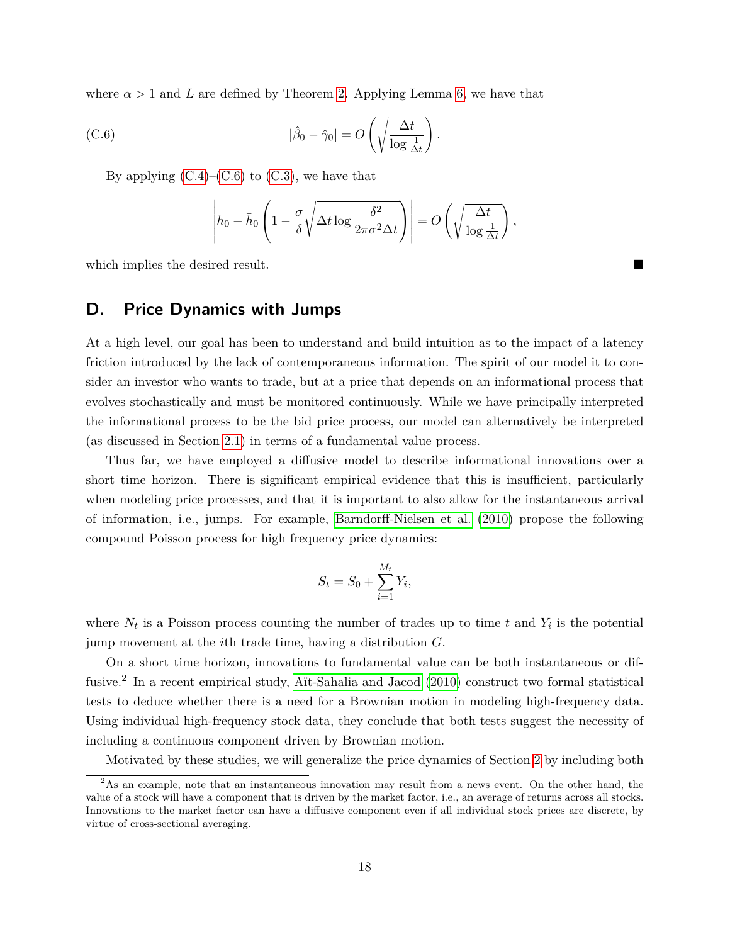where  $\alpha > 1$  and L are defined by Theorem [2.](#page-15-0) Applying Lemma [6,](#page-45-0) we have that

(C.6) 
$$
|\hat{\beta}_0 - \hat{\gamma}_0| = O\left(\sqrt{\frac{\Delta t}{\log \frac{1}{\Delta t}}}\right).
$$

By applying  $(C.4)$ – $(C.6)$  to  $(C.3)$ , we have that

$$
\left| h_0 - \bar{h}_0 \left( 1 - \frac{\sigma}{\delta} \sqrt{\Delta t \log \frac{\delta^2}{2\pi \sigma^2 \Delta t}} \right) \right| = O\left( \sqrt{\frac{\Delta t}{\log \frac{1}{\Delta t}}} \right),
$$

which implies the desired result.

## <span id="page-50-0"></span>**D. Price Dynamics with Jumps**

At a high level, our goal has been to understand and build intuition as to the impact of a latency friction introduced by the lack of contemporaneous information. The spirit of our model it to consider an investor who wants to trade, but at a price that depends on an informational process that evolves stochastically and must be monitored continuously. While we have principally interpreted the informational process to be the bid price process, our model can alternatively be interpreted (as discussed in Section [2.1\)](#page-7-2) in terms of a fundamental value process.

Thus far, we have employed a diffusive model to describe informational innovations over a short time horizon. There is significant empirical evidence that this is insufficient, particularly when modeling price processes, and that it is important to also allow for the instantaneous arrival of information, i.e., jumps. For example, [Barndorff-Nielsen et al.](#page-30-10) [\(2010\)](#page-30-10) propose the following compound Poisson process for high frequency price dynamics:

$$
S_t = S_0 + \sum_{i=1}^{M_t} Y_i,
$$

where  $N_t$  is a Poisson process counting the number of trades up to time  $t$  and  $Y_i$  is the potential jump movement at the *i*th trade time, having a distribution *G*.

On a short time horizon, innovations to fundamental value can be both instantaneous or dif-fusive.<sup>2</sup> In a recent empirical study, [Aït-Sahalia and Jacod](#page-30-11) [\(2010\)](#page-30-11) construct two formal statistical tests to deduce whether there is a need for a Brownian motion in modeling high-frequency data. Using individual high-frequency stock data, they conclude that both tests suggest the necessity of including a continuous component driven by Brownian motion.

Motivated by these studies, we will generalize the price dynamics of Section [2](#page-6-0) by including both

<span id="page-50-1"></span>

<sup>&</sup>lt;sup>2</sup>As an example, note that an instantaneous innovation may result from a news event. On the other hand, the value of a stock will have a component that is driven by the market factor, i.e., an average of returns across all stocks. Innovations to the market factor can have a diffusive component even if all individual stock prices are discrete, by virtue of cross-sectional averaging.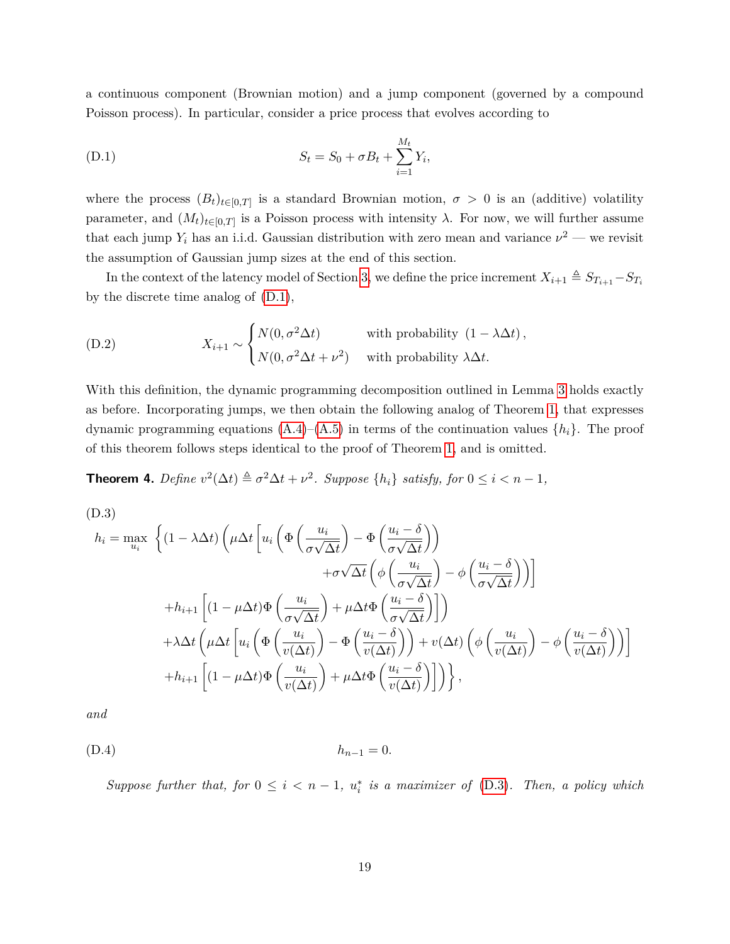<span id="page-51-0"></span>a continuous component (Brownian motion) and a jump component (governed by a compound Poisson process). In particular, consider a price process that evolves according to

(D.1) 
$$
S_t = S_0 + \sigma B_t + \sum_{i=1}^{M_t} Y_i,
$$

where the process  $(B_t)_{t\in[0,T]}$  is a standard Brownian motion,  $\sigma>0$  is an (additive) volatility parameter, and  $(M_t)_{t\in[0,T]}$  is a Poisson process with intensity  $\lambda$ . For now, we will further assume that each jump  $Y_i$  has an i.i.d. Gaussian distribution with zero mean and variance  $\nu^2$  — we revisit the assumption of Gaussian jump sizes at the end of this section.

In the context of the latency model of Section [3,](#page-11-0) we define the price increment  $X_{i+1} \triangleq S_{T_{i+1}} - S_{T_i}$ by the discrete time analog of [\(D.1\)](#page-51-0),

(D.2) 
$$
X_{i+1} \sim \begin{cases} N(0, \sigma^2 \Delta t) & \text{with probability } (1 - \lambda \Delta t), \\ N(0, \sigma^2 \Delta t + \nu^2) & \text{with probability } \lambda \Delta t. \end{cases}
$$

With this definition, the dynamic programming decomposition outlined in Lemma [3](#page-34-3) holds exactly as before. Incorporating jumps, we then obtain the following analog of Theorem [1,](#page-14-2) that expresses dynamic programming equations  $(A.4)$ – $(A.5)$  in terms of the continuation values  $\{h_i\}$ . The proof of this theorem follows steps identical to the proof of Theorem [1,](#page-14-2) and is omitted.

**Theorem 4.** *Define*  $v^2(\Delta t) \triangleq \sigma^2 \Delta t + v^2$ *. Suppose*  $\{h_i\}$  *satisfy, for*  $0 \le i \le n - 1$ *,* 

(D.3)

<span id="page-51-1"></span>
$$
h_{i} = \max_{u_{i}} \left\{ (1 - \lambda \Delta t) \left( \mu \Delta t \left[ u_{i} \left( \Phi \left( \frac{u_{i}}{\sigma \sqrt{\Delta t}} \right) - \Phi \left( \frac{u_{i} - \delta}{\sigma \sqrt{\Delta t}} \right) \right) \right. \right.\left. + \sigma \sqrt{\Delta t} \left( \phi \left( \frac{u_{i}}{\sigma \sqrt{\Delta t}} \right) - \phi \left( \frac{u_{i} - \delta}{\sigma \sqrt{\Delta t}} \right) \right) \right] \right\}
$$

$$
+ h_{i+1} \left[ (1 - \mu \Delta t) \Phi \left( \frac{u_{i}}{\sigma \sqrt{\Delta t}} \right) + \mu \Delta t \Phi \left( \frac{u_{i} - \delta}{\sigma \sqrt{\Delta t}} \right) \right] \right)
$$

$$
+ \lambda \Delta t \left( \mu \Delta t \left[ u_{i} \left( \Phi \left( \frac{u_{i}}{v(\Delta t)} \right) - \Phi \left( \frac{u_{i} - \delta}{v(\Delta t)} \right) \right) + v(\Delta t) \left( \phi \left( \frac{u_{i}}{v(\Delta t)} \right) - \phi \left( \frac{u_{i} - \delta}{v(\Delta t)} \right) \right) \right]
$$

$$
+ h_{i+1} \left[ (1 - \mu \Delta t) \Phi \left( \frac{u_{i}}{v(\Delta t)} \right) + \mu \Delta t \Phi \left( \frac{u_{i} - \delta}{v(\Delta t)} \right) \right] \right\},
$$

<span id="page-51-2"></span>*and*

(D.4) *hn*−<sup>1</sup> = 0*.*

*Suppose further that, for*  $0 \leq i < n - 1$ ,  $u_i^*$  *is a maximizer of* [\(D.3\)](#page-51-1)*. Then, a policy which*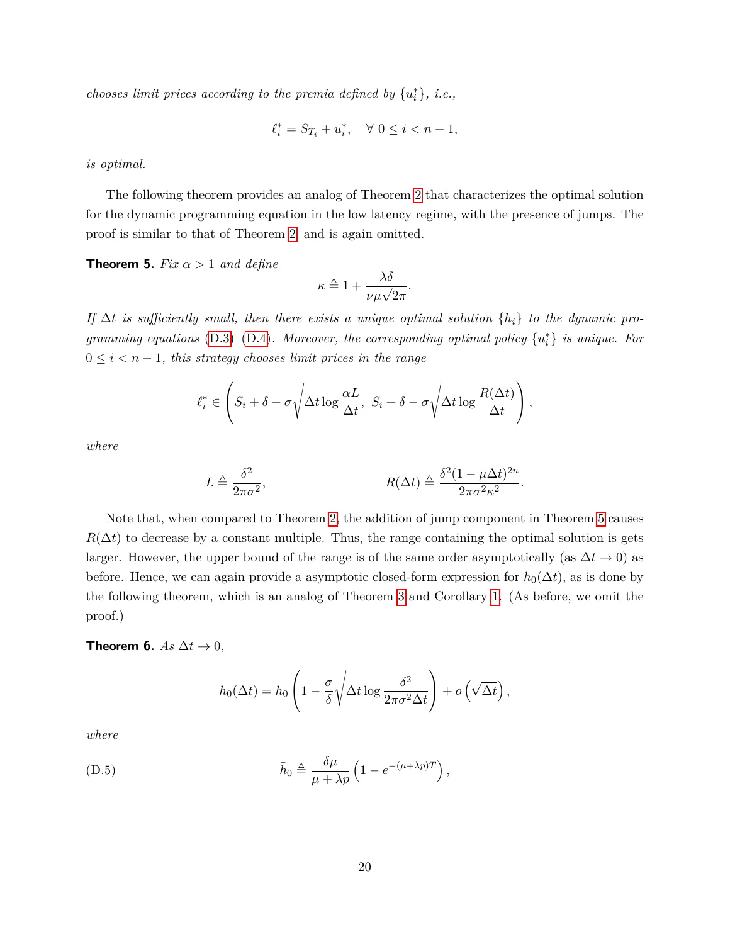*chooses limit prices according to the premia defined by*  $\{u_i^*\}$ *, i.e.*,

$$
\ell_i^*=S_{T_i}+u_i^*,\quad \forall\ 0\leq i
$$

*is optimal.*

The following theorem provides an analog of Theorem [2](#page-15-0) that characterizes the optimal solution for the dynamic programming equation in the low latency regime, with the presence of jumps. The proof is similar to that of Theorem [2,](#page-15-0) and is again omitted.

<span id="page-52-0"></span>**Theorem 5.** *Fix*  $\alpha > 1$  *and define* 

$$
\kappa \triangleq 1 + \frac{\lambda \delta}{\nu \mu \sqrt{2\pi}}.
$$

*If*  $\Delta t$  *is sufficiently small, then there exists a unique optimal solution*  $\{h_i\}$  *to the dynamic programming equations* [\(D.3\)](#page-51-1)*–*[\(D.4\)](#page-51-2)*. Moreover, the corresponding optimal policy* {*u* ∗ *i* } *is unique. For*  $0 \leq i < n - 1$ , this strategy chooses limit prices in the range

$$
\ell_i^* \in \left(S_i + \delta - \sigma \sqrt{\Delta t \log \frac{\alpha L}{\Delta t}}, \ S_i + \delta - \sigma \sqrt{\Delta t \log \frac{R(\Delta t)}{\Delta t}}\right),\,
$$

*where*

$$
L \triangleq \frac{\delta^2}{2\pi\sigma^2}, \qquad R(\Delta t) \triangleq \frac{\delta^2 (1 - \mu \Delta t)^{2n}}{2\pi\sigma^2 \kappa^2}.
$$

Note that, when compared to Theorem [2,](#page-15-0) the addition of jump component in Theorem [5](#page-52-0) causes  $R(\Delta t)$  to decrease by a constant multiple. Thus, the range containing the optimal solution is gets larger. However, the upper bound of the range is of the same order asymptotically (as  $\Delta t \to 0$ ) as before. Hence, we can again provide a asymptotic closed-form expression for  $h_0(\Delta t)$ , as is done by the following theorem, which is an analog of Theorem [3](#page-16-2) and Corollary [1.](#page-18-1) (As before, we omit the proof.)

<span id="page-52-1"></span>**Theorem 6.**  $As \Delta t \rightarrow 0$ ,

$$
h_0(\Delta t) = \bar{h}_0 \left( 1 - \frac{\sigma}{\delta} \sqrt{\Delta t \log \frac{\delta^2}{2\pi \sigma^2 \Delta t}} \right) + o\left(\sqrt{\Delta t}\right),
$$

<span id="page-52-2"></span>*where*

(D.5) 
$$
\bar{h}_0 \triangleq \frac{\delta \mu}{\mu + \lambda p} \left( 1 - e^{-(\mu + \lambda p)T} \right),
$$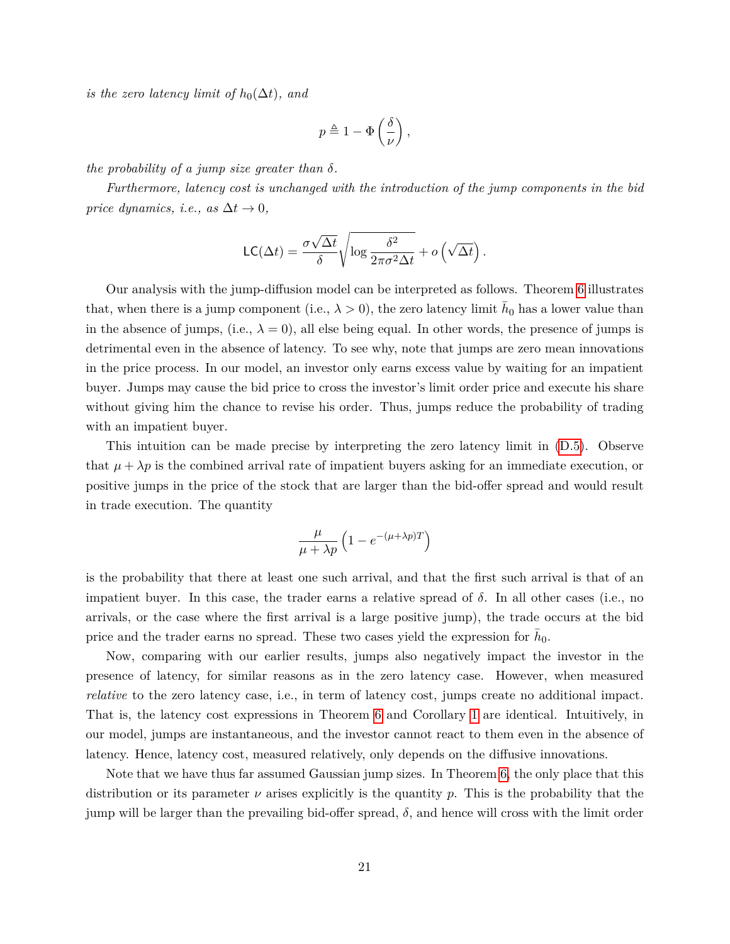*is the zero latency limit of*  $h_0(\Delta t)$ *, and* 

$$
p \triangleq 1 - \Phi\left(\frac{\delta}{\nu}\right),\,
$$

*the probability of a jump size greater than*  $\delta$ *.* 

*Furthermore, latency cost is unchanged with the introduction of the jump components in the bid price dynamics, i.e., as*  $\Delta t \rightarrow 0$ *,* 

$$
\mathsf{LC}(\Delta t) = \frac{\sigma \sqrt{\Delta t}}{\delta} \sqrt{\log \frac{\delta^2}{2\pi \sigma^2 \Delta t}} + o\left(\sqrt{\Delta t}\right).
$$

Our analysis with the jump-diffusion model can be interpreted as follows. Theorem [6](#page-52-1) illustrates that, when there is a jump component (i.e.,  $\lambda > 0$ ), the zero latency limit  $\bar{h}_0$  has a lower value than in the absence of jumps, (i.e.,  $\lambda = 0$ ), all else being equal. In other words, the presence of jumps is detrimental even in the absence of latency. To see why, note that jumps are zero mean innovations in the price process. In our model, an investor only earns excess value by waiting for an impatient buyer. Jumps may cause the bid price to cross the investor's limit order price and execute his share without giving him the chance to revise his order. Thus, jumps reduce the probability of trading with an impatient buyer.

This intuition can be made precise by interpreting the zero latency limit in [\(D.5\)](#page-52-2). Observe that  $\mu + \lambda p$  is the combined arrival rate of impatient buyers asking for an immediate execution, or positive jumps in the price of the stock that are larger than the bid-offer spread and would result in trade execution. The quantity

$$
\frac{\mu}{\mu + \lambda p}\left(1 - e^{-(\mu + \lambda p)T}\right)
$$

is the probability that there at least one such arrival, and that the first such arrival is that of an impatient buyer. In this case, the trader earns a relative spread of *δ*. In all other cases (i.e., no arrivals, or the case where the first arrival is a large positive jump), the trade occurs at the bid price and the trader earns no spread. These two cases yield the expression for  $\bar{h}_0$ .

Now, comparing with our earlier results, jumps also negatively impact the investor in the presence of latency, for similar reasons as in the zero latency case. However, when measured *relative* to the zero latency case, i.e., in term of latency cost, jumps create no additional impact. That is, the latency cost expressions in Theorem [6](#page-52-1) and Corollary [1](#page-18-1) are identical. Intuitively, in our model, jumps are instantaneous, and the investor cannot react to them even in the absence of latency. Hence, latency cost, measured relatively, only depends on the diffusive innovations.

Note that we have thus far assumed Gaussian jump sizes. In Theorem [6,](#page-52-1) the only place that this distribution or its parameter  $\nu$  arises explicitly is the quantity p. This is the probability that the jump will be larger than the prevailing bid-offer spread, *δ*, and hence will cross with the limit order